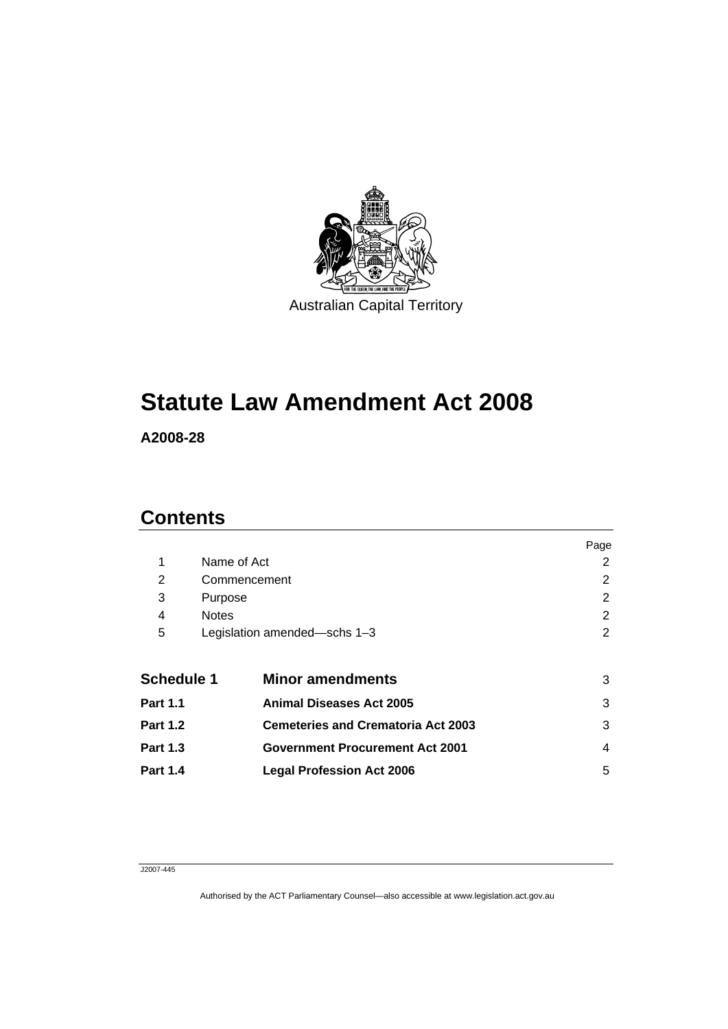

# **[Statute Law Amendment Act 2008](#page-4-0)**

**A2008-28** 

# **Contents**

| Page |
|------|
| 2    |
| 2    |
| 2    |
| 2    |
| 2    |
|      |
| 3    |
| 3    |
| 3    |
| 4    |
| 5    |
|      |

#### J2007-445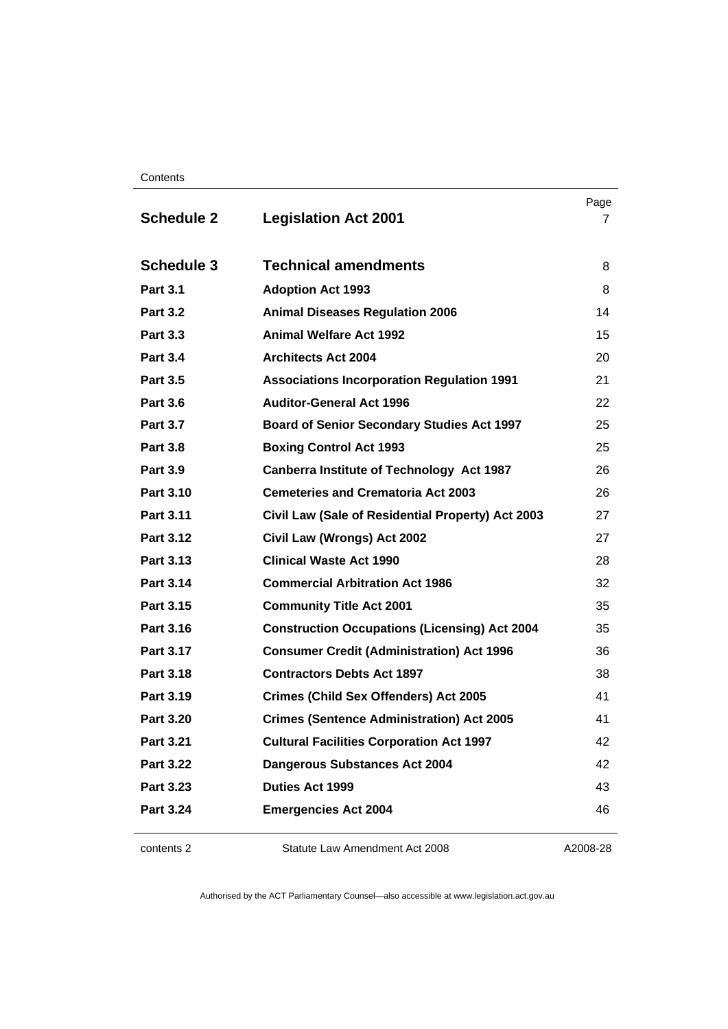**Contents** 

| <b>Schedule 2</b> | <b>Legislation Act 2001</b>                          | Page<br>7 |
|-------------------|------------------------------------------------------|-----------|
| <b>Schedule 3</b> | <b>Technical amendments</b>                          | 8         |
| <b>Part 3.1</b>   | <b>Adoption Act 1993</b>                             | 8         |
| <b>Part 3.2</b>   | <b>Animal Diseases Regulation 2006</b>               | 14        |
| <b>Part 3.3</b>   | <b>Animal Welfare Act 1992</b>                       | 15        |
| <b>Part 3.4</b>   | <b>Architects Act 2004</b>                           | 20        |
| <b>Part 3.5</b>   | <b>Associations Incorporation Regulation 1991</b>    | 21        |
| <b>Part 3.6</b>   | <b>Auditor-General Act 1996</b>                      | 22        |
| <b>Part 3.7</b>   | <b>Board of Senior Secondary Studies Act 1997</b>    | 25        |
| <b>Part 3.8</b>   | <b>Boxing Control Act 1993</b>                       | 25        |
| <b>Part 3.9</b>   | Canberra Institute of Technology Act 1987            | 26        |
| Part 3.10         | <b>Cemeteries and Crematoria Act 2003</b>            | 26        |
| Part 3.11         | Civil Law (Sale of Residential Property) Act 2003    | 27        |
| Part 3.12         | Civil Law (Wrongs) Act 2002                          | 27        |
| Part 3.13         | <b>Clinical Waste Act 1990</b>                       | 28        |
| Part 3.14         | <b>Commercial Arbitration Act 1986</b>               | 32        |
| Part 3.15         | <b>Community Title Act 2001</b>                      | 35        |
| Part 3.16         | <b>Construction Occupations (Licensing) Act 2004</b> | 35        |
| Part 3.17         | <b>Consumer Credit (Administration) Act 1996</b>     | 36        |
| Part 3.18         | <b>Contractors Debts Act 1897</b>                    | 38        |
| Part 3.19         | <b>Crimes (Child Sex Offenders) Act 2005</b>         | 41        |
| <b>Part 3.20</b>  | <b>Crimes (Sentence Administration) Act 2005</b>     | 41        |
| Part 3.21         | <b>Cultural Facilities Corporation Act 1997</b>      | 42        |
| <b>Part 3.22</b>  | <b>Dangerous Substances Act 2004</b>                 | 42        |
| Part 3.23         | <b>Duties Act 1999</b>                               | 43        |
| <b>Part 3.24</b>  | <b>Emergencies Act 2004</b>                          | 46        |

contents 2 Statute Law Amendment Act 2008

A2008-28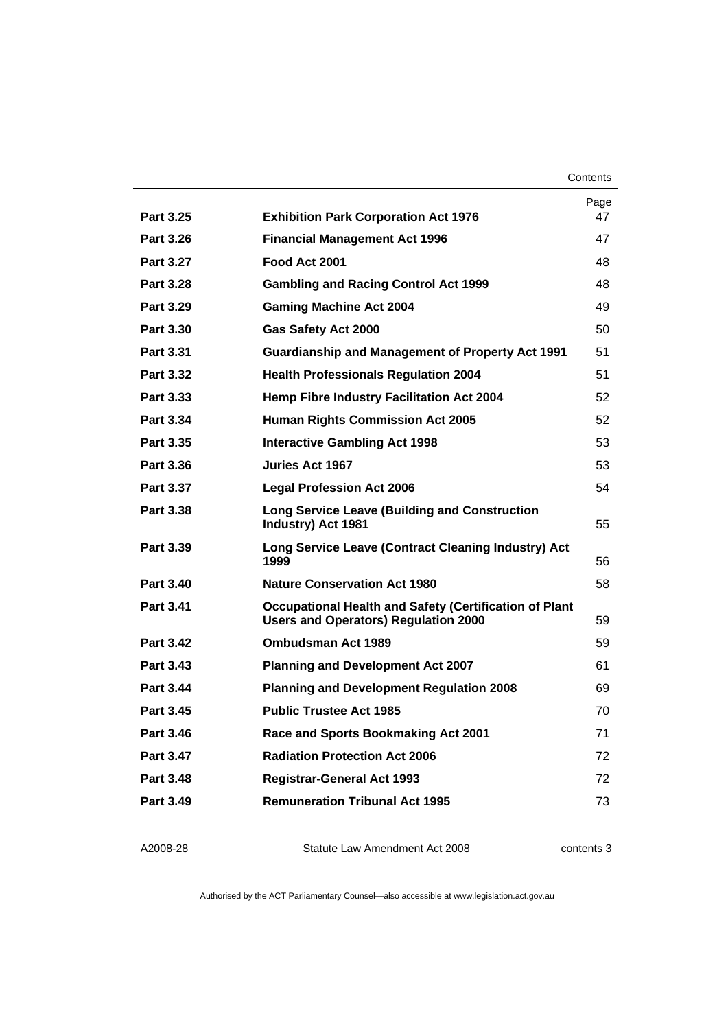| Contents |
|----------|
|----------|

|                  |                                                                                                       | Page |
|------------------|-------------------------------------------------------------------------------------------------------|------|
| <b>Part 3.25</b> | <b>Exhibition Park Corporation Act 1976</b>                                                           | 47   |
| Part 3.26        | <b>Financial Management Act 1996</b>                                                                  | 47   |
| <b>Part 3.27</b> | Food Act 2001                                                                                         | 48   |
| Part 3.28        | <b>Gambling and Racing Control Act 1999</b>                                                           | 48   |
| Part 3.29        | <b>Gaming Machine Act 2004</b>                                                                        | 49   |
| Part 3.30        | <b>Gas Safety Act 2000</b>                                                                            | 50   |
| Part 3.31        | <b>Guardianship and Management of Property Act 1991</b>                                               | 51   |
| <b>Part 3.32</b> | <b>Health Professionals Regulation 2004</b>                                                           | 51   |
| Part 3.33        | <b>Hemp Fibre Industry Facilitation Act 2004</b>                                                      | 52   |
| Part 3.34        | <b>Human Rights Commission Act 2005</b>                                                               | 52   |
| Part 3.35        | Interactive Gambling Act 1998                                                                         | 53   |
| Part 3.36        | <b>Juries Act 1967</b>                                                                                | 53   |
| Part 3.37        | <b>Legal Profession Act 2006</b>                                                                      | 54   |
| Part 3.38        | <b>Long Service Leave (Building and Construction</b><br>Industry) Act 1981                            | 55   |
| Part 3.39        | Long Service Leave (Contract Cleaning Industry) Act<br>1999                                           | 56   |
| <b>Part 3.40</b> | <b>Nature Conservation Act 1980</b>                                                                   | 58   |
| <b>Part 3.41</b> | Occupational Health and Safety (Certification of Plant<br><b>Users and Operators) Regulation 2000</b> | 59   |
| <b>Part 3.42</b> | <b>Ombudsman Act 1989</b>                                                                             | 59   |
| Part 3.43        | <b>Planning and Development Act 2007</b>                                                              | 61   |
| <b>Part 3.44</b> | <b>Planning and Development Regulation 2008</b>                                                       | 69   |
| Part 3.45        | <b>Public Trustee Act 1985</b>                                                                        | 70   |
| <b>Part 3.46</b> | Race and Sports Bookmaking Act 2001                                                                   | 71   |
| <b>Part 3.47</b> | <b>Radiation Protection Act 2006</b>                                                                  | 72   |
| <b>Part 3.48</b> | <b>Registrar-General Act 1993</b>                                                                     | 72   |
| Part 3.49        | <b>Remuneration Tribunal Act 1995</b>                                                                 | 73   |
|                  |                                                                                                       |      |

#### A2008-28

Statute Law Amendment Act 2008

contents 3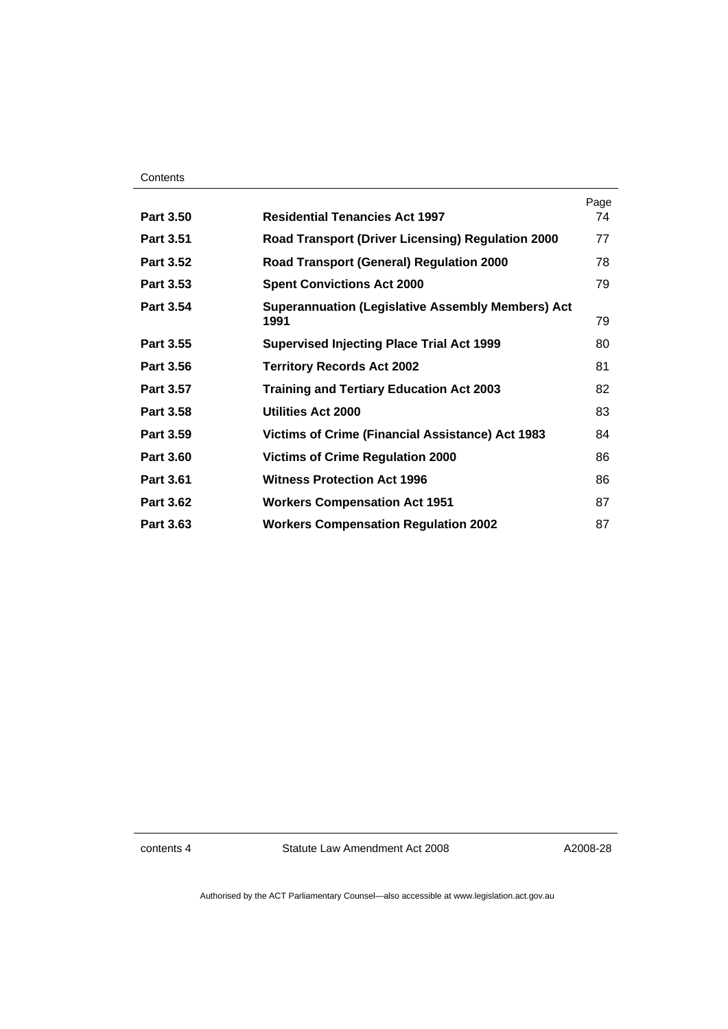| Contents |
|----------|
|----------|

|                  |                                                                  | Page |
|------------------|------------------------------------------------------------------|------|
| <b>Part 3.50</b> | <b>Residential Tenancies Act 1997</b>                            | 74   |
| <b>Part 3.51</b> | <b>Road Transport (Driver Licensing) Regulation 2000</b>         | 77   |
| <b>Part 3.52</b> | <b>Road Transport (General) Regulation 2000</b>                  | 78   |
| <b>Part 3.53</b> | <b>Spent Convictions Act 2000</b>                                | 79   |
| <b>Part 3.54</b> | <b>Superannuation (Legislative Assembly Members) Act</b><br>1991 | 79   |
| Part 3.55        | <b>Supervised Injecting Place Trial Act 1999</b>                 | 80   |
| <b>Part 3.56</b> | <b>Territory Records Act 2002</b>                                | 81   |
| <b>Part 3.57</b> | <b>Training and Tertiary Education Act 2003</b>                  | 82   |
| <b>Part 3.58</b> | <b>Utilities Act 2000</b>                                        | 83   |
| <b>Part 3.59</b> | <b>Victims of Crime (Financial Assistance) Act 1983</b>          | 84   |
| <b>Part 3.60</b> | <b>Victims of Crime Regulation 2000</b>                          | 86   |
| Part 3.61        | <b>Witness Protection Act 1996</b>                               | 86   |
| <b>Part 3.62</b> | <b>Workers Compensation Act 1951</b>                             | 87   |
| <b>Part 3.63</b> | <b>Workers Compensation Regulation 2002</b>                      | 87   |

contents 4 Statute Law Amendment Act 2008

A2008-28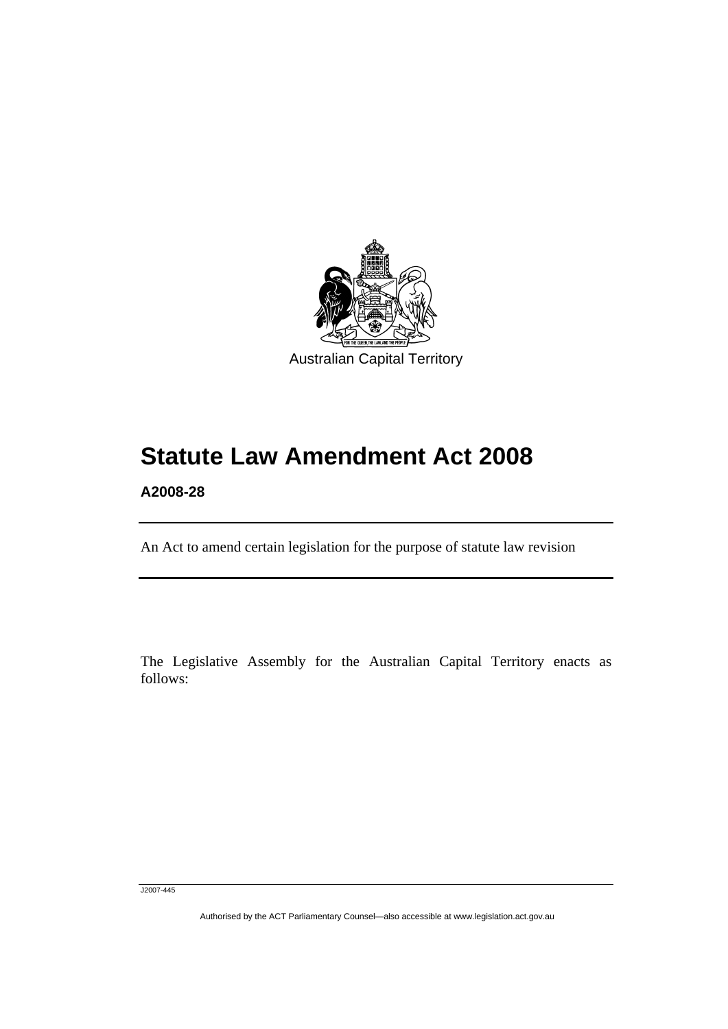<span id="page-4-0"></span>

# **Statute Law Amendment Act 2008**

**A2008-28** 

l

An Act to amend certain legislation for the purpose of statute law revision

The Legislative Assembly for the Australian Capital Territory enacts as follows:

J2007-445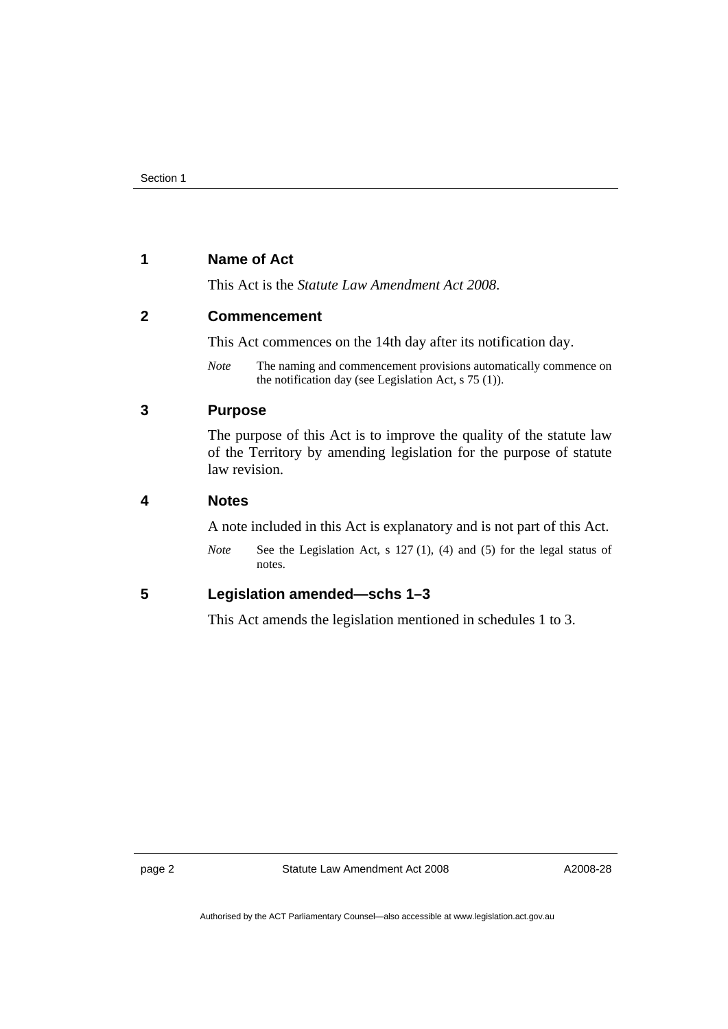# <span id="page-5-0"></span>**1 Name of Act**

This Act is the *Statute Law Amendment Act 2008*.

# **2 Commencement**

This Act commences on the 14th day after its notification day.

*Note* The naming and commencement provisions automatically commence on the notification day (see Legislation Act, s 75 (1)).

# **3 Purpose**

The purpose of this Act is to improve the quality of the statute law of the Territory by amending legislation for the purpose of statute law revision.

# **4 Notes**

A note included in this Act is explanatory and is not part of this Act.

*Note* See the Legislation Act, s 127 (1), (4) and (5) for the legal status of notes.

# **5 Legislation amended—schs 1–3**

This Act amends the legislation mentioned in schedules 1 to 3.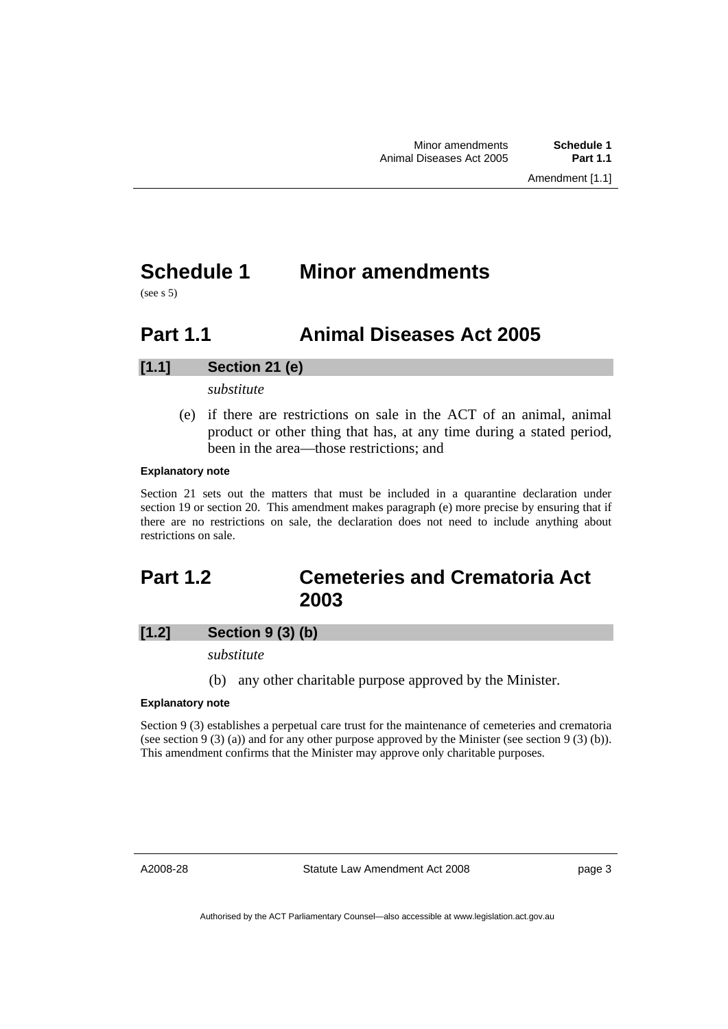# <span id="page-6-0"></span>**Schedule 1 Minor amendments**

 $(see s.5)$ 

# **Part 1.1 Animal Diseases Act 2005**

# **[1.1] Section 21 (e)**

*substitute* 

 (e) if there are restrictions on sale in the ACT of an animal, animal product or other thing that has, at any time during a stated period, been in the area—those restrictions; and

#### **Explanatory note**

Section 21 sets out the matters that must be included in a quarantine declaration under section 19 or section 20. This amendment makes paragraph (e) more precise by ensuring that if there are no restrictions on sale, the declaration does not need to include anything about restrictions on sale.

# **Part 1.2 Cemeteries and Crematoria Act 2003**

# **[1.2] Section 9 (3) (b)**

*substitute* 

(b) any other charitable purpose approved by the Minister.

#### **Explanatory note**

Section 9 (3) establishes a perpetual care trust for the maintenance of cemeteries and crematoria (see section 9 (3) (a)) and for any other purpose approved by the Minister (see section 9 (3) (b)). This amendment confirms that the Minister may approve only charitable purposes.

A2008-28

Statute Law Amendment Act 2008

page 3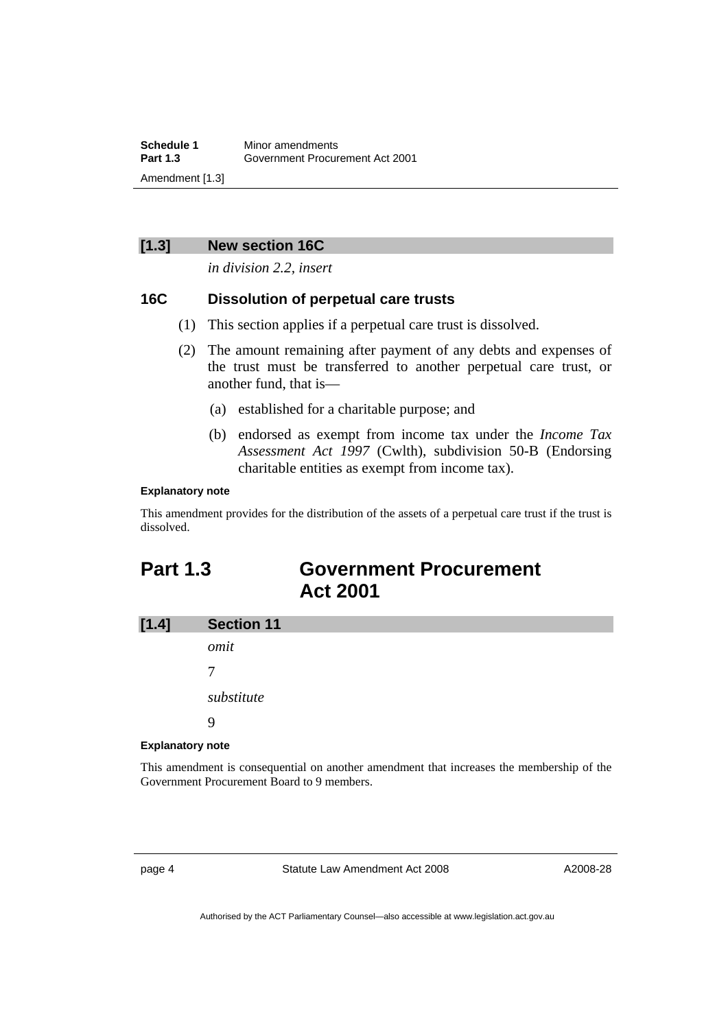<span id="page-7-0"></span>**Schedule 1** Minor amendments<br>**Part 1.3** Government Procur **Part 1.3** Government Procurement Act 2001 Amendment [1.3]

# **[1.3] New section 16C**

*in division 2.2, insert* 

### **16C Dissolution of perpetual care trusts**

- (1) This section applies if a perpetual care trust is dissolved.
- (2) The amount remaining after payment of any debts and expenses of the trust must be transferred to another perpetual care trust, or another fund, that is—
	- (a) established for a charitable purpose; and
	- (b) endorsed as exempt from income tax under the *Income Tax Assessment Act 1997* (Cwlth), subdivision 50-B (Endorsing charitable entities as exempt from income tax).

#### **Explanatory note**

This amendment provides for the distribution of the assets of a perpetual care trust if the trust is dissolved.

# **Part 1.3 Government Procurement Act 2001**



#### **Explanatory note**

This amendment is consequential on another amendment that increases the membership of the Government Procurement Board to 9 members.

page 4 Statute Law Amendment Act 2008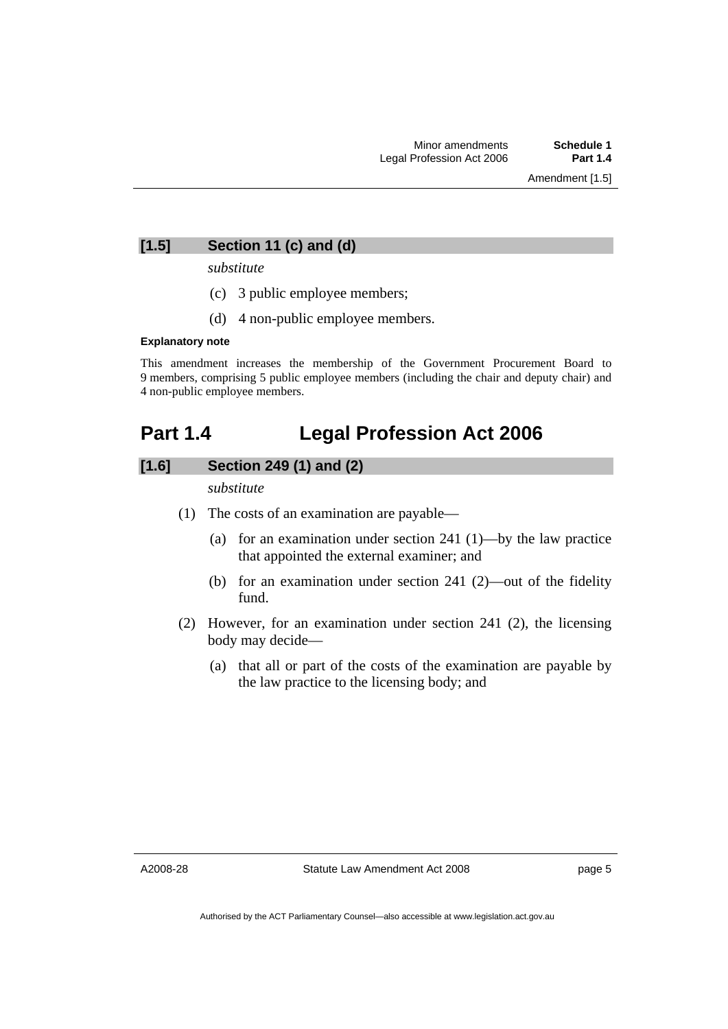# <span id="page-8-0"></span>**[1.5] Section 11 (c) and (d)**

*substitute* 

- (c) 3 public employee members;
- (d) 4 non-public employee members.

#### **Explanatory note**

This amendment increases the membership of the Government Procurement Board to 9 members, comprising 5 public employee members (including the chair and deputy chair) and 4 non-public employee members.

# **Part 1.4 Legal Profession Act 2006**

# **[1.6] Section 249 (1) and (2)**

*substitute* 

- (1) The costs of an examination are payable—
	- (a) for an examination under section 241 (1)—by the law practice that appointed the external examiner; and
	- (b) for an examination under section 241 (2)—out of the fidelity fund.
- (2) However, for an examination under section 241 (2), the licensing body may decide—
	- (a) that all or part of the costs of the examination are payable by the law practice to the licensing body; and

A2008-28

page 5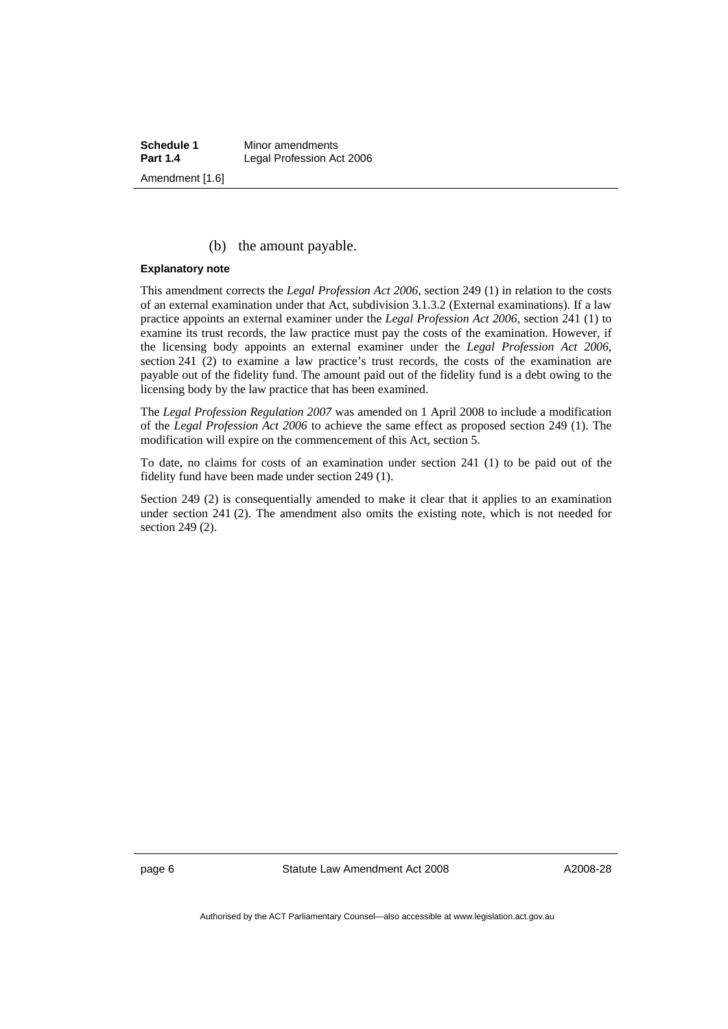**Schedule 1** Minor amendments<br>**Part 1.4** Legal Profession Ad **Legal Profession Act 2006** Amendment [1.6]

### (b) the amount payable.

#### **Explanatory note**

This amendment corrects the *Legal Profession Act 2006*, section 249 (1) in relation to the costs of an external examination under that Act, subdivision 3.1.3.2 (External examinations). If a law practice appoints an external examiner under the *Legal Profession Act 2006*, section 241 (1) to examine its trust records, the law practice must pay the costs of the examination. However, if the licensing body appoints an external examiner under the *Legal Profession Act 2006*, section 241 (2) to examine a law practice's trust records, the costs of the examination are payable out of the fidelity fund. The amount paid out of the fidelity fund is a debt owing to the licensing body by the law practice that has been examined.

The *Legal Profession Regulation 2007* was amended on 1 April 2008 to include a modification of the *Legal Profession Act 2006* to achieve the same effect as proposed section 249 (1). The modification will expire on the commencement of this Act, section 5.

To date, no claims for costs of an examination under section 241 (1) to be paid out of the fidelity fund have been made under section 249 (1).

Section 249 (2) is consequentially amended to make it clear that it applies to an examination under section 241 (2). The amendment also omits the existing note, which is not needed for section 249 (2).

page 6 Statute Law Amendment Act 2008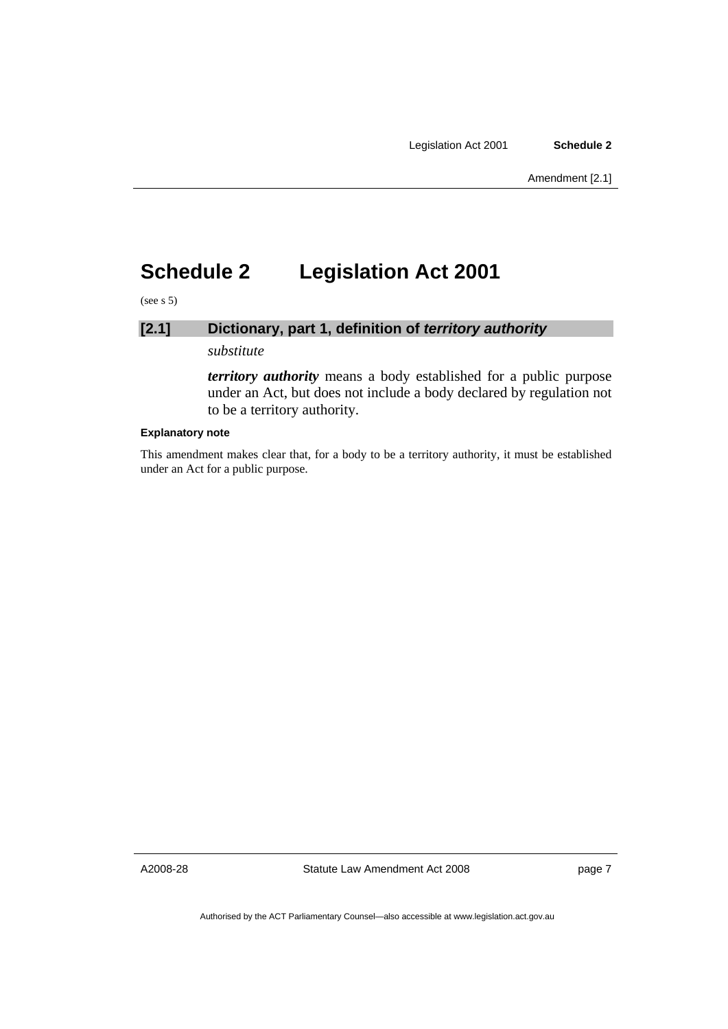# <span id="page-10-0"></span>**Schedule 2 Legislation Act 2001**

(see s 5)

# **[2.1] Dictionary, part 1, definition of** *territory authority*

*substitute* 

*territory authority* means a body established for a public purpose under an Act, but does not include a body declared by regulation not to be a territory authority.

#### **Explanatory note**

This amendment makes clear that, for a body to be a territory authority, it must be established under an Act for a public purpose.

A2008-28

Statute Law Amendment Act 2008

page 7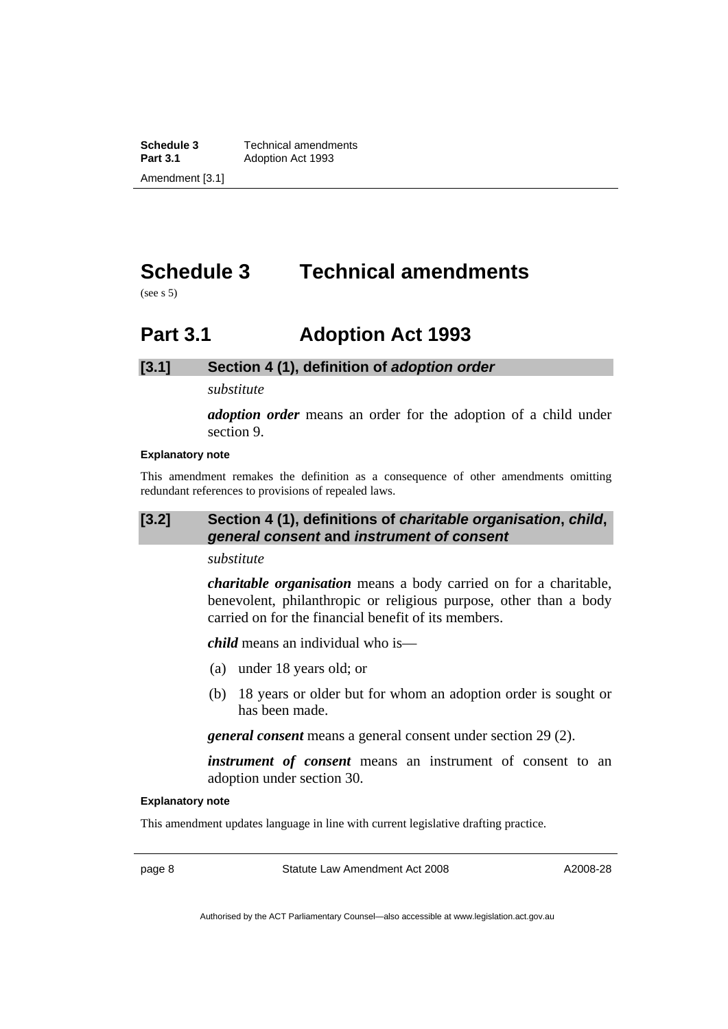<span id="page-11-0"></span>**Schedule 3 Technical amendments**<br>**Part 3.1 Adoption Act 1993 Part 3.1** Adoption Act 1993 Amendment [3.1]

# **Schedule 3 Technical amendments**

(see s 5)

# **Part 3.1 Adoption Act 1993**

# **[3.1] Section 4 (1), definition of** *adoption order*

*substitute* 

*adoption order* means an order for the adoption of a child under section 9.

### **Explanatory note**

This amendment remakes the definition as a consequence of other amendments omitting redundant references to provisions of repealed laws.

# **[3.2] Section 4 (1), definitions of** *charitable organisation***,** *child***,**  *general consent* **and** *instrument of consent*

### *substitute*

*charitable organisation* means a body carried on for a charitable, benevolent, philanthropic or religious purpose, other than a body carried on for the financial benefit of its members.

*child* means an individual who is—

- (a) under 18 years old; or
- (b) 18 years or older but for whom an adoption order is sought or has been made.

*general consent* means a general consent under section 29 (2).

*instrument of consent* means an instrument of consent to an adoption under section 30.

#### **Explanatory note**

This amendment updates language in line with current legislative drafting practice.

page 8 Statute Law Amendment Act 2008

A2008-28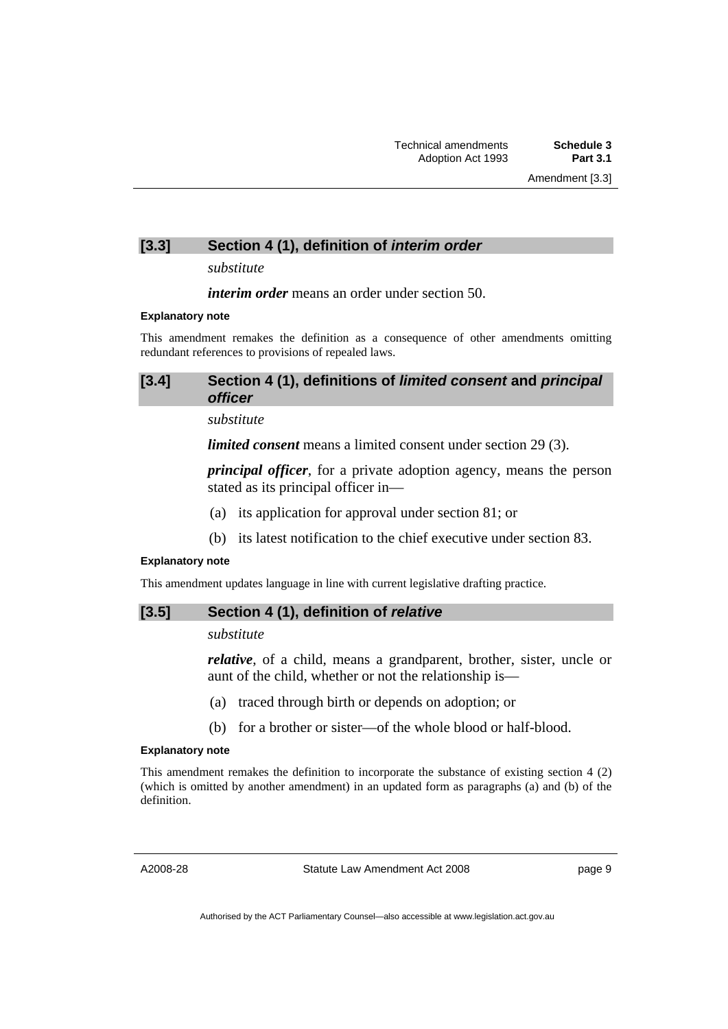# [3.3] Section 4 (1), definition of *interim order*

*substitute* 

*interim order* means an order under section 50.

#### **Explanatory note**

This amendment remakes the definition as a consequence of other amendments omitting redundant references to provisions of repealed laws.

# **[3.4] Section 4 (1), definitions of** *limited consent* **and** *principal officer*

*substitute* 

*limited consent* means a limited consent under section 29 (3).

*principal officer*, for a private adoption agency, means the person stated as its principal officer in—

- (a) its application for approval under section 81; or
- (b) its latest notification to the chief executive under section 83.

### **Explanatory note**

This amendment updates language in line with current legislative drafting practice.

### **[3.5] Section 4 (1), definition of** *relative*

# *substitute*

*relative*, of a child, means a grandparent, brother, sister, uncle or aunt of the child, whether or not the relationship is—

- (a) traced through birth or depends on adoption; or
- (b) for a brother or sister—of the whole blood or half-blood.

### **Explanatory note**

This amendment remakes the definition to incorporate the substance of existing section 4 (2) (which is omitted by another amendment) in an updated form as paragraphs (a) and (b) of the definition.

A2008-28

Statute Law Amendment Act 2008

page 9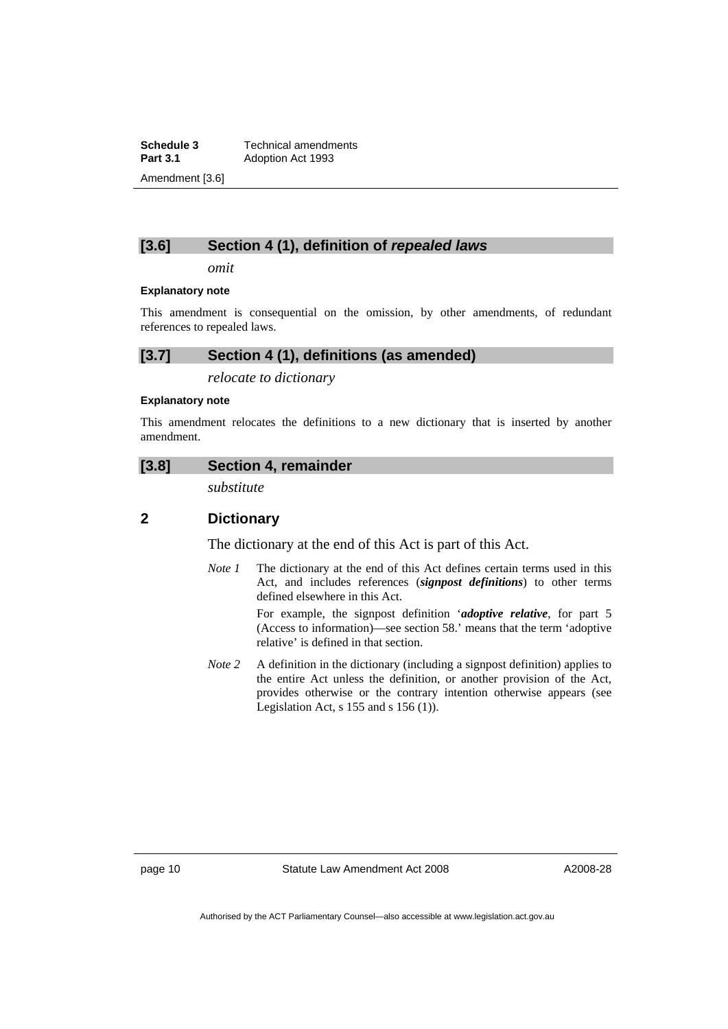**Schedule 3 Technical amendments**<br>**Part 3.1 Adoption Act 1993 Part 3.1** Adoption Act 1993 Amendment [3.6]

# **[3.6] Section 4 (1), definition of** *repealed laws*

*omit* 

#### **Explanatory note**

This amendment is consequential on the omission, by other amendments, of redundant references to repealed laws.

# **[3.7] Section 4 (1), definitions (as amended)**

*relocate to dictionary* 

#### **Explanatory note**

This amendment relocates the definitions to a new dictionary that is inserted by another amendment.

### **[3.8] Section 4, remainder**

*substitute* 

# **2 Dictionary**

The dictionary at the end of this Act is part of this Act.

*Note 1* The dictionary at the end of this Act defines certain terms used in this Act, and includes references (*signpost definitions*) to other terms defined elsewhere in this Act.

> For example, the signpost definition '*adoptive relative*, for part 5 (Access to information)—see section 58.' means that the term 'adoptive relative' is defined in that section.

*Note 2* A definition in the dictionary (including a signpost definition) applies to the entire Act unless the definition, or another provision of the Act, provides otherwise or the contrary intention otherwise appears (see Legislation Act,  $s$  155 and  $s$  156 (1)).

page 10 Statute Law Amendment Act 2008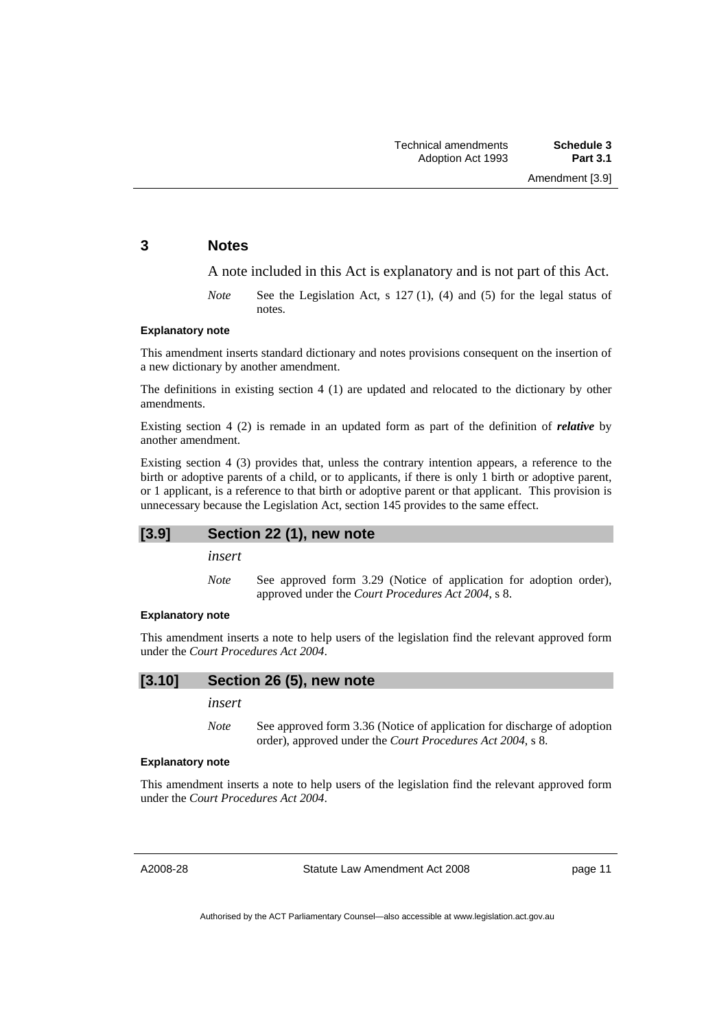Amendment [3.9]

#### **3 Notes**

A note included in this Act is explanatory and is not part of this Act.

*Note* See the Legislation Act, s 127 (1), (4) and (5) for the legal status of notes.

#### **Explanatory note**

This amendment inserts standard dictionary and notes provisions consequent on the insertion of a new dictionary by another amendment.

The definitions in existing section 4 (1) are updated and relocated to the dictionary by other amendments.

Existing section 4 (2) is remade in an updated form as part of the definition of *relative* by another amendment.

Existing section 4 (3) provides that, unless the contrary intention appears, a reference to the birth or adoptive parents of a child, or to applicants, if there is only 1 birth or adoptive parent, or 1 applicant, is a reference to that birth or adoptive parent or that applicant. This provision is unnecessary because the Legislation Act, section 145 provides to the same effect.

#### **[3.9] Section 22 (1), new note**

*insert* 

*Note* See approved form 3.29 (Notice of application for adoption order), approved under the *Court Procedures Act 2004*, s 8.

#### **Explanatory note**

This amendment inserts a note to help users of the legislation find the relevant approved form under the *Court Procedures Act 2004*.

# **[3.10] Section 26 (5), new note**

# *insert*

*Note* See approved form 3.36 (Notice of application for discharge of adoption order), approved under the *Court Procedures Act 2004*, s 8.

#### **Explanatory note**

This amendment inserts a note to help users of the legislation find the relevant approved form under the *Court Procedures Act 2004*.

A2008-28

Statute Law Amendment Act 2008

page 11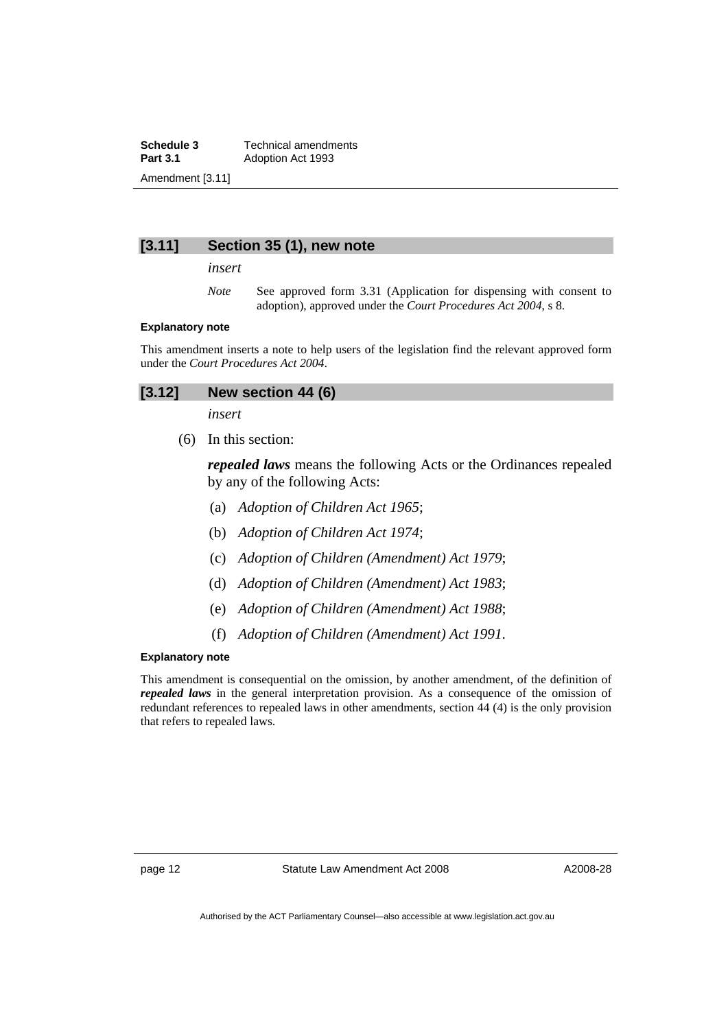**Schedule 3 Technical amendments**<br>**Part 3.1 Adoption Act 1993 Adoption Act 1993** Amendment [3.11]

### **[3.11] Section 35 (1), new note**

*insert* 

*Note* See approved form 3.31 (Application for dispensing with consent to adoption), approved under the *Court Procedures Act 2004*, s 8.

#### **Explanatory note**

This amendment inserts a note to help users of the legislation find the relevant approved form under the *Court Procedures Act 2004*.

| [3.12]<br>New section 44 (6) |
|------------------------------|
|------------------------------|

*insert* 

(6) In this section:

*repealed laws* means the following Acts or the Ordinances repealed by any of the following Acts:

- (a) *Adoption of Children Act 1965*;
- (b) *Adoption of Children Act 1974*;
- (c) *Adoption of Children (Amendment) Act 1979*;
- (d) *Adoption of Children (Amendment) Act 1983*;
- (e) *Adoption of Children (Amendment) Act 1988*;
- (f) *Adoption of Children (Amendment) Act 1991*.

#### **Explanatory note**

This amendment is consequential on the omission, by another amendment, of the definition of *repealed laws* in the general interpretation provision. As a consequence of the omission of redundant references to repealed laws in other amendments, section 44 (4) is the only provision that refers to repealed laws.

page 12 Statute Law Amendment Act 2008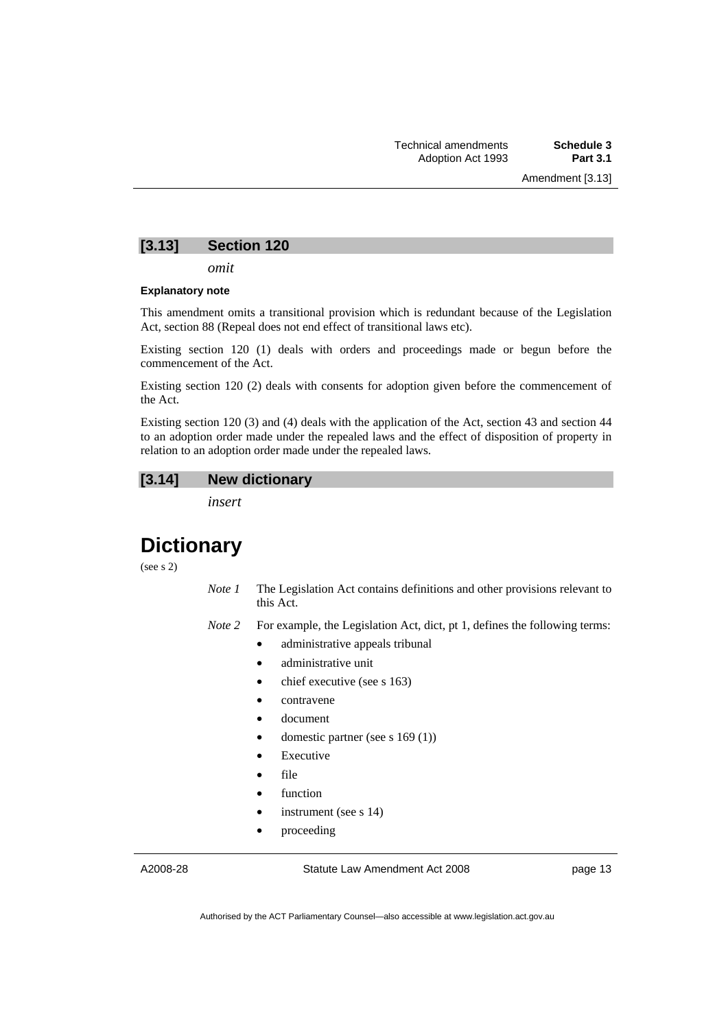### **[3.13] Section 120**

*omit* 

#### **Explanatory note**

This amendment omits a transitional provision which is redundant because of the Legislation Act, section 88 (Repeal does not end effect of transitional laws etc).

Existing section 120 (1) deals with orders and proceedings made or begun before the commencement of the Act.

Existing section 120 (2) deals with consents for adoption given before the commencement of the Act.

Existing section 120 (3) and (4) deals with the application of the Act, section 43 and section 44 to an adoption order made under the repealed laws and the effect of disposition of property in relation to an adoption order made under the repealed laws.

### **[3.14] New dictionary**

*insert* 

# **Dictionary**

(see s 2)

*Note 1* The Legislation Act contains definitions and other provisions relevant to this Act.

*Note 2* For example, the Legislation Act, dict, pt 1, defines the following terms:

- administrative appeals tribunal
- administrative unit
- chief executive (see s 163)
- contravene
- document
- domestic partner (see s 169 (1))
- **Executive**
- file
- function
- instrument (see s 14)
- proceeding

A2008-28

Statute Law Amendment Act 2008

page 13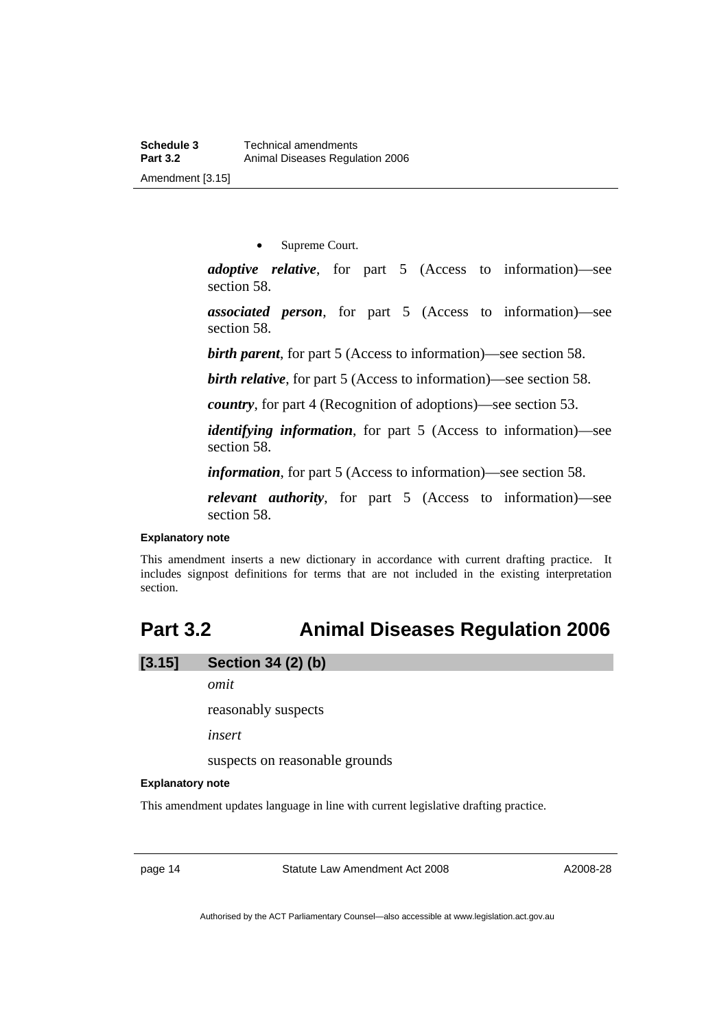• Supreme Court.

<span id="page-17-0"></span>*adoptive relative*, for part 5 (Access to information)—see section 58.

*associated person*, for part 5 (Access to information)—see section 58.

*birth parent*, for part 5 (Access to information)—see section 58.

*birth relative*, for part 5 (Access to information)—see section 58.

*country*, for part 4 (Recognition of adoptions)—see section 53.

*identifying information*, for part 5 (Access to information)—see section 58.

*information*, for part 5 (Access to information)—see section 58.

*relevant authority*, for part 5 (Access to information)—see section 58.

#### **Explanatory note**

This amendment inserts a new dictionary in accordance with current drafting practice. It includes signpost definitions for terms that are not included in the existing interpretation section.

# **Part 3.2 Animal Diseases Regulation 2006**

**[3.15] Section 34 (2) (b)** 

*omit* 

reasonably suspects

*insert* 

suspects on reasonable grounds

#### **Explanatory note**

This amendment updates language in line with current legislative drafting practice.

page 14 Statute Law Amendment Act 2008

A2008-28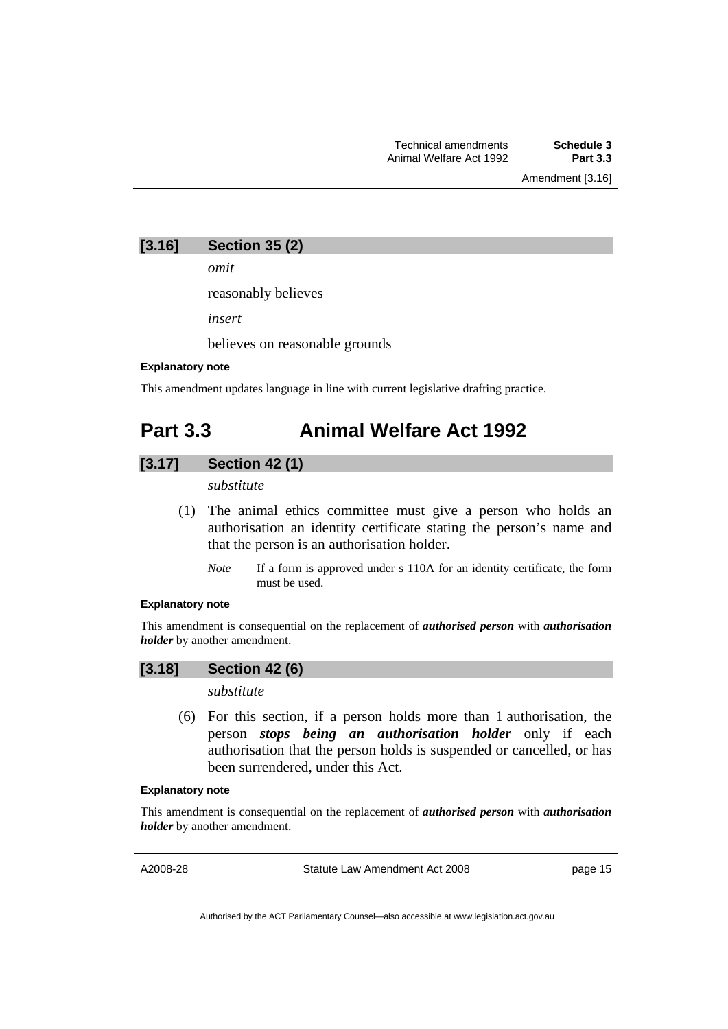Amendment [3.16]

<span id="page-18-0"></span>

| [3.16] | <b>Section 35 (2)</b> |  |  |
|--------|-----------------------|--|--|
|--------|-----------------------|--|--|

*omit* 

reasonably believes

*insert* 

believes on reasonable grounds

#### **Explanatory note**

This amendment updates language in line with current legislative drafting practice.

# **Part 3.3 Animal Welfare Act 1992**

# **[3.17] Section 42 (1)**

*substitute* 

- (1) The animal ethics committee must give a person who holds an authorisation an identity certificate stating the person's name and that the person is an authorisation holder.
	- *Note* If a form is approved under s 110A for an identity certificate, the form must be used.

#### **Explanatory note**

This amendment is consequential on the replacement of *authorised person* with *authorisation holder* by another amendment.

### **[3.18] Section 42 (6)**

# *substitute*

 (6) For this section, if a person holds more than 1 authorisation, the person *stops being an authorisation holder* only if each authorisation that the person holds is suspended or cancelled, or has been surrendered, under this Act.

#### **Explanatory note**

This amendment is consequential on the replacement of *authorised person* with *authorisation holder* by another amendment.

A2008-28

Statute Law Amendment Act 2008

page 15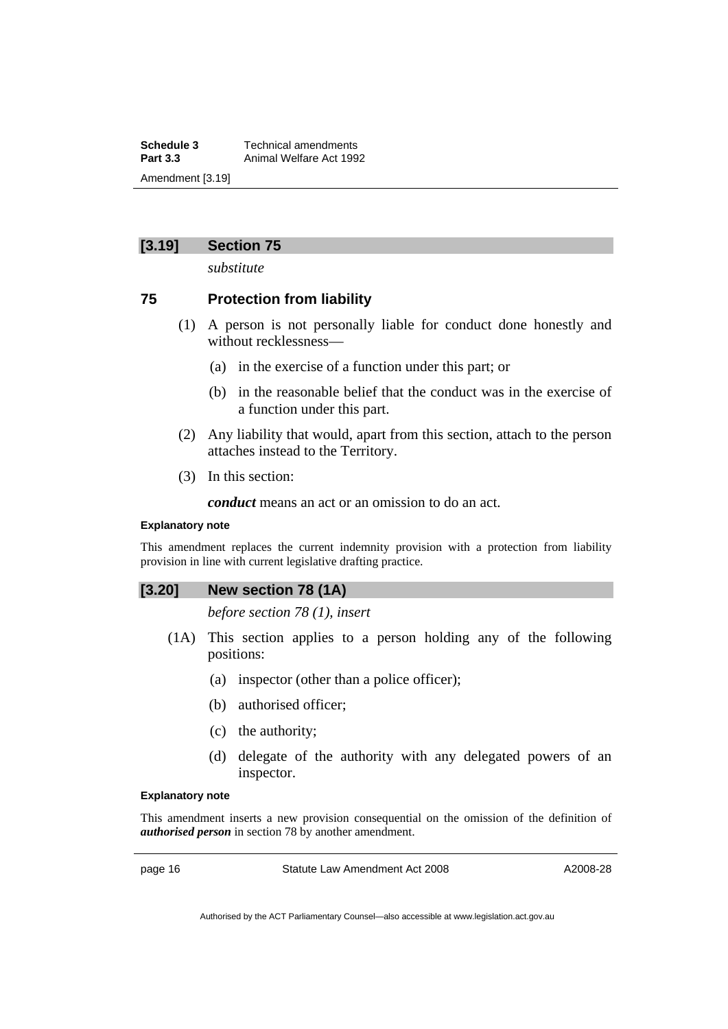**Schedule 3 Technical amendments**<br>**Part 3.3 Animal Welfare Act 199 Part 3.3** Animal Welfare Act 1992 Amendment [3.19]

# **[3.19] Section 75**

*substitute* 

# **75 Protection from liability**

- (1) A person is not personally liable for conduct done honestly and without recklessness—
	- (a) in the exercise of a function under this part; or
	- (b) in the reasonable belief that the conduct was in the exercise of a function under this part.
- (2) Any liability that would, apart from this section, attach to the person attaches instead to the Territory.
- (3) In this section:

*conduct* means an act or an omission to do an act.

#### **Explanatory note**

This amendment replaces the current indemnity provision with a protection from liability provision in line with current legislative drafting practice.

#### **[3.20] New section 78 (1A)**

*before section 78 (1), insert* 

- (1A) This section applies to a person holding any of the following positions:
	- (a) inspector (other than a police officer);
	- (b) authorised officer;
	- (c) the authority;
	- (d) delegate of the authority with any delegated powers of an inspector.

#### **Explanatory note**

This amendment inserts a new provision consequential on the omission of the definition of *authorised person* in section 78 by another amendment.

page 16 Statute Law Amendment Act 2008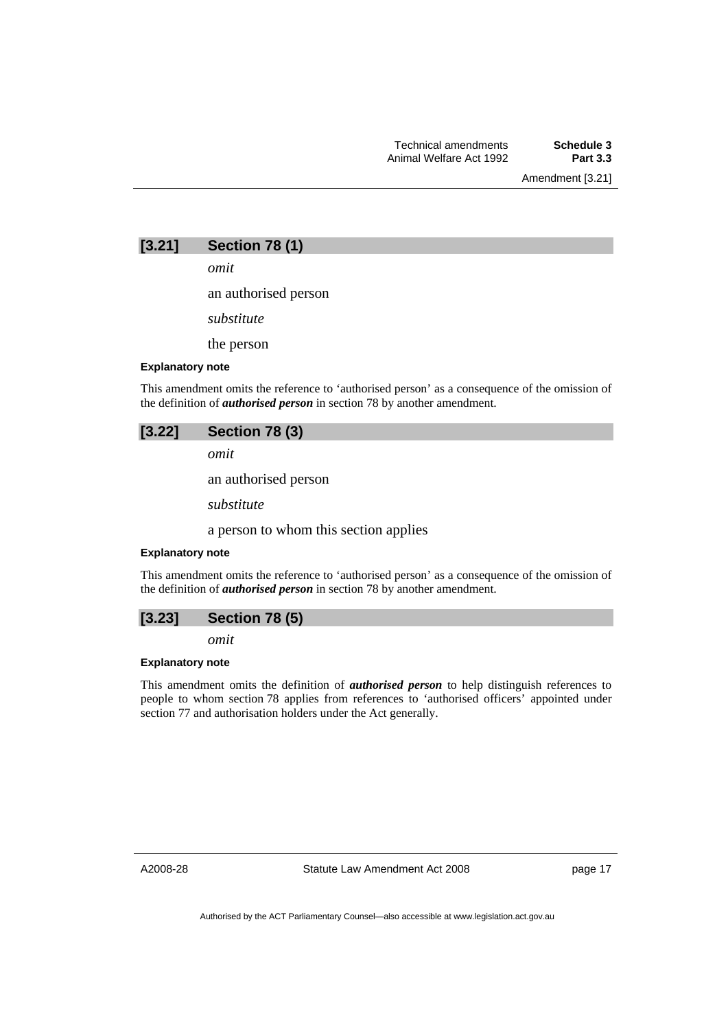Amendment [3.21]

# **[3.21] Section 78 (1)**

*omit* 

an authorised person

*substitute* 

the person

#### **Explanatory note**

This amendment omits the reference to 'authorised person' as a consequence of the omission of the definition of *authorised person* in section 78 by another amendment.

#### **[3.22] Section 78 (3)**

*omit* 

an authorised person

*substitute* 

a person to whom this section applies

#### **Explanatory note**

This amendment omits the reference to 'authorised person' as a consequence of the omission of the definition of *authorised person* in section 78 by another amendment.



*omit* 

### **Explanatory note**

This amendment omits the definition of *authorised person* to help distinguish references to people to whom section 78 applies from references to 'authorised officers' appointed under section 77 and authorisation holders under the Act generally.

A2008-28

Statute Law Amendment Act 2008

page 17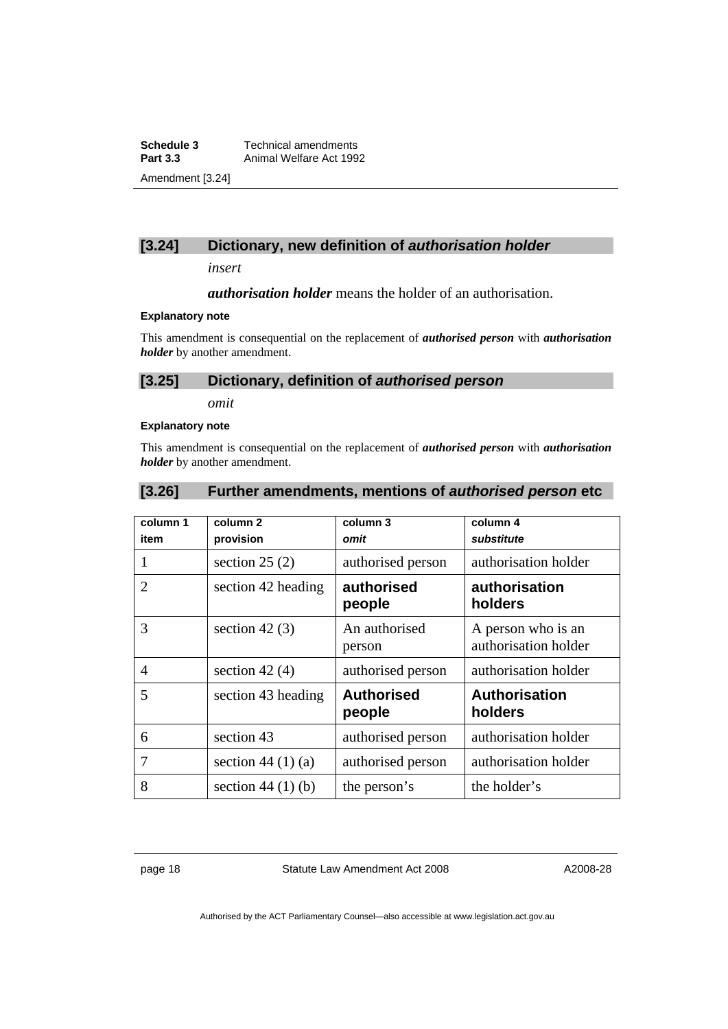**Schedule 3 Technical amendments**<br>**Part 3.3 Animal Welfare Act 199 Part 3.3** Animal Welfare Act 1992 Amendment [3.24]

# **[3.24] Dictionary, new definition of** *authorisation holder*

*insert* 

*authorisation holder* means the holder of an authorisation.

#### **Explanatory note**

This amendment is consequential on the replacement of *authorised person* with *authorisation holder* by another amendment.

# **[3.25] Dictionary, definition of** *authorised person*

*omit* 

### **Explanatory note**

This amendment is consequential on the replacement of *authorised person* with *authorisation holder* by another amendment.

### **[3.26] Further amendments, mentions of** *authorised person* **etc**

| column 1<br>item | column <sub>2</sub><br>provision | column 3<br>omit            | column 4<br>substitute                     |
|------------------|----------------------------------|-----------------------------|--------------------------------------------|
|                  | section $25(2)$                  | authorised person           | authorisation holder                       |
| 2                | section 42 heading               | authorised<br>people        | authorisation<br>holders                   |
| 3                | section 42 $(3)$                 | An authorised<br>person     | A person who is an<br>authorisation holder |
| $\overline{4}$   | section 42 $(4)$                 | authorised person           | authorisation holder                       |
| 5                | section 43 heading               | <b>Authorised</b><br>people | <b>Authorisation</b><br>holders            |
| 6                | section 43                       | authorised person           | authorisation holder                       |
| 7                | section 44 $(1)(a)$              | authorised person           | authorisation holder                       |
| 8                | section 44 $(1)$ $(b)$           | the person's                | the holder's                               |

page 18 Statute Law Amendment Act 2008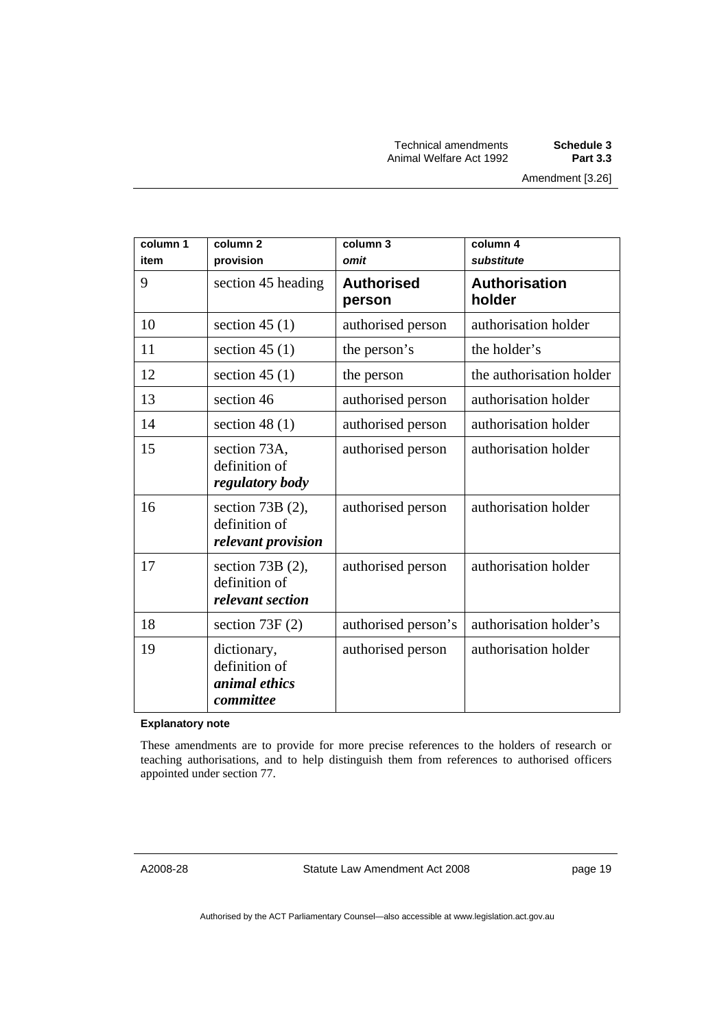| column 1<br>item | column <sub>2</sub><br>provision                                  | column 3<br>omit            | column 4<br>substitute         |
|------------------|-------------------------------------------------------------------|-----------------------------|--------------------------------|
| 9                | section 45 heading                                                | <b>Authorised</b><br>person | <b>Authorisation</b><br>holder |
| 10               | section 45 $(1)$                                                  | authorised person           | authorisation holder           |
| 11               | section 45 $(1)$                                                  | the person's                | the holder's                   |
| 12               | section 45 $(1)$                                                  | the person                  | the authorisation holder       |
| 13               | section 46                                                        | authorised person           | authorisation holder           |
| 14               | section 48 $(1)$                                                  | authorised person           | authorisation holder           |
| 15               | section 73A,<br>definition of<br>regulatory body                  | authorised person           | authorisation holder           |
| 16               | section $73B(2)$ ,<br>definition of<br>relevant provision         | authorised person           | authorisation holder           |
| 17               | section $73B(2)$ ,<br>definition of<br>relevant section           | authorised person           | authorisation holder           |
| 18               | section $73F(2)$                                                  | authorised person's         | authorisation holder's         |
| 19               | dictionary,<br>definition of<br><i>animal ethics</i><br>committee | authorised person           | authorisation holder           |

#### **Explanatory note**

These amendments are to provide for more precise references to the holders of research or teaching authorisations, and to help distinguish them from references to authorised officers appointed under section 77.

Statute Law Amendment Act 2008

page 19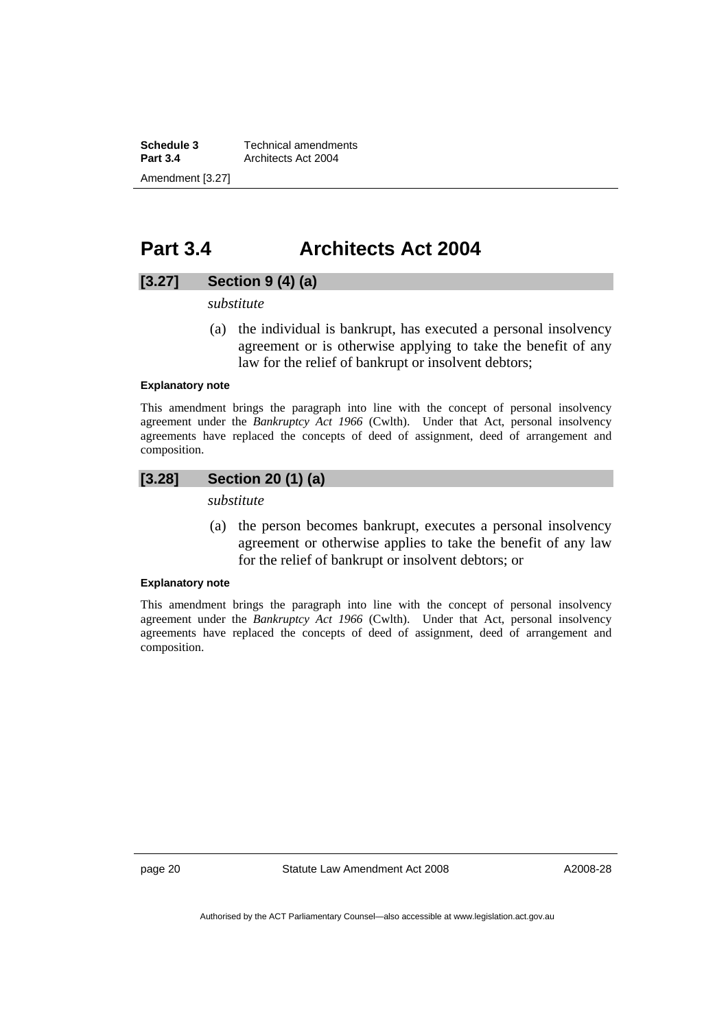<span id="page-23-0"></span>**Schedule 3 Technical amendments**<br>**Part 3.4 Architects Act 2004 Part 3.4** Architects Act 2004 Amendment [3.27]

# **Part 3.4 Architects Act 2004**

### **[3.27] Section 9 (4) (a)**

*substitute* 

 (a) the individual is bankrupt, has executed a personal insolvency agreement or is otherwise applying to take the benefit of any law for the relief of bankrupt or insolvent debtors;

#### **Explanatory note**

This amendment brings the paragraph into line with the concept of personal insolvency agreement under the *Bankruptcy Act 1966* (Cwlth). Under that Act, personal insolvency agreements have replaced the concepts of deed of assignment, deed of arrangement and composition.

# **[3.28] Section 20 (1) (a)**

*substitute* 

 (a) the person becomes bankrupt, executes a personal insolvency agreement or otherwise applies to take the benefit of any law for the relief of bankrupt or insolvent debtors; or

#### **Explanatory note**

This amendment brings the paragraph into line with the concept of personal insolvency agreement under the *Bankruptcy Act 1966* (Cwlth). Under that Act, personal insolvency agreements have replaced the concepts of deed of assignment, deed of arrangement and composition.

page 20 Statute Law Amendment Act 2008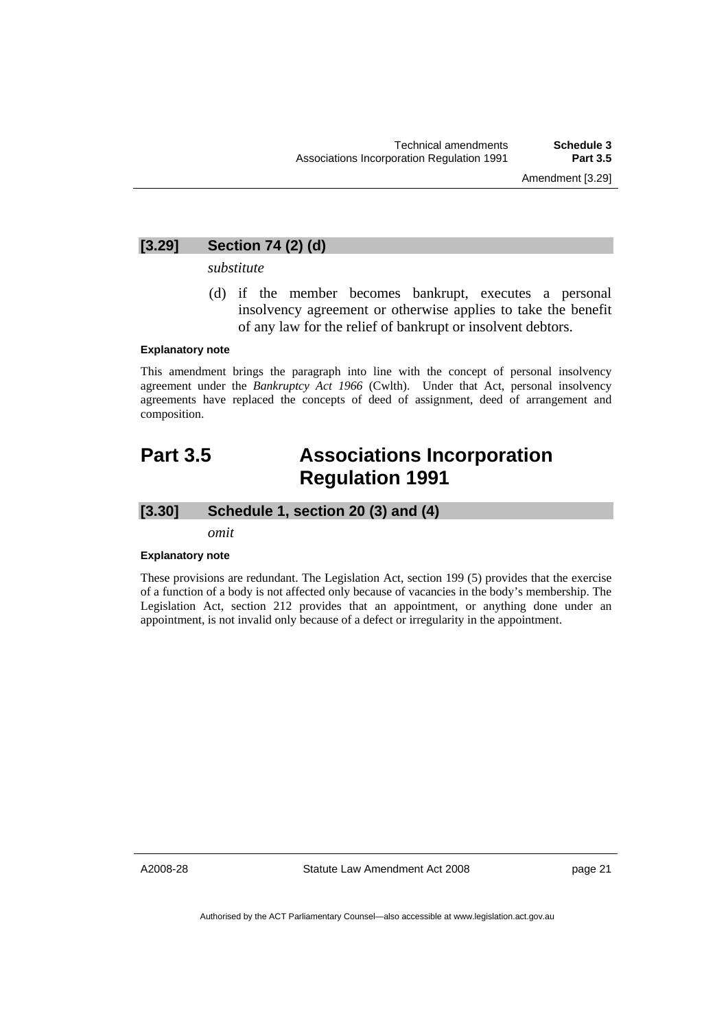# <span id="page-24-0"></span>**[3.29] Section 74 (2) (d)**

*substitute* 

 (d) if the member becomes bankrupt, executes a personal insolvency agreement or otherwise applies to take the benefit of any law for the relief of bankrupt or insolvent debtors.

#### **Explanatory note**

This amendment brings the paragraph into line with the concept of personal insolvency agreement under the *Bankruptcy Act 1966* (Cwlth). Under that Act, personal insolvency agreements have replaced the concepts of deed of assignment, deed of arrangement and composition.

# **Part 3.5 Associations Incorporation Regulation 1991**

# **[3.30] Schedule 1, section 20 (3) and (4)**

*omit* 

#### **Explanatory note**

These provisions are redundant. The Legislation Act, section 199 (5) provides that the exercise of a function of a body is not affected only because of vacancies in the body's membership. The Legislation Act, section 212 provides that an appointment, or anything done under an appointment, is not invalid only because of a defect or irregularity in the appointment.

A2008-28

Statute Law Amendment Act 2008

page 21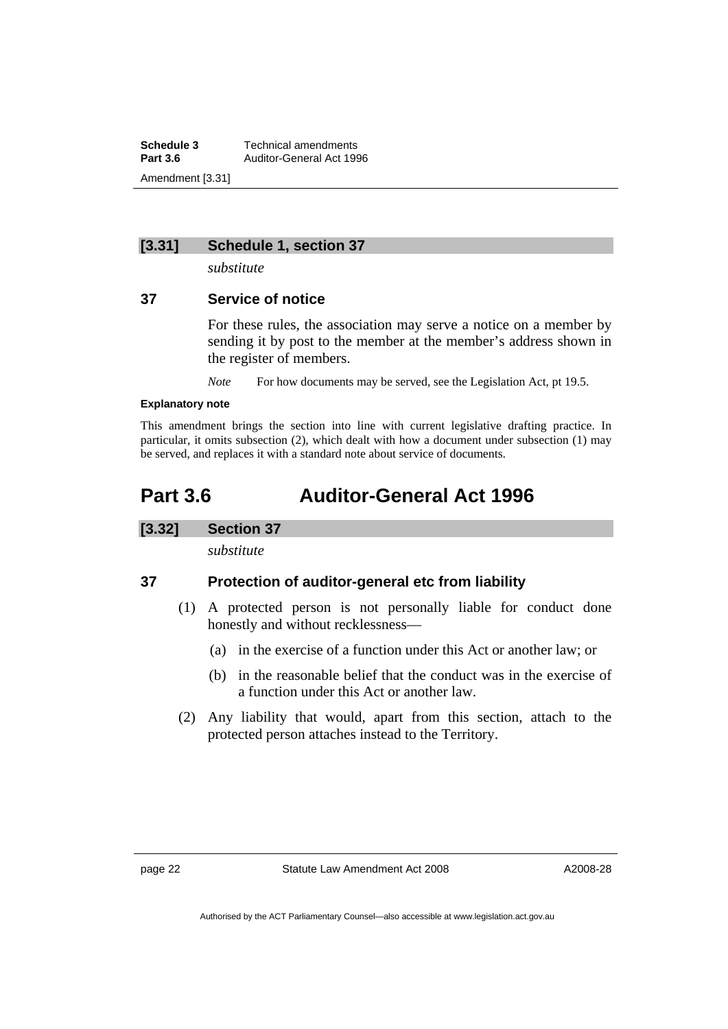<span id="page-25-0"></span>**Schedule 3 Technical amendments**<br>**Part 3.6 Auditor-General Act 199 Part 3.6** Auditor-General Act 1996 Amendment [3.31]

### **[3.31] Schedule 1, section 37**

*substitute* 

# **37 Service of notice**

For these rules, the association may serve a notice on a member by sending it by post to the member at the member's address shown in the register of members.

*Note* For how documents may be served, see the Legislation Act, pt 19.5.

#### **Explanatory note**

This amendment brings the section into line with current legislative drafting practice. In particular, it omits subsection (2), which dealt with how a document under subsection (1) may be served, and replaces it with a standard note about service of documents.

# **Part 3.6 Auditor-General Act 1996**

# **[3.32] Section 37**

*substitute* 

# **37 Protection of auditor-general etc from liability**

- (1) A protected person is not personally liable for conduct done honestly and without recklessness—
	- (a) in the exercise of a function under this Act or another law; or
	- (b) in the reasonable belief that the conduct was in the exercise of a function under this Act or another law.
- (2) Any liability that would, apart from this section, attach to the protected person attaches instead to the Territory.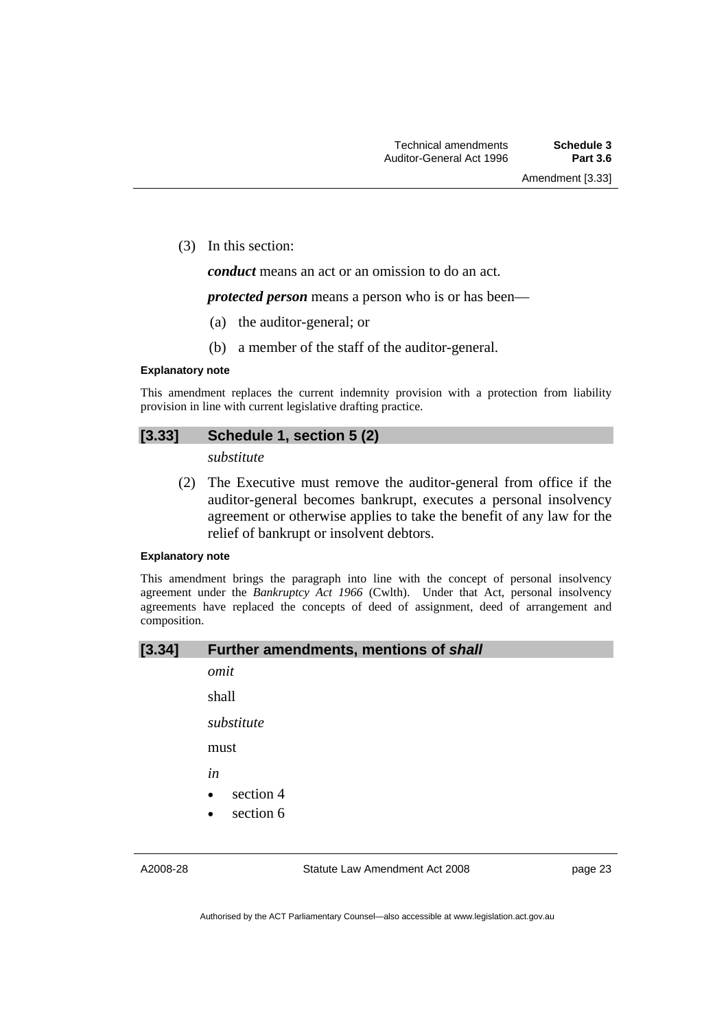Amendment [3.33]

(3) In this section:

*conduct* means an act or an omission to do an act.

*protected person* means a person who is or has been—

- (a) the auditor-general; or
- (b) a member of the staff of the auditor-general.

#### **Explanatory note**

This amendment replaces the current indemnity provision with a protection from liability provision in line with current legislative drafting practice.

# **[3.33] Schedule 1, section 5 (2)**

*substitute* 

 (2) The Executive must remove the auditor-general from office if the auditor-general becomes bankrupt, executes a personal insolvency agreement or otherwise applies to take the benefit of any law for the relief of bankrupt or insolvent debtors.

#### **Explanatory note**

This amendment brings the paragraph into line with the concept of personal insolvency agreement under the *Bankruptcy Act 1966* (Cwlth). Under that Act, personal insolvency agreements have replaced the concepts of deed of assignment, deed of arrangement and composition.

### **[3.34] Further amendments, mentions of** *shall*

*omit* 

shall

*substitute* 

must

*in* 

- section 4
- section 6

A2008-28

Statute Law Amendment Act 2008

page 23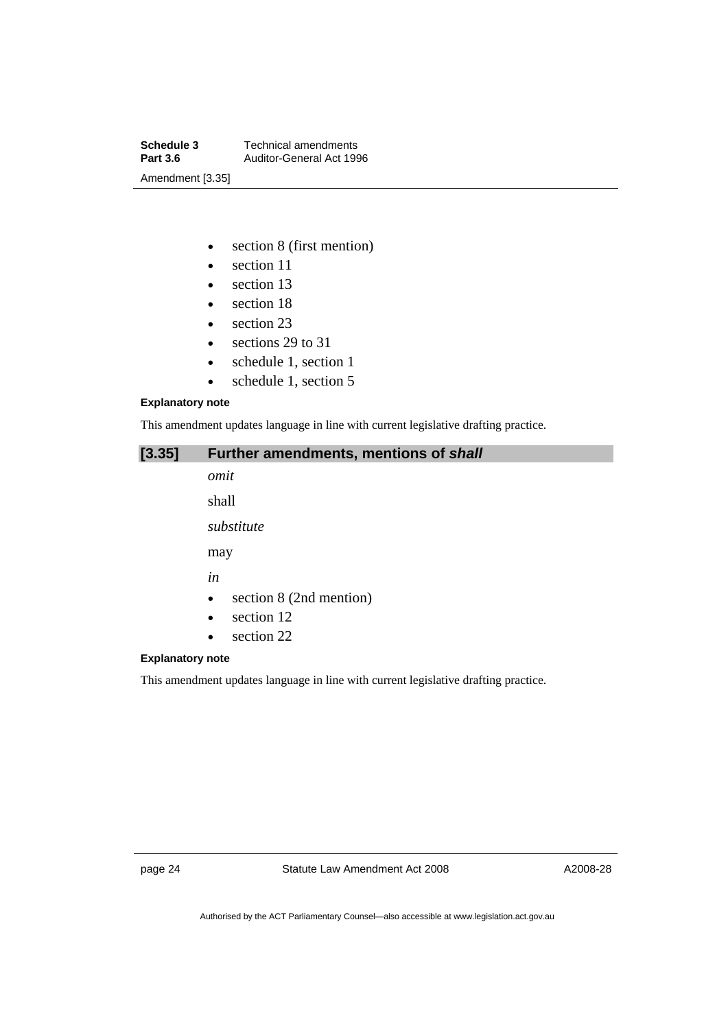**Schedule 3 Technical amendments**<br>**Part 3.6 Auditor-General Act 199 Part 3.6** Auditor-General Act 1996 Amendment [3.35]

- section 8 (first mention)
- section 11
- section 13
- section 18
- section 23
- sections 29 to 31
- schedule 1, section 1
- schedule 1, section 5

#### **Explanatory note**

This amendment updates language in line with current legislative drafting practice.

| [3.35] |  | Further amendments, mentions of shall |  |  |  |
|--------|--|---------------------------------------|--|--|--|
|--------|--|---------------------------------------|--|--|--|

*omit*  shall

*substitute* 

may

*in* 

- section 8 (2nd mention)
- section 12
- section 22

#### **Explanatory note**

This amendment updates language in line with current legislative drafting practice.

page 24 Statute Law Amendment Act 2008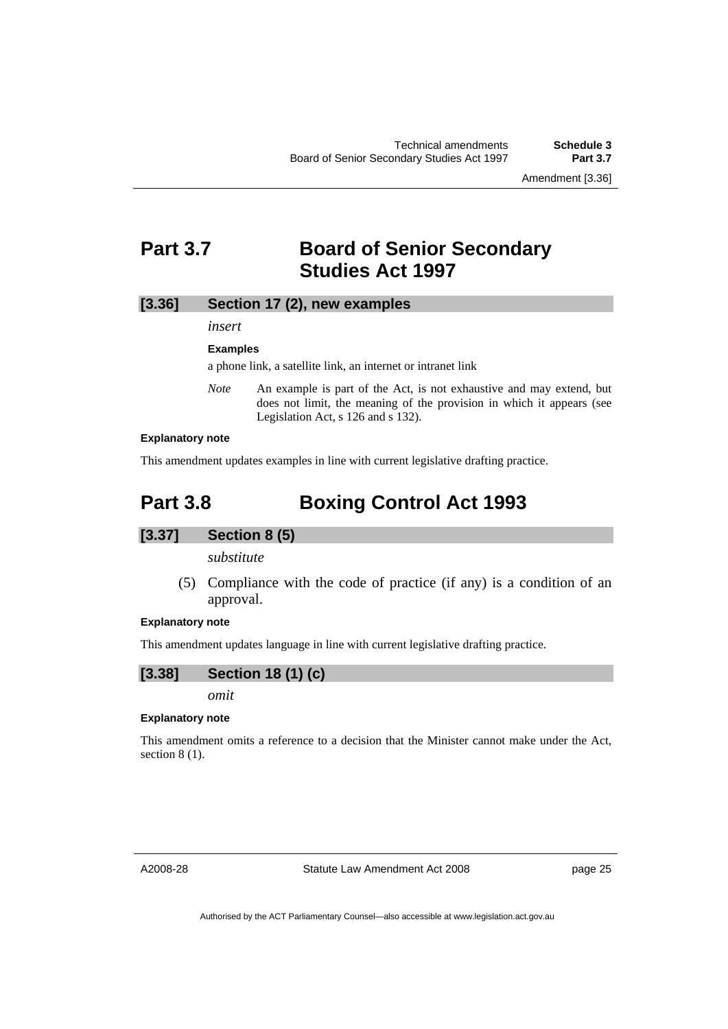Amendment [3.36]

# <span id="page-28-0"></span>**Part 3.7 Board of Senior Secondary Studies Act 1997**

# **[3.36] Section 17 (2), new examples**

*insert* 

#### **Examples**

a phone link, a satellite link, an internet or intranet link

*Note* An example is part of the Act, is not exhaustive and may extend, but does not limit, the meaning of the provision in which it appears (see Legislation Act, s 126 and s 132).

#### **Explanatory note**

This amendment updates examples in line with current legislative drafting practice.

# **Part 3.8 Boxing Control Act 1993**

#### **[3.37] Section 8 (5)**

*substitute* 

 (5) Compliance with the code of practice (if any) is a condition of an approval.

#### **Explanatory note**

This amendment updates language in line with current legislative drafting practice.

$$
[3.38] \qquad Section 18 (1) (c)
$$

*omit* 

#### **Explanatory note**

This amendment omits a reference to a decision that the Minister cannot make under the Act, section 8 (1).

A2008-28

Statute Law Amendment Act 2008

page 25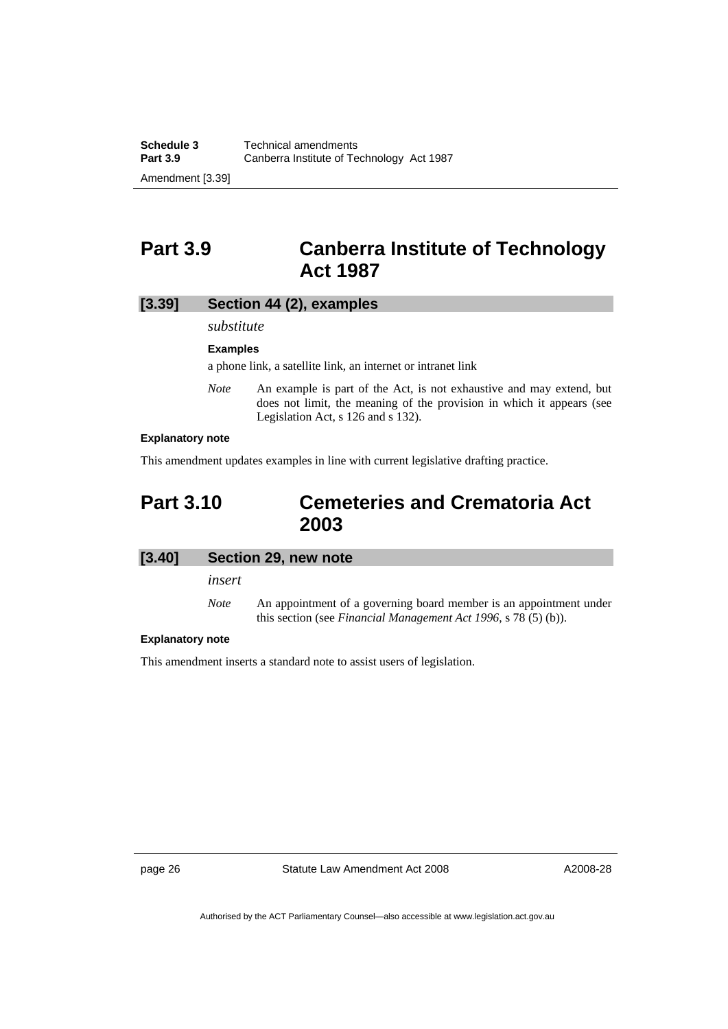# <span id="page-29-0"></span>**Part 3.9 Canberra Institute of Technology Act 1987**

# **[3.39] Section 44 (2), examples**

*substitute* 

#### **Examples**

a phone link, a satellite link, an internet or intranet link

*Note* An example is part of the Act, is not exhaustive and may extend, but does not limit, the meaning of the provision in which it appears (see Legislation Act, s 126 and s 132).

#### **Explanatory note**

This amendment updates examples in line with current legislative drafting practice.

# **Part 3.10 Cemeteries and Crematoria Act 2003**

| [3.40] | Section 29, new note |
|--------|----------------------|
|        | insert               |

*Note* An appointment of a governing board member is an appointment under this section (see *Financial Management Act 1996*, s 78 (5) (b)).

#### **Explanatory note**

This amendment inserts a standard note to assist users of legislation.

page 26 Statute Law Amendment Act 2008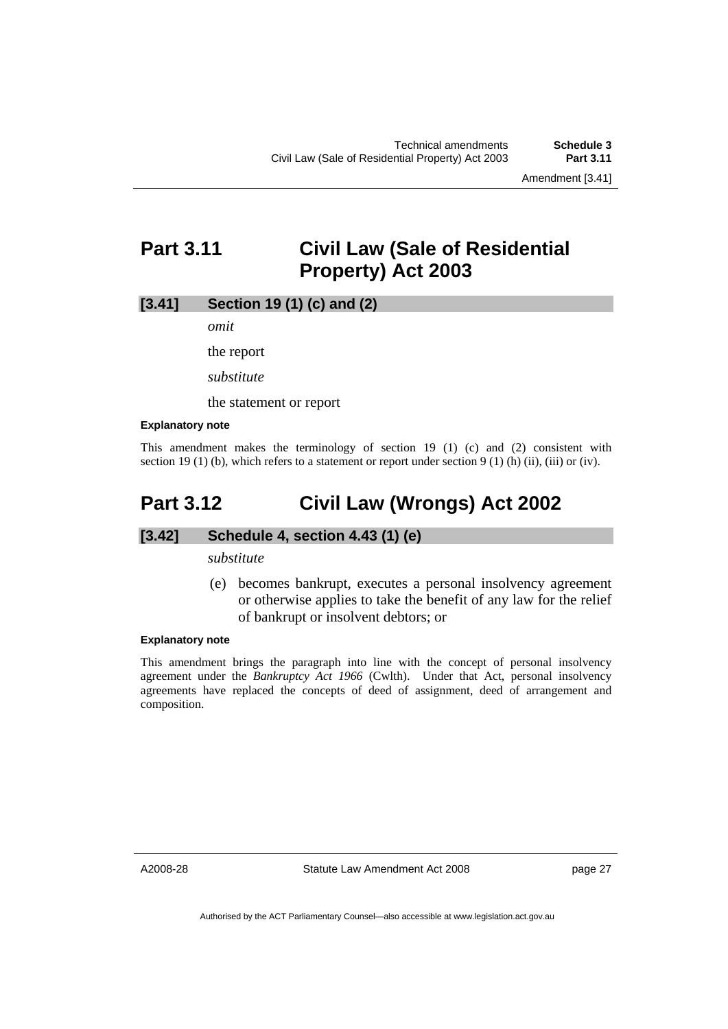Amendment [3.41]

# <span id="page-30-0"></span>**Part 3.11 Civil Law (Sale of Residential Property) Act 2003**

### **[3.41] Section 19 (1) (c) and (2)**

*omit* 

the report

*substitute* 

the statement or report

#### **Explanatory note**

This amendment makes the terminology of section 19 (1) (c) and (2) consistent with section 19 (1) (b), which refers to a statement or report under section 9 (1) (h) (ii), (iii) or (iv).

# **Part 3.12 Civil Law (Wrongs) Act 2002**

#### **[3.42] Schedule 4, section 4.43 (1) (e)**

*substitute* 

 (e) becomes bankrupt, executes a personal insolvency agreement or otherwise applies to take the benefit of any law for the relief of bankrupt or insolvent debtors; or

#### **Explanatory note**

This amendment brings the paragraph into line with the concept of personal insolvency agreement under the *Bankruptcy Act 1966* (Cwlth). Under that Act, personal insolvency agreements have replaced the concepts of deed of assignment, deed of arrangement and composition.

A2008-28

Statute Law Amendment Act 2008

page 27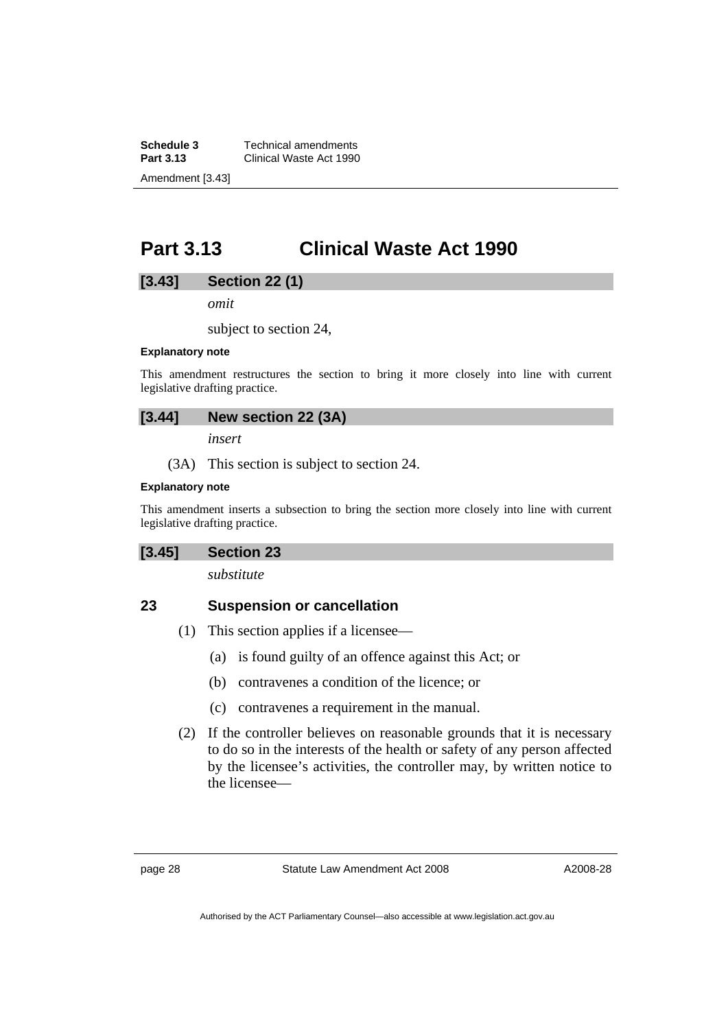<span id="page-31-0"></span>**Schedule 3 Technical amendments**<br>**Part 3.13 Clinical Waste Act 1990 Part 3.13** Clinical Waste Act 1990 Amendment [3.43]

# **Part 3.13 Clinical Waste Act 1990**

### **[3.43] Section 22 (1)**

*omit* 

subject to section 24,

#### **Explanatory note**

This amendment restructures the section to bring it more closely into line with current legislative drafting practice.

# **[3.44] New section 22 (3A)**

*insert* 

(3A) This section is subject to section 24.

#### **Explanatory note**

This amendment inserts a subsection to bring the section more closely into line with current legislative drafting practice.

### **[3.45] Section 23**

*substitute* 

# **23 Suspension or cancellation**

- (1) This section applies if a licensee—
	- (a) is found guilty of an offence against this Act; or
	- (b) contravenes a condition of the licence; or
	- (c) contravenes a requirement in the manual.
- (2) If the controller believes on reasonable grounds that it is necessary to do so in the interests of the health or safety of any person affected by the licensee's activities, the controller may, by written notice to the licensee—

page 28 Statute Law Amendment Act 2008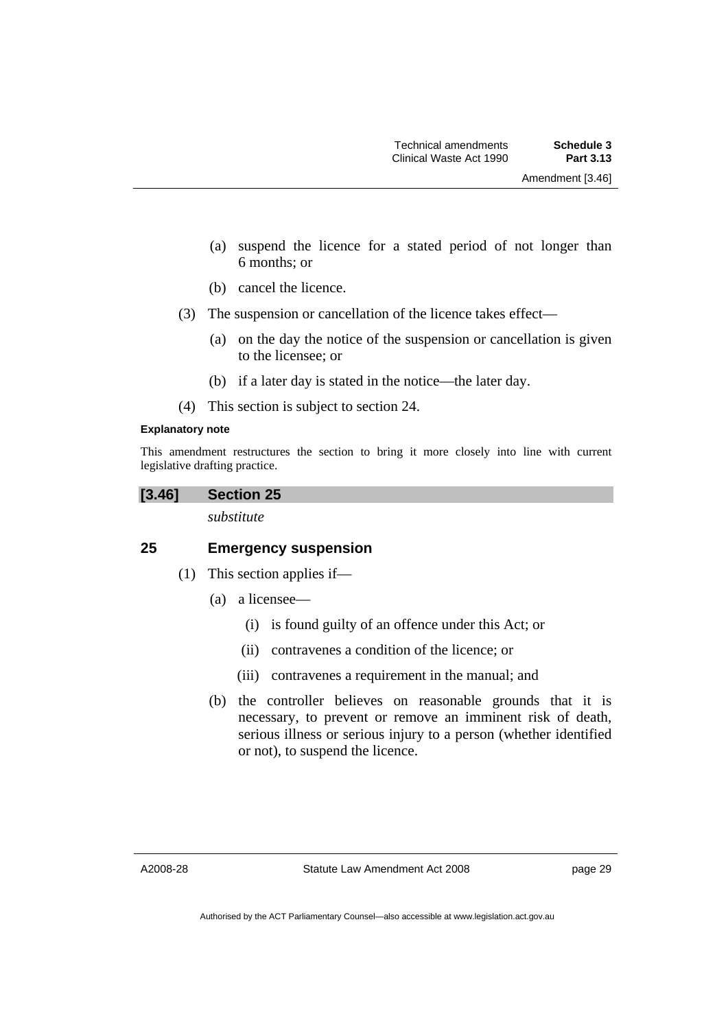- (a) suspend the licence for a stated period of not longer than 6 months; or
- (b) cancel the licence.
- (3) The suspension or cancellation of the licence takes effect—
	- (a) on the day the notice of the suspension or cancellation is given to the licensee; or
	- (b) if a later day is stated in the notice—the later day.
- (4) This section is subject to section 24.

#### **Explanatory note**

This amendment restructures the section to bring it more closely into line with current legislative drafting practice.

**[3.46] Section 25** 

*substitute* 

# **25 Emergency suspension**

- (1) This section applies if—
	- (a) a licensee—
		- (i) is found guilty of an offence under this Act; or
		- (ii) contravenes a condition of the licence; or
		- (iii) contravenes a requirement in the manual; and
	- (b) the controller believes on reasonable grounds that it is necessary, to prevent or remove an imminent risk of death, serious illness or serious injury to a person (whether identified or not), to suspend the licence.

A2008-28

page 29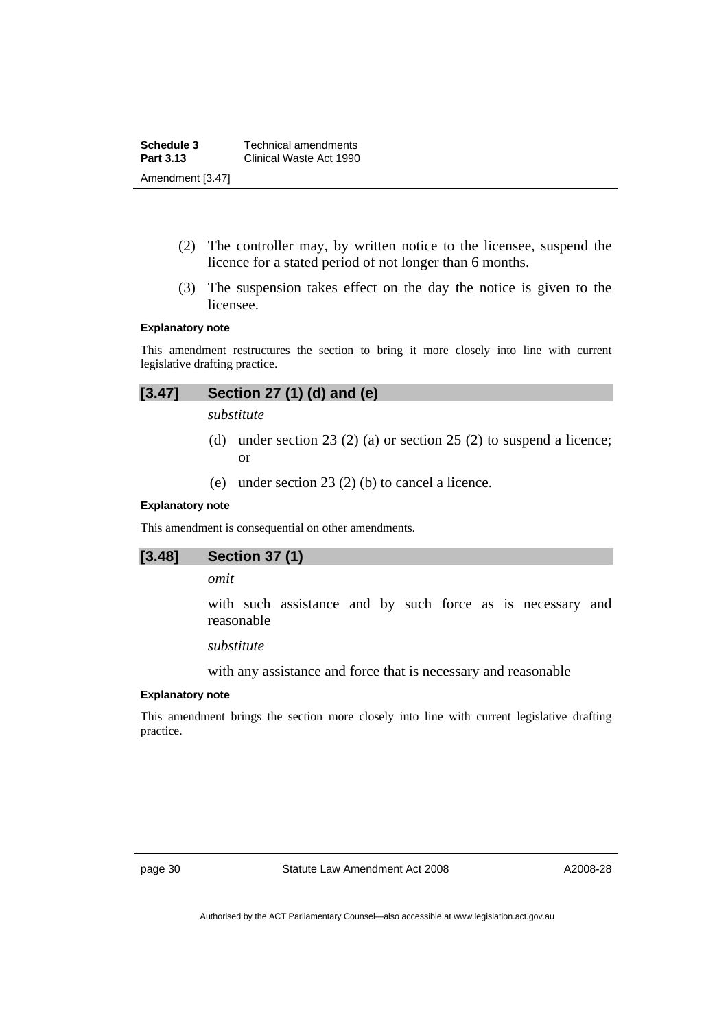**Schedule 3 Technical amendments**<br>**Part 3.13 Clinical Waste Act 1990 Part 3.13** Clinical Waste Act 1990 Amendment [3.47]

- (2) The controller may, by written notice to the licensee, suspend the licence for a stated period of not longer than 6 months.
- (3) The suspension takes effect on the day the notice is given to the licensee.

#### **Explanatory note**

This amendment restructures the section to bring it more closely into line with current legislative drafting practice.

# **[3.47] Section 27 (1) (d) and (e)**

*substitute* 

- (d) under section 23 (2) (a) or section 25 (2) to suspend a licence; or
- (e) under section 23 (2) (b) to cancel a licence.

#### **Explanatory note**

This amendment is consequential on other amendments.

# **[3.48] Section 37 (1)**

#### *omit*

with such assistance and by such force as is necessary and reasonable

# *substitute*

with any assistance and force that is necessary and reasonable

#### **Explanatory note**

This amendment brings the section more closely into line with current legislative drafting practice.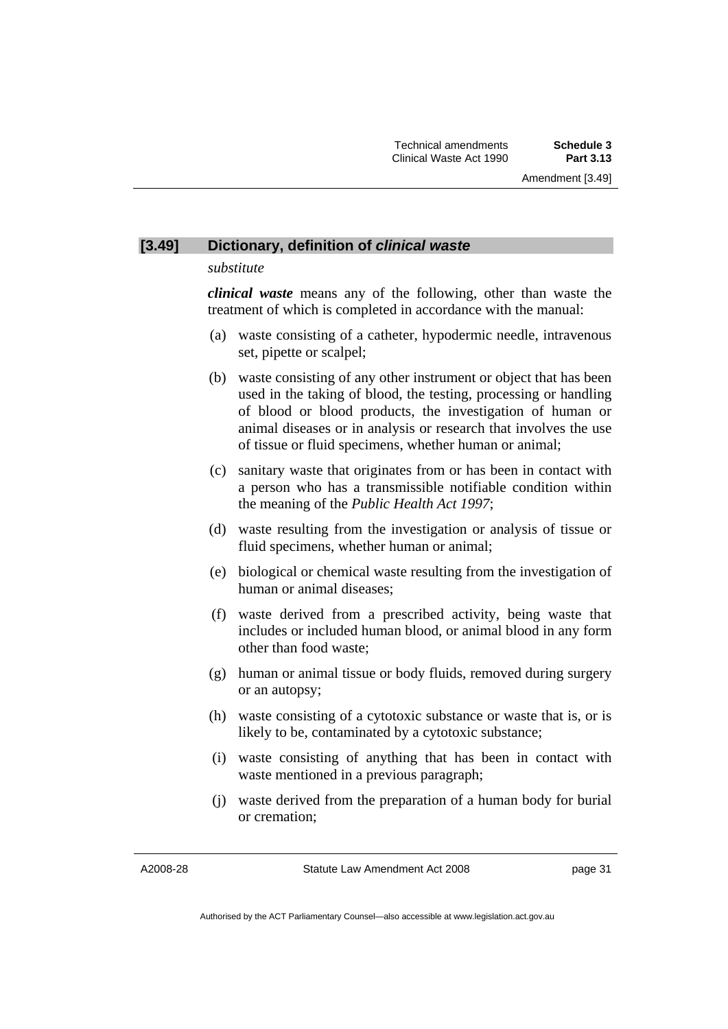# **[3.49] Dictionary, definition of** *clinical waste*

#### *substitute*

*clinical waste* means any of the following, other than waste the treatment of which is completed in accordance with the manual:

- (a) waste consisting of a catheter, hypodermic needle, intravenous set, pipette or scalpel;
- (b) waste consisting of any other instrument or object that has been used in the taking of blood, the testing, processing or handling of blood or blood products, the investigation of human or animal diseases or in analysis or research that involves the use of tissue or fluid specimens, whether human or animal;
- (c) sanitary waste that originates from or has been in contact with a person who has a transmissible notifiable condition within the meaning of the *Public Health Act 1997*;
- (d) waste resulting from the investigation or analysis of tissue or fluid specimens, whether human or animal;
- (e) biological or chemical waste resulting from the investigation of human or animal diseases;
- (f) waste derived from a prescribed activity, being waste that includes or included human blood, or animal blood in any form other than food waste;
- (g) human or animal tissue or body fluids, removed during surgery or an autopsy;
- (h) waste consisting of a cytotoxic substance or waste that is, or is likely to be, contaminated by a cytotoxic substance;
- (i) waste consisting of anything that has been in contact with waste mentioned in a previous paragraph;
- (j) waste derived from the preparation of a human body for burial or cremation;

A2008-28

Statute Law Amendment Act 2008

page 31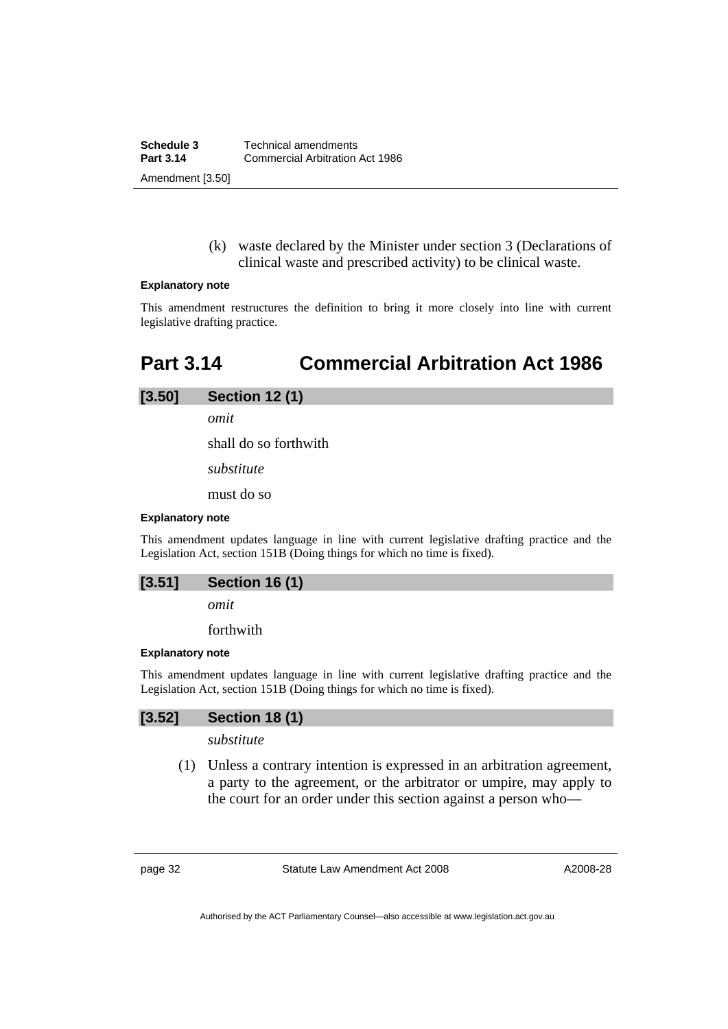(k) waste declared by the Minister under section 3 (Declarations of clinical waste and prescribed activity) to be clinical waste.

#### <span id="page-35-0"></span>**Explanatory note**

This amendment restructures the definition to bring it more closely into line with current legislative drafting practice.

# **Part 3.14 Commercial Arbitration Act 1986**

# **[3.50] Section 12 (1)**

*omit* 

shall do so forthwith

*substitute* 

must do so

#### **Explanatory note**

This amendment updates language in line with current legislative drafting practice and the Legislation Act, section 151B (Doing things for which no time is fixed).

| [3.51] | <b>Section 16 (1)</b> |  |  |  |
|--------|-----------------------|--|--|--|
|--------|-----------------------|--|--|--|

*omit* 

forthwith

#### **Explanatory note**

This amendment updates language in line with current legislative drafting practice and the Legislation Act, section 151B (Doing things for which no time is fixed).

### **[3.52] Section 18 (1)**

*substitute* 

 (1) Unless a contrary intention is expressed in an arbitration agreement, a party to the agreement, or the arbitrator or umpire, may apply to the court for an order under this section against a person who—

page 32 Statute Law Amendment Act 2008

A2008-28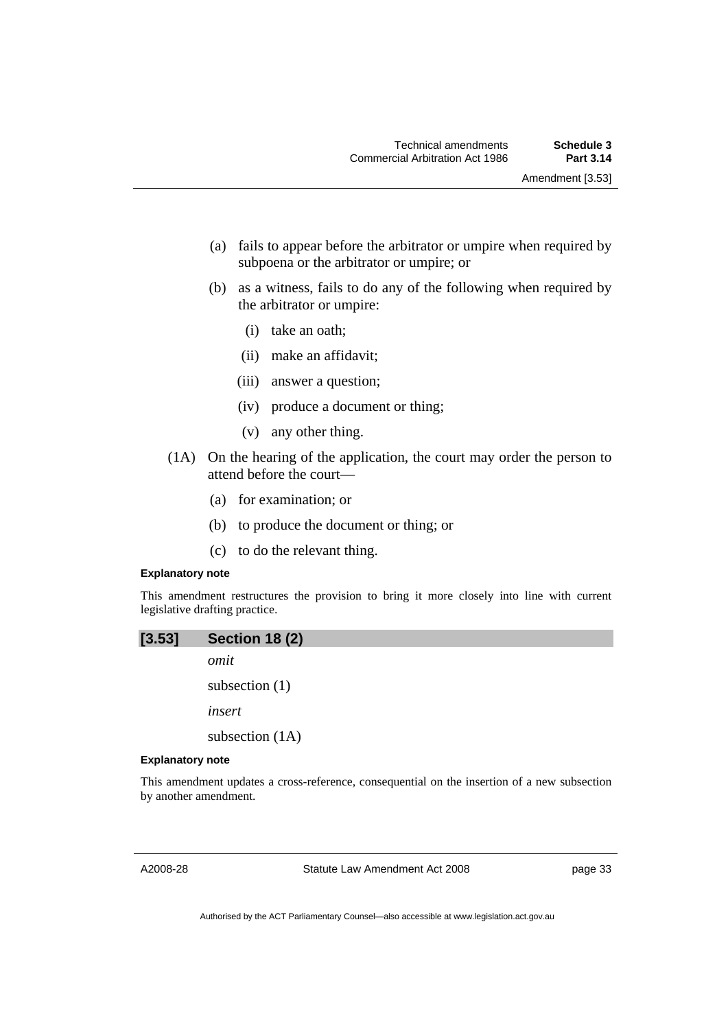- (a) fails to appear before the arbitrator or umpire when required by subpoena or the arbitrator or umpire; or
- (b) as a witness, fails to do any of the following when required by the arbitrator or umpire:
	- (i) take an oath;
	- (ii) make an affidavit;
	- (iii) answer a question;
	- (iv) produce a document or thing;
	- (v) any other thing.
- (1A) On the hearing of the application, the court may order the person to attend before the court—
	- (a) for examination; or
	- (b) to produce the document or thing; or
	- (c) to do the relevant thing.

### **Explanatory note**

This amendment restructures the provision to bring it more closely into line with current legislative drafting practice.

| [3.53]                  | <b>Section 18 (2)</b> |
|-------------------------|-----------------------|
|                         | omit                  |
|                         | subsection $(1)$      |
|                         | insert                |
|                         | subsection $(1A)$     |
| <b>Explanatory note</b> |                       |

This amendment updates a cross-reference, consequential on the insertion of a new subsection by another amendment.

A2008-28

Statute Law Amendment Act 2008

page 33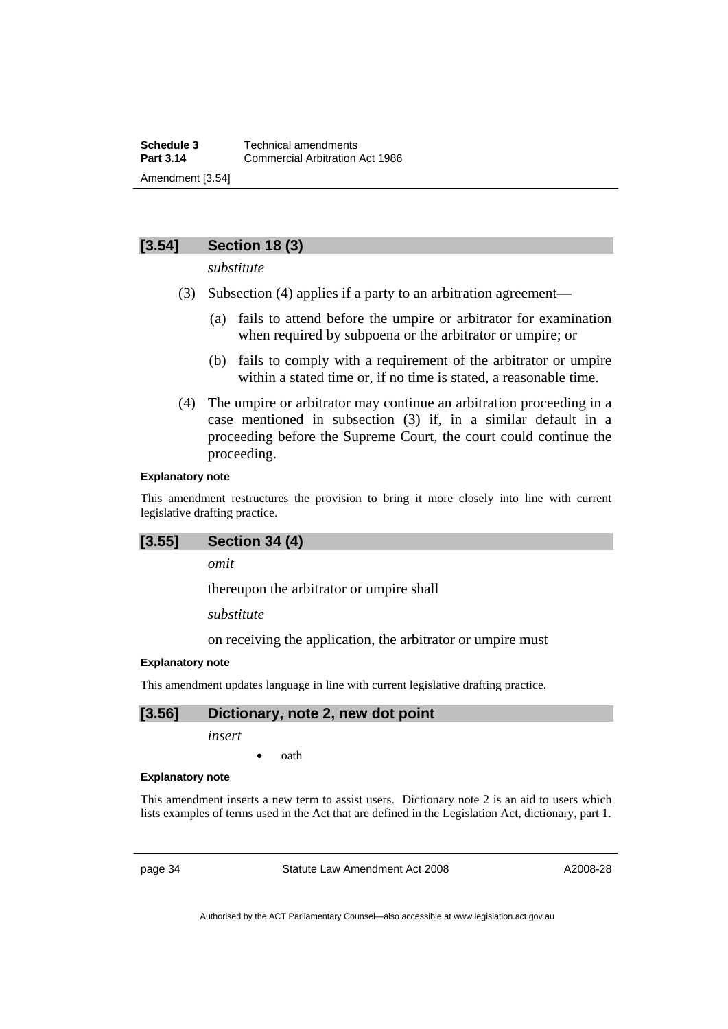# **[3.54] Section 18 (3)**

*substitute* 

- (3) Subsection (4) applies if a party to an arbitration agreement—
	- (a) fails to attend before the umpire or arbitrator for examination when required by subpoena or the arbitrator or umpire; or
	- (b) fails to comply with a requirement of the arbitrator or umpire within a stated time or, if no time is stated, a reasonable time.
- (4) The umpire or arbitrator may continue an arbitration proceeding in a case mentioned in subsection (3) if, in a similar default in a proceeding before the Supreme Court, the court could continue the proceeding.

### **Explanatory note**

This amendment restructures the provision to bring it more closely into line with current legislative drafting practice.

## **[3.55] Section 34 (4)**

*omit* 

thereupon the arbitrator or umpire shall

*substitute* 

on receiving the application, the arbitrator or umpire must

## **Explanatory note**

This amendment updates language in line with current legislative drafting practice.

# **[3.56] Dictionary, note 2, new dot point**

*insert* 

• oath

#### **Explanatory note**

This amendment inserts a new term to assist users. Dictionary note 2 is an aid to users which lists examples of terms used in the Act that are defined in the Legislation Act, dictionary, part 1.

page 34 Statute Law Amendment Act 2008

A2008-28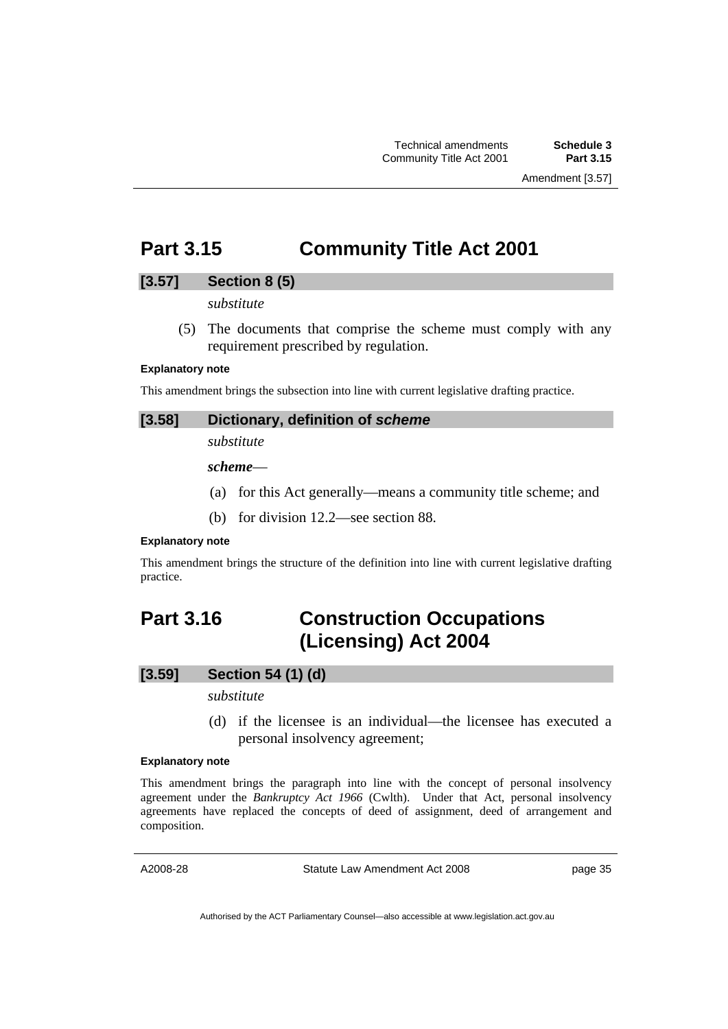# **Part 3.15 Community Title Act 2001**

# **[3.57] Section 8 (5)**

*substitute* 

 (5) The documents that comprise the scheme must comply with any requirement prescribed by regulation.

### **Explanatory note**

This amendment brings the subsection into line with current legislative drafting practice.

## **[3.58] Dictionary, definition of** *scheme*

*substitute* 

*scheme*—

- (a) for this Act generally—means a community title scheme; and
- (b) for division 12.2—see section 88.

### **Explanatory note**

This amendment brings the structure of the definition into line with current legislative drafting practice.

# **Part 3.16 Construction Occupations (Licensing) Act 2004**

# **[3.59] Section 54 (1) (d)**

## *substitute*

 (d) if the licensee is an individual—the licensee has executed a personal insolvency agreement;

#### **Explanatory note**

This amendment brings the paragraph into line with the concept of personal insolvency agreement under the *Bankruptcy Act 1966* (Cwlth). Under that Act, personal insolvency agreements have replaced the concepts of deed of assignment, deed of arrangement and composition.

A2008-28

Statute Law Amendment Act 2008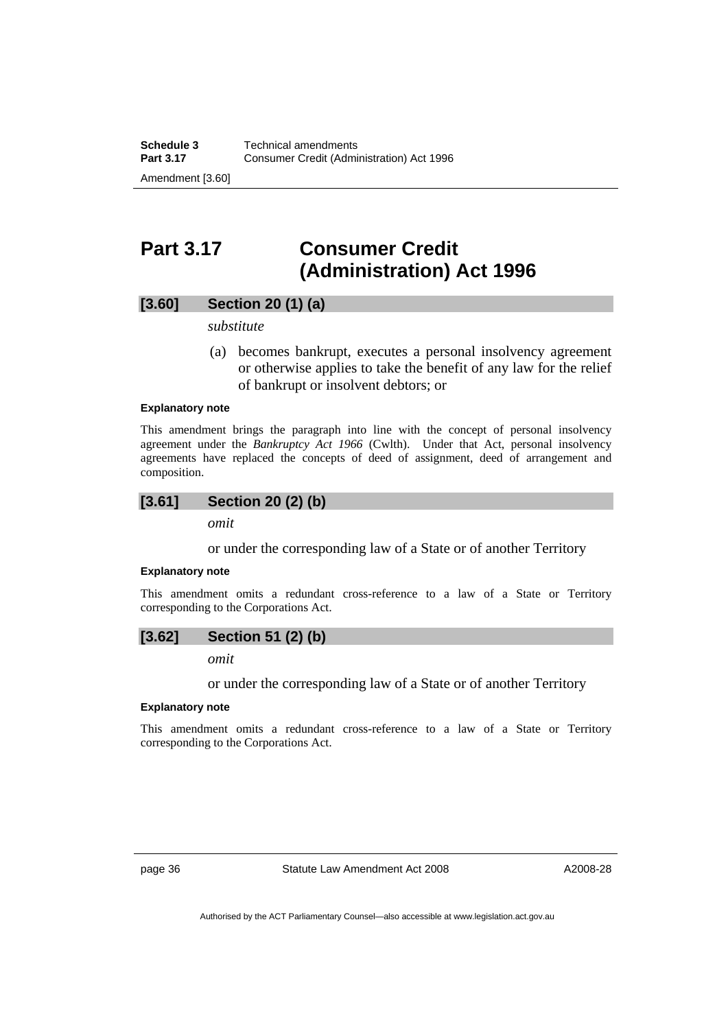# **Part 3.17 Consumer Credit (Administration) Act 1996**

## **[3.60] Section 20 (1) (a)**

*substitute* 

 (a) becomes bankrupt, executes a personal insolvency agreement or otherwise applies to take the benefit of any law for the relief of bankrupt or insolvent debtors; or

## **Explanatory note**

This amendment brings the paragraph into line with the concept of personal insolvency agreement under the *Bankruptcy Act 1966* (Cwlth). Under that Act, personal insolvency agreements have replaced the concepts of deed of assignment, deed of arrangement and composition.

$$
[3.61] \qquad Section 20 (2) (b)
$$

*omit* 

or under the corresponding law of a State or of another Territory

#### **Explanatory note**

This amendment omits a redundant cross-reference to a law of a State or Territory corresponding to the Corporations Act.

*omit* 

or under the corresponding law of a State or of another Territory

### **Explanatory note**

This amendment omits a redundant cross-reference to a law of a State or Territory corresponding to the Corporations Act.

page 36 Statute Law Amendment Act 2008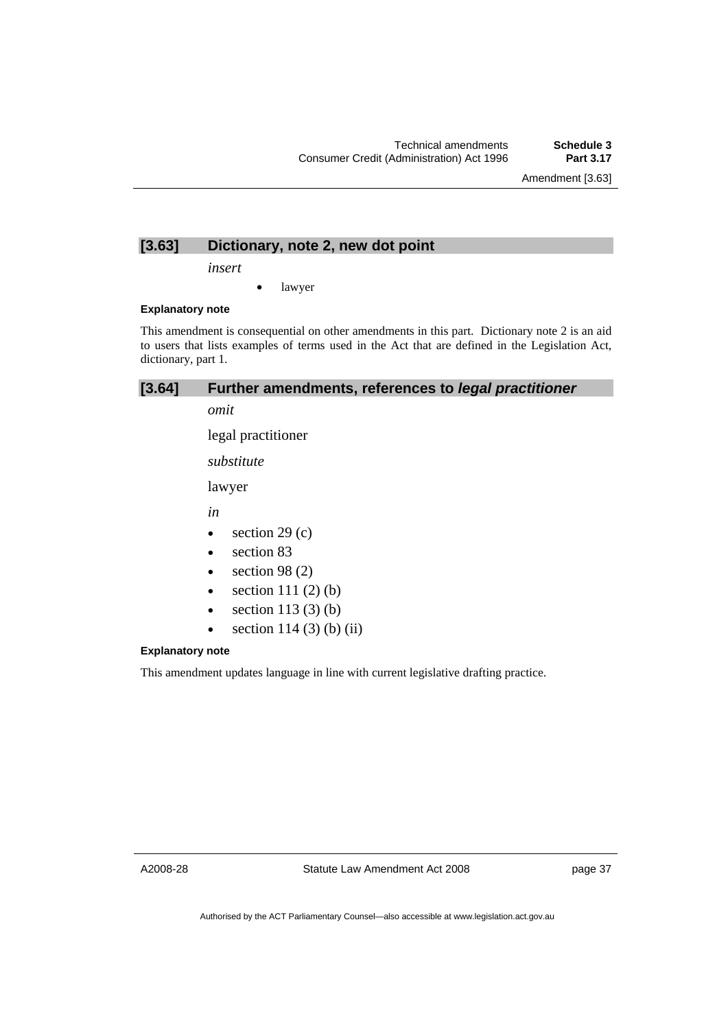# **[3.63] Dictionary, note 2, new dot point**

*insert* 

• lawyer

## **Explanatory note**

This amendment is consequential on other amendments in this part. Dictionary note 2 is an aid to users that lists examples of terms used in the Act that are defined in the Legislation Act, dictionary, part 1.

# **[3.64] Further amendments, references to** *legal practitioner*

*omit* 

legal practitioner

*substitute* 

lawyer

*in* 

- $\bullet$  section 29 (c)
- section 83
- section  $98(2)$
- section  $111(2)$  (b)
- section  $113(3)$  (b)
- section  $114 (3) (b) (ii)$

## **Explanatory note**

This amendment updates language in line with current legislative drafting practice.

A2008-28

Statute Law Amendment Act 2008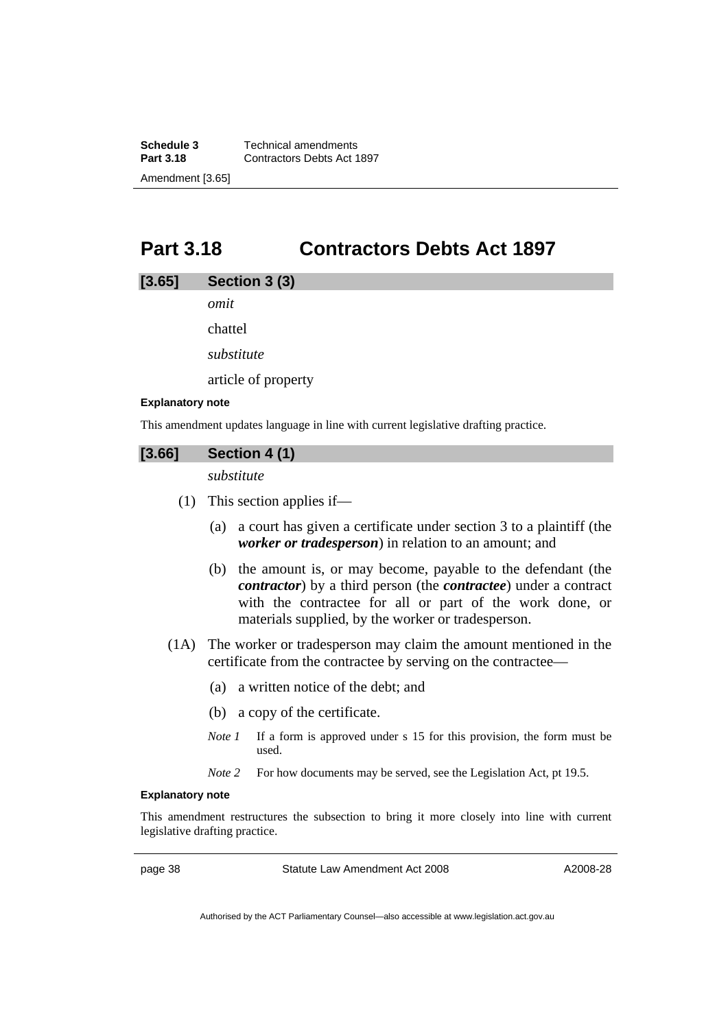**Schedule 3 Technical amendments**<br>**Part 3.18 Contractors Debts Act 1 Part 3.18** Contractors Debts Act 1897 Amendment [3.65]

# **Part 3.18 Contractors Debts Act 1897**

## **[3.65] Section 3 (3)**

*omit* 

chattel

*substitute* 

article of property

#### **Explanatory note**

This amendment updates language in line with current legislative drafting practice.

# **[3.66] Section 4 (1)**

*substitute* 

- (1) This section applies if—
	- (a) a court has given a certificate under section 3 to a plaintiff (the *worker or tradesperson*) in relation to an amount; and
	- (b) the amount is, or may become, payable to the defendant (the *contractor*) by a third person (the *contractee*) under a contract with the contractee for all or part of the work done, or materials supplied, by the worker or tradesperson.
- (1A) The worker or tradesperson may claim the amount mentioned in the certificate from the contractee by serving on the contractee—
	- (a) a written notice of the debt; and
	- (b) a copy of the certificate.
	- *Note 1* If a form is approved under s 15 for this provision, the form must be used.
	- *Note 2* For how documents may be served, see the Legislation Act, pt 19.5.

## **Explanatory note**

This amendment restructures the subsection to bring it more closely into line with current legislative drafting practice.

page 38 Statute Law Amendment Act 2008

A2008-28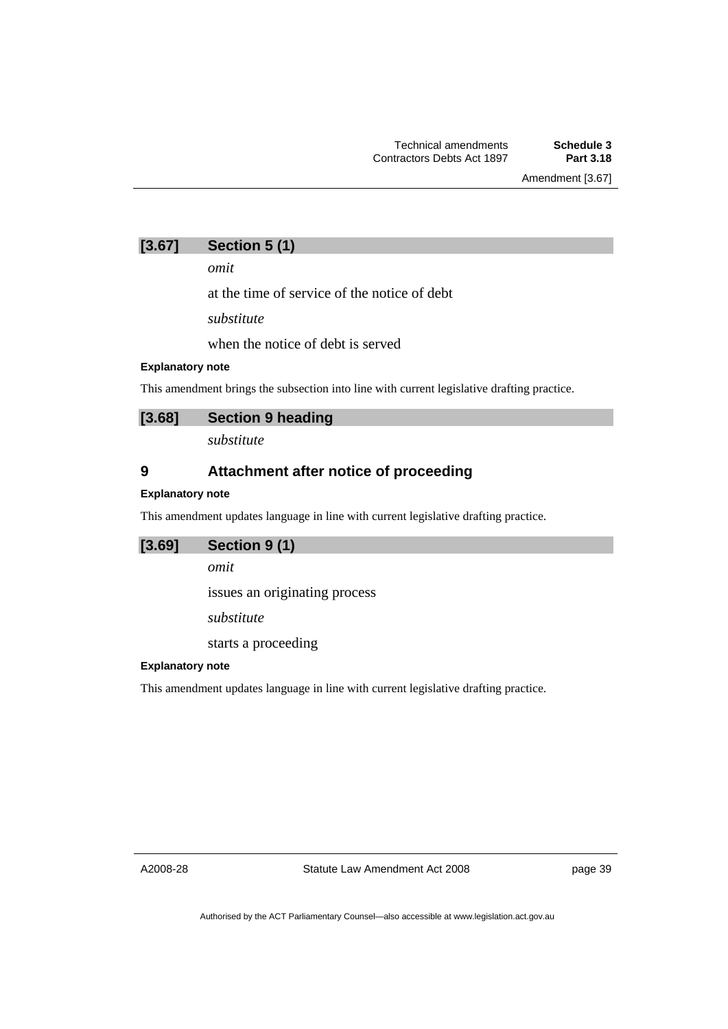Amendment [3.67]

# **[3.67] Section 5 (1)**

*omit* 

at the time of service of the notice of debt

*substitute* 

when the notice of debt is served

## **Explanatory note**

This amendment brings the subsection into line with current legislative drafting practice.

## **[3.68] Section 9 heading**

*substitute* 

# **9 Attachment after notice of proceeding**

## **Explanatory note**

This amendment updates language in line with current legislative drafting practice.

## **[3.69] Section 9 (1)**

*omit* 

issues an originating process

*substitute* 

starts a proceeding

## **Explanatory note**

This amendment updates language in line with current legislative drafting practice.

A2008-28

Statute Law Amendment Act 2008

page 39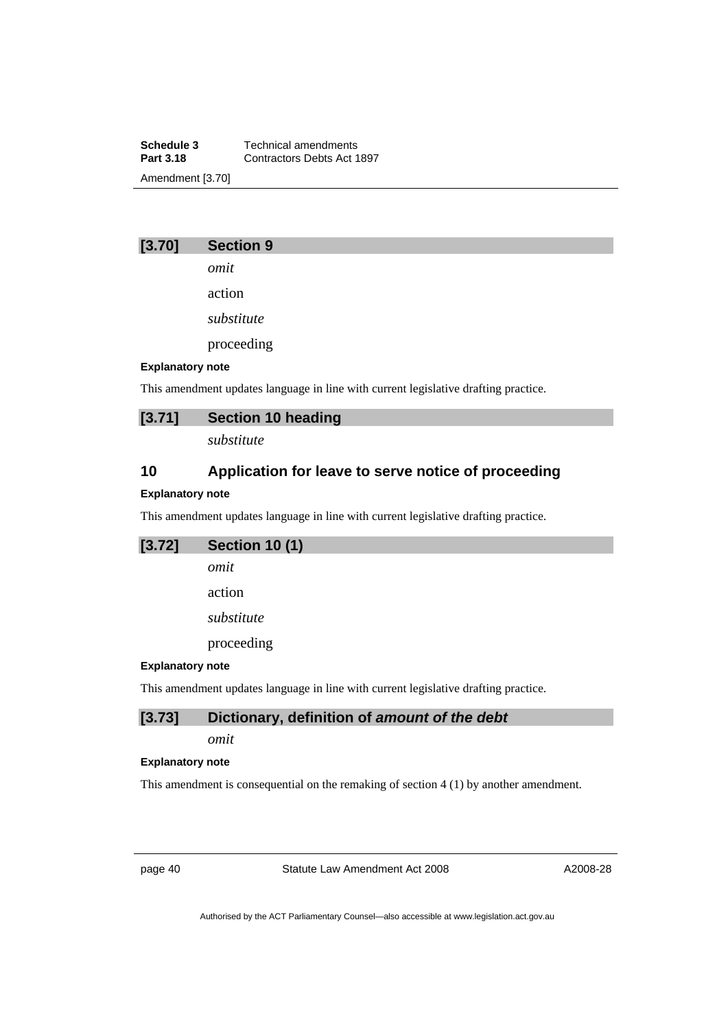**Schedule 3 Technical amendments**<br>**Part 3.18 Contractors Debts Act 1 Part 3.18** Contractors Debts Act 1897 Amendment [3.70]

# **[3.70] Section 9**

*omit* 

action

*substitute* 

proceeding

## **Explanatory note**

This amendment updates language in line with current legislative drafting practice.

# **[3.71] Section 10 heading**

*substitute* 

# **10 Application for leave to serve notice of proceeding**

### **Explanatory note**

This amendment updates language in line with current legislative drafting practice.

| $[3.72]$         | <b>Section 10 (1)</b> |
|------------------|-----------------------|
|                  | omit                  |
|                  | action                |
|                  | substitute            |
|                  | proceeding            |
| Evnlanatory note |                       |

## **Explanatory note**

This amendment updates language in line with current legislative drafting practice.

# **[3.73] Dictionary, definition of** *amount of the debt*

*omit* 

#### **Explanatory note**

This amendment is consequential on the remaking of section 4 (1) by another amendment.

page 40 Statute Law Amendment Act 2008

A2008-28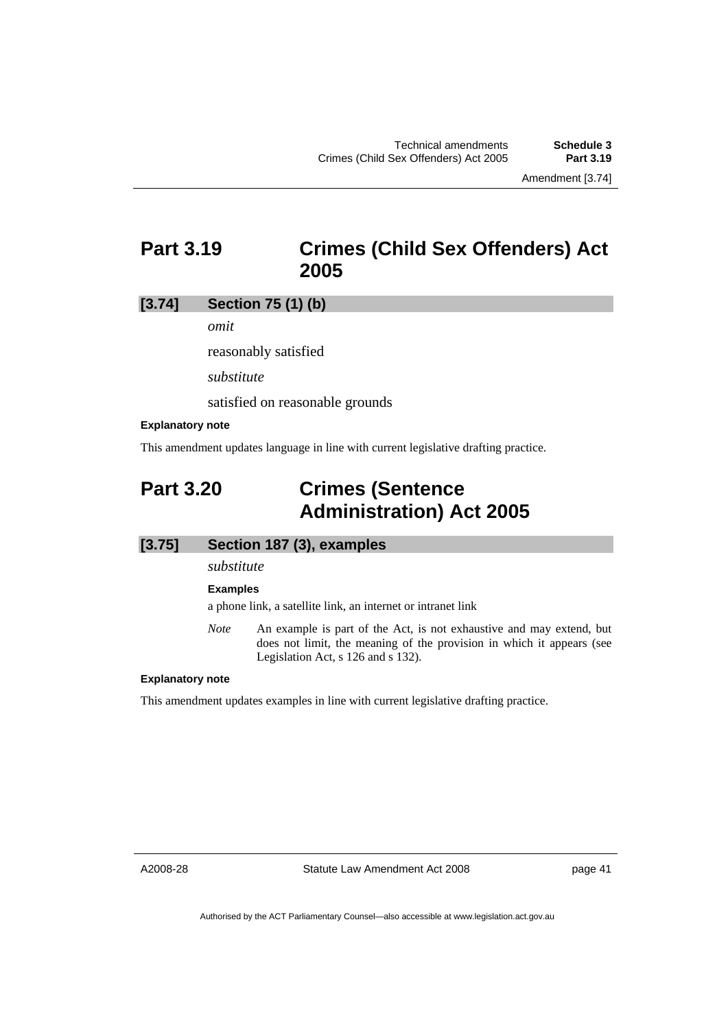# **Part 3.19 Crimes (Child Sex Offenders) Act 2005**

## **[3.74] Section 75 (1) (b)**

*omit* 

reasonably satisfied

*substitute* 

satisfied on reasonable grounds

### **Explanatory note**

This amendment updates language in line with current legislative drafting practice.

# **Part 3.20 Crimes (Sentence Administration) Act 2005**

# **[3.75] Section 187 (3), examples**

*substitute* 

#### **Examples**

a phone link, a satellite link, an internet or intranet link

*Note* An example is part of the Act, is not exhaustive and may extend, but does not limit, the meaning of the provision in which it appears (see Legislation Act, s 126 and s 132).

#### **Explanatory note**

This amendment updates examples in line with current legislative drafting practice.

A2008-28

Statute Law Amendment Act 2008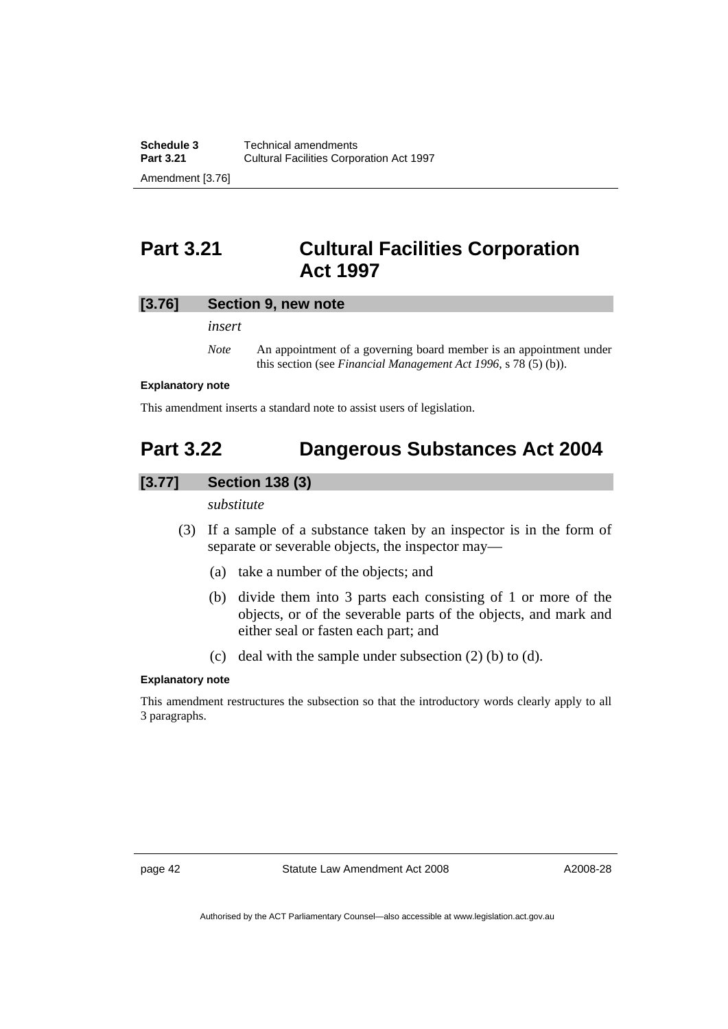# **Part 3.21 Cultural Facilities Corporation Act 1997**

## **[3.76] Section 9, new note**

*insert* 

*Note* An appointment of a governing board member is an appointment under this section (see *Financial Management Act 1996*, s 78 (5) (b)).

#### **Explanatory note**

This amendment inserts a standard note to assist users of legislation.

# **Part 3.22 Dangerous Substances Act 2004**

# **[3.77] Section 138 (3)**

*substitute* 

- (3) If a sample of a substance taken by an inspector is in the form of separate or severable objects, the inspector may—
	- (a) take a number of the objects; and
	- (b) divide them into 3 parts each consisting of 1 or more of the objects, or of the severable parts of the objects, and mark and either seal or fasten each part; and
	- (c) deal with the sample under subsection (2) (b) to (d).

### **Explanatory note**

This amendment restructures the subsection so that the introductory words clearly apply to all 3 paragraphs.

page 42 Statute Law Amendment Act 2008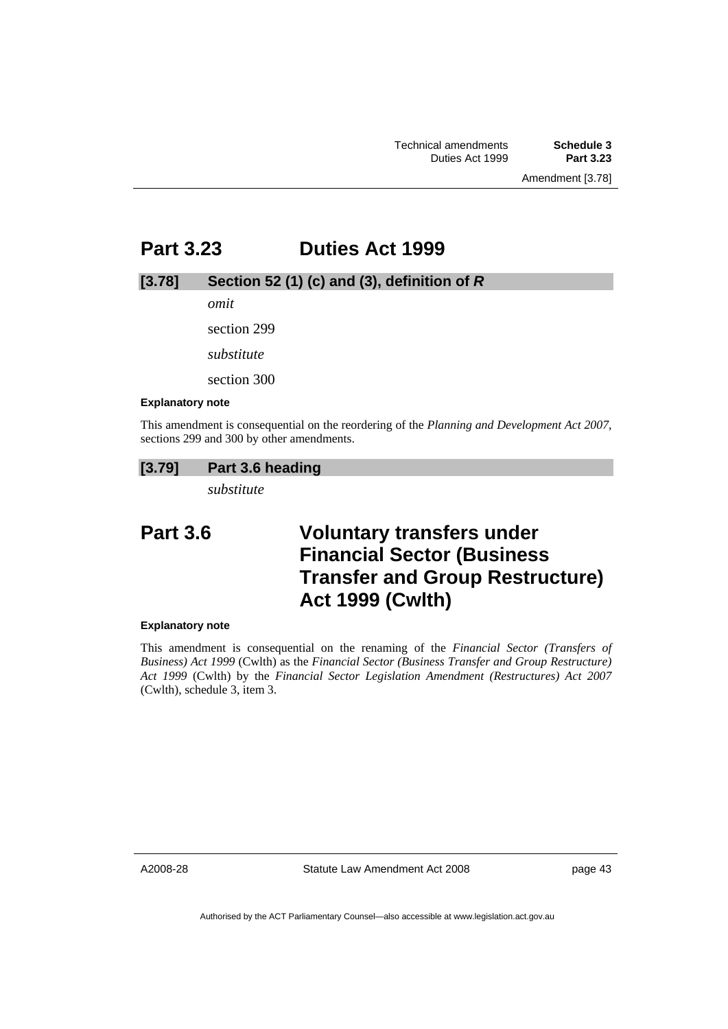# **Part 3.23 Duties Act 1999**

## **[3.78] Section 52 (1) (c) and (3), definition of** *R*

*omit* 

section 299

*substitute* 

section 300

#### **Explanatory note**

This amendment is consequential on the reordering of the *Planning and Development Act 2007*, sections 299 and 300 by other amendments.

## **[3.79] Part 3.6 heading**

*substitute* 

# **Part 3.6 Voluntary transfers under Financial Sector (Business Transfer and Group Restructure) Act 1999 (Cwlth)**

### **Explanatory note**

This amendment is consequential on the renaming of the *Financial Sector (Transfers of Business) Act 1999* (Cwlth) as the *Financial Sector (Business Transfer and Group Restructure) Act 1999* (Cwlth) by the *Financial Sector Legislation Amendment (Restructures) Act 2007* (Cwlth), schedule 3, item 3.

A2008-28

Statute Law Amendment Act 2008

page 43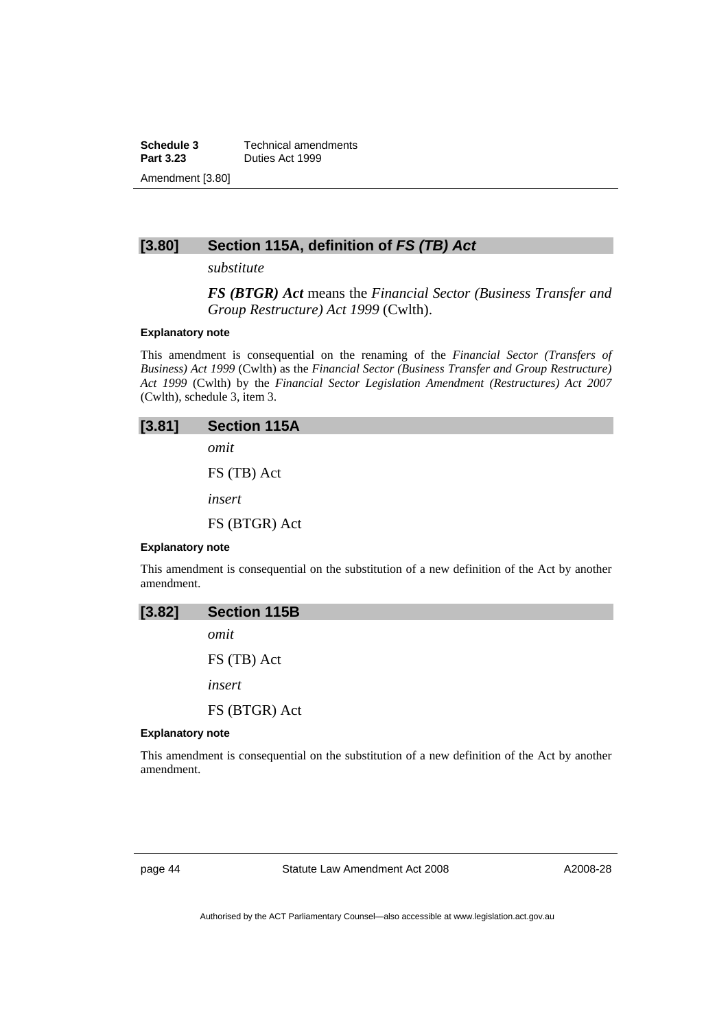**Schedule 3 Technical amendments**<br>**Part 3.23 Duties Act 1999 Part 3.23** Duties Act 1999 Amendment [3.80]

# **[3.80] Section 115A, definition of** *FS (TB) Act*

*substitute* 

*FS (BTGR) Act* means the *Financial Sector (Business Transfer and Group Restructure) Act 1999* (Cwlth).

### **Explanatory note**

amendment.

This amendment is consequential on the renaming of the *Financial Sector (Transfers of Business) Act 1999* (Cwlth) as the *Financial Sector (Business Transfer and Group Restructure) Act 1999* (Cwlth) by the *Financial Sector Legislation Amendment (Restructures) Act 2007* (Cwlth), schedule 3, item 3.

| [3.81]                  | <b>Section 115A</b>                                                                           |
|-------------------------|-----------------------------------------------------------------------------------------------|
|                         | omit                                                                                          |
|                         | FS (TB) Act                                                                                   |
|                         | insert                                                                                        |
|                         | FS (BTGR) Act                                                                                 |
| <b>Explanatory note</b> |                                                                                               |
|                         | This amendment is consequential on the substitution of a new definition of the Act by another |

| [3.82]                  | <b>Section 115B</b>                                                                           |
|-------------------------|-----------------------------------------------------------------------------------------------|
|                         | omit                                                                                          |
|                         | FS (TB) Act                                                                                   |
|                         | insert                                                                                        |
|                         | FS (BTGR) Act                                                                                 |
| <b>Explanatory note</b> |                                                                                               |
| amendment.              | This amendment is consequential on the substitution of a new definition of the Act by another |

page 44 Statute Law Amendment Act 2008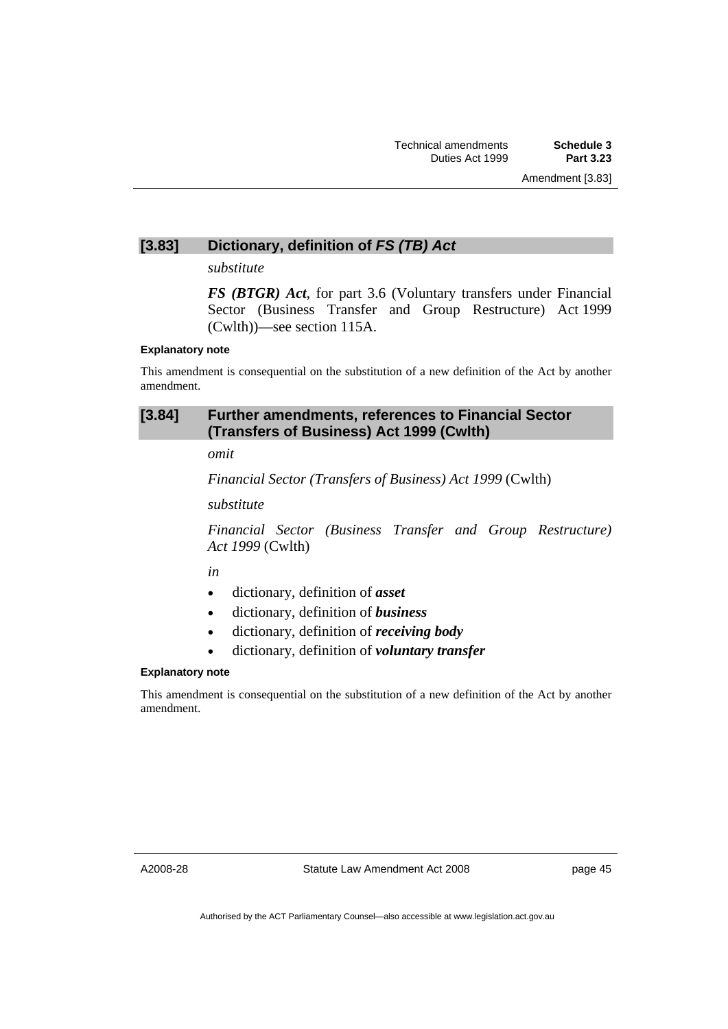# **[3.83] Dictionary, definition of** *FS (TB) Act*

*substitute* 

*FS (BTGR) Act*, for part 3.6 (Voluntary transfers under Financial Sector (Business Transfer and Group Restructure) Act 1999 (Cwlth))—see section 115A.

#### **Explanatory note**

This amendment is consequential on the substitution of a new definition of the Act by another amendment.

# **[3.84] Further amendments, references to Financial Sector (Transfers of Business) Act 1999 (Cwlth)**

*omit* 

*Financial Sector (Transfers of Business) Act 1999* (Cwlth)

*substitute* 

*Financial Sector (Business Transfer and Group Restructure) Act 1999* (Cwlth)

*in* 

- dictionary, definition of *asset*
- dictionary, definition of *business*
- dictionary, definition of *receiving body*
- dictionary, definition of *voluntary transfer*

### **Explanatory note**

This amendment is consequential on the substitution of a new definition of the Act by another amendment.

A2008-28

Statute Law Amendment Act 2008

page 45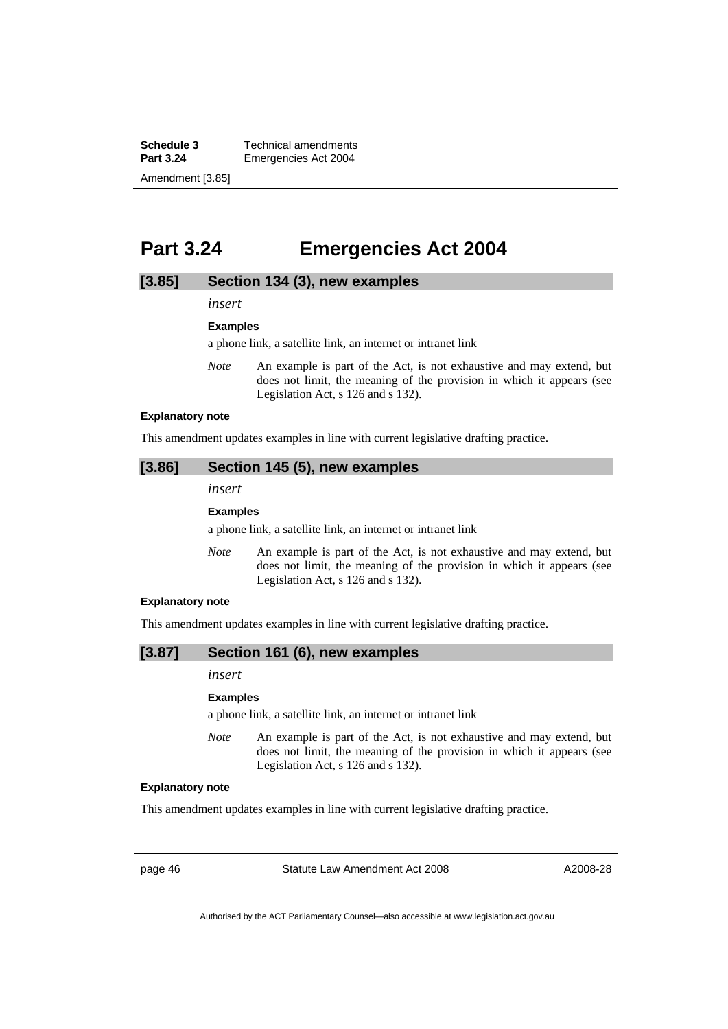**Schedule 3 Technical amendments**<br>**Part 3.24 Emergencies Act 2004 Emergencies Act 2004** Amendment [3.85]

# **Part 3.24 Emergencies Act 2004**

## **[3.85] Section 134 (3), new examples**

*insert* 

**Examples** 

a phone link, a satellite link, an internet or intranet link

*Note* An example is part of the Act, is not exhaustive and may extend, but does not limit, the meaning of the provision in which it appears (see Legislation Act, s 126 and s 132).

#### **Explanatory note**

This amendment updates examples in line with current legislative drafting practice.

## **[3.86] Section 145 (5), new examples**

*insert* 

#### **Examples**

a phone link, a satellite link, an internet or intranet link

*Note* An example is part of the Act, is not exhaustive and may extend, but does not limit, the meaning of the provision in which it appears (see Legislation Act, s 126 and s 132).

#### **Explanatory note**

This amendment updates examples in line with current legislative drafting practice.

## **[3.87] Section 161 (6), new examples**

### *insert*

#### **Examples**

a phone link, a satellite link, an internet or intranet link

*Note* An example is part of the Act, is not exhaustive and may extend, but does not limit, the meaning of the provision in which it appears (see Legislation Act, s 126 and s 132).

#### **Explanatory note**

This amendment updates examples in line with current legislative drafting practice.

page 46 Statute Law Amendment Act 2008

A2008-28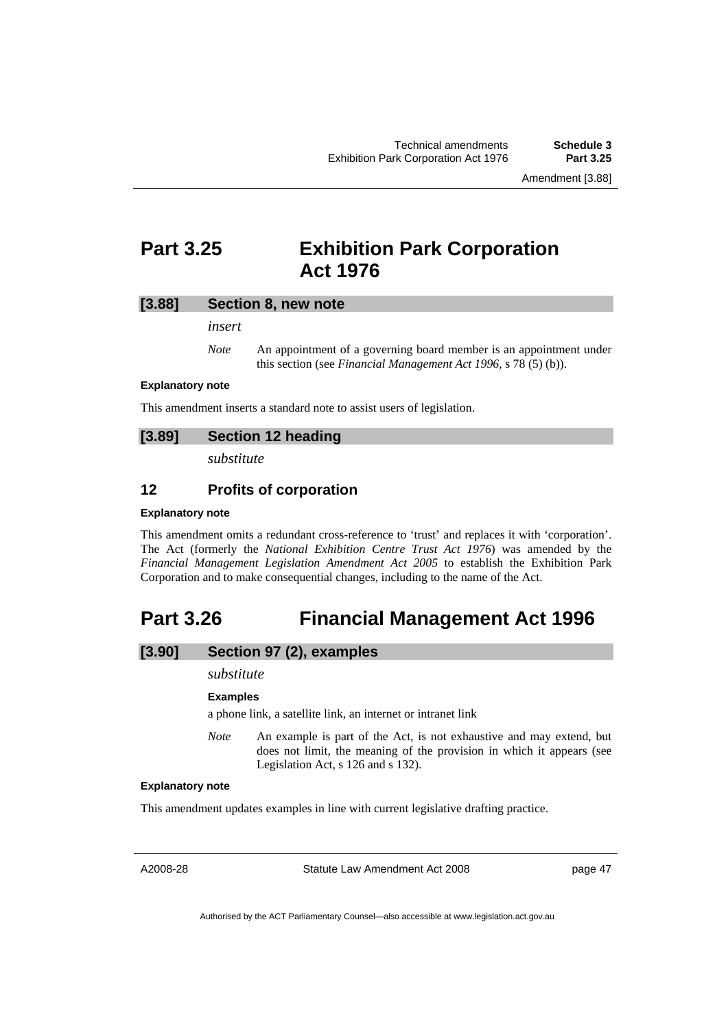Amendment [3.88]

# **Part 3.25 Exhibition Park Corporation Act 1976**

## **[3.88] Section 8, new note**

*insert* 

*Note* An appointment of a governing board member is an appointment under this section (see *Financial Management Act 1996*, s 78 (5) (b)).

### **Explanatory note**

This amendment inserts a standard note to assist users of legislation.

## **[3.89] Section 12 heading**

*substitute* 

## **12 Profits of corporation**

### **Explanatory note**

This amendment omits a redundant cross-reference to 'trust' and replaces it with 'corporation'. The Act (formerly the *National Exhibition Centre Trust Act 1976*) was amended by the *Financial Management Legislation Amendment Act 2005* to establish the Exhibition Park Corporation and to make consequential changes, including to the name of the Act.

# **Part 3.26 Financial Management Act 1996**

# **[3.90] Section 97 (2), examples**

## *substitute*

#### **Examples**

a phone link, a satellite link, an internet or intranet link

*Note* An example is part of the Act, is not exhaustive and may extend, but does not limit, the meaning of the provision in which it appears (see Legislation Act, s 126 and s 132).

#### **Explanatory note**

This amendment updates examples in line with current legislative drafting practice.

A2008-28

Statute Law Amendment Act 2008

page 47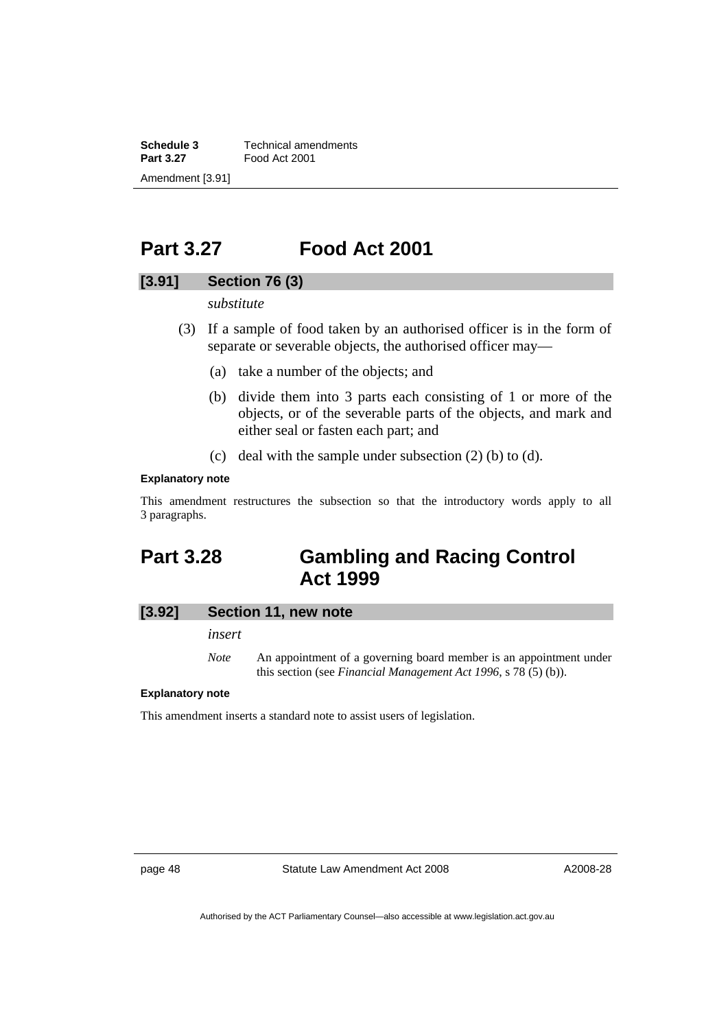**Schedule 3 Technical amendments**<br>**Part 3.27 Food Act 2001 Part 3.27** Food Act 2001 Amendment [3.91]

# **Part 3.27 Food Act 2001**

# **[3.91] Section 76 (3)**

*substitute* 

- (3) If a sample of food taken by an authorised officer is in the form of separate or severable objects, the authorised officer may—
	- (a) take a number of the objects; and
	- (b) divide them into 3 parts each consisting of 1 or more of the objects, or of the severable parts of the objects, and mark and either seal or fasten each part; and
	- (c) deal with the sample under subsection (2) (b) to (d).

### **Explanatory note**

This amendment restructures the subsection so that the introductory words apply to all 3 paragraphs.

# **Part 3.28 Gambling and Racing Control Act 1999**

## **[3.92] Section 11, new note**

*insert* 

*Note* An appointment of a governing board member is an appointment under this section (see *Financial Management Act 1996*, s 78 (5) (b)).

## **Explanatory note**

This amendment inserts a standard note to assist users of legislation.

page 48 Statute Law Amendment Act 2008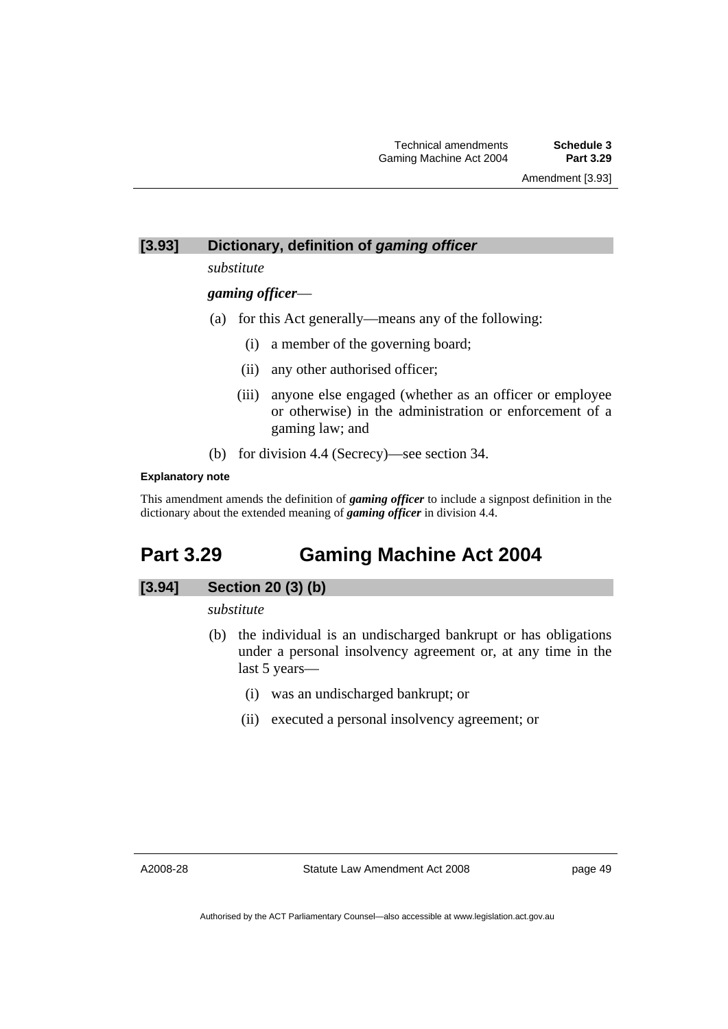Amendment [3.93]

# **[3.93] Dictionary, definition of** *gaming officer*

*substitute* 

*gaming officer*—

- (a) for this Act generally—means any of the following:
	- (i) a member of the governing board;
	- (ii) any other authorised officer;
	- (iii) anyone else engaged (whether as an officer or employee or otherwise) in the administration or enforcement of a gaming law; and
- (b) for division 4.4 (Secrecy)—see section 34.

## **Explanatory note**

This amendment amends the definition of *gaming officer* to include a signpost definition in the dictionary about the extended meaning of *gaming officer* in division 4.4.

# **Part 3.29 Gaming Machine Act 2004**

# **[3.94] Section 20 (3) (b)**

*substitute* 

- (b) the individual is an undischarged bankrupt or has obligations under a personal insolvency agreement or, at any time in the last 5 years—
	- (i) was an undischarged bankrupt; or
	- (ii) executed a personal insolvency agreement; or

A2008-28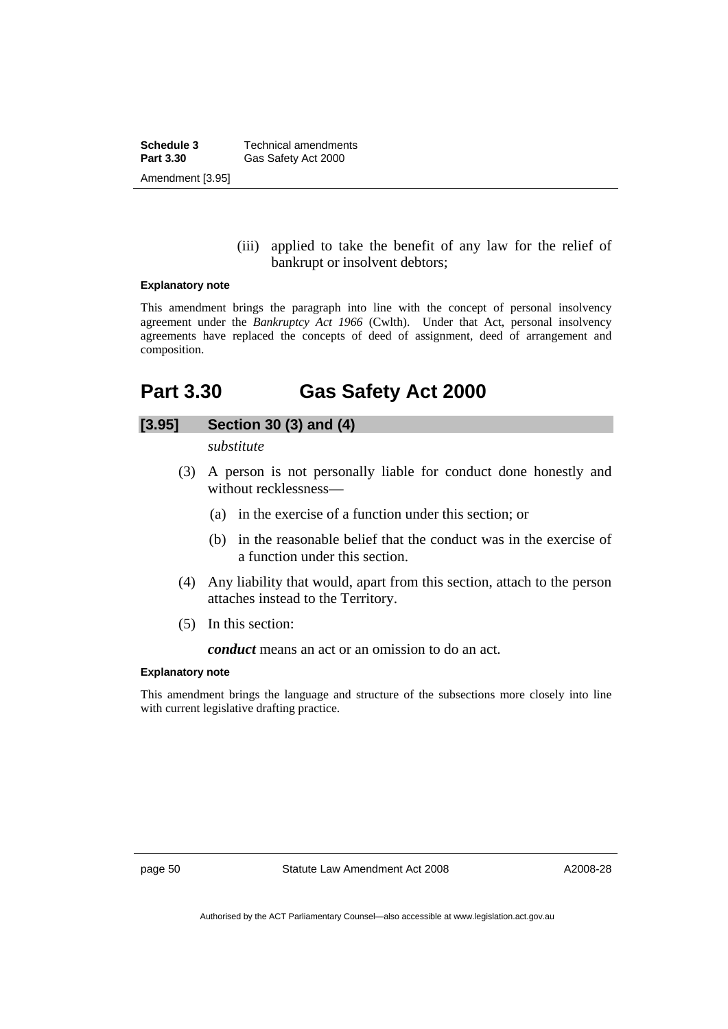**Schedule 3 Technical amendments**<br>**Part 3.30 Gas Safety Act 2000** Gas Safety Act 2000 Amendment [3.95]

## (iii) applied to take the benefit of any law for the relief of bankrupt or insolvent debtors;

#### **Explanatory note**

This amendment brings the paragraph into line with the concept of personal insolvency agreement under the *Bankruptcy Act 1966* (Cwlth). Under that Act, personal insolvency agreements have replaced the concepts of deed of assignment, deed of arrangement and composition.

# **Part 3.30 Gas Safety Act 2000**

# **[3.95] Section 30 (3) and (4)**

*substitute* 

- (3) A person is not personally liable for conduct done honestly and without recklessness—
	- (a) in the exercise of a function under this section; or
	- (b) in the reasonable belief that the conduct was in the exercise of a function under this section.
- (4) Any liability that would, apart from this section, attach to the person attaches instead to the Territory.
- (5) In this section:

*conduct* means an act or an omission to do an act.

### **Explanatory note**

This amendment brings the language and structure of the subsections more closely into line with current legislative drafting practice.

page 50 Statute Law Amendment Act 2008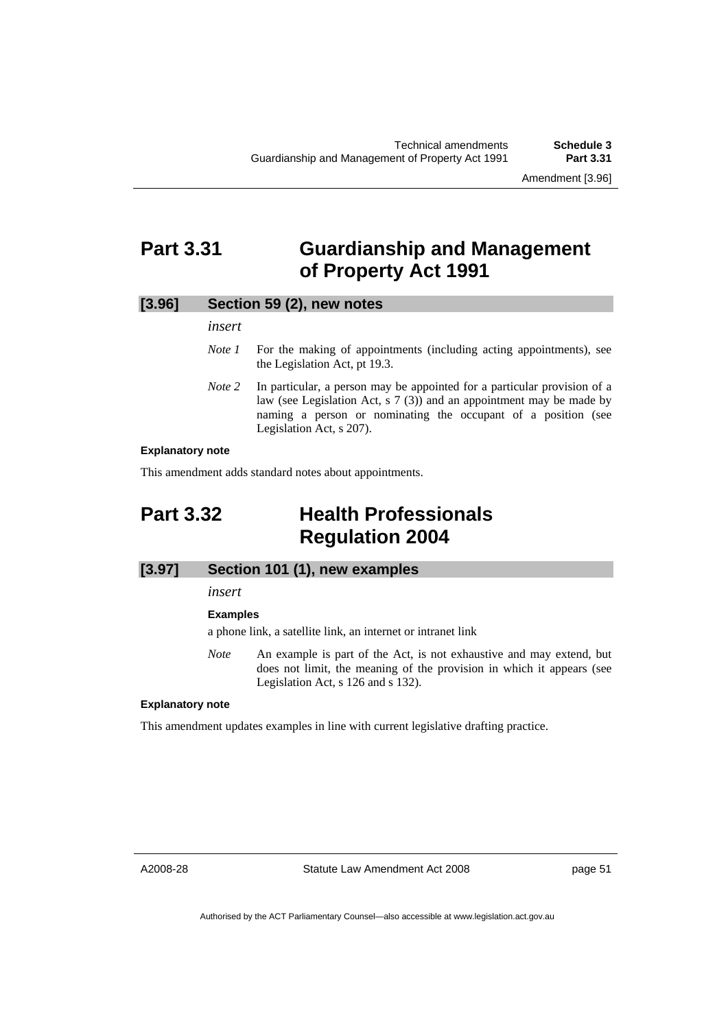# **Part 3.31 Guardianship and Management of Property Act 1991**

## **[3.96] Section 59 (2), new notes**

## *insert*

- *Note 1* For the making of appointments (including acting appointments), see the Legislation Act, pt 19.3.
- *Note* 2 In particular, a person may be appointed for a particular provision of a law (see Legislation Act, s 7 (3)) and an appointment may be made by naming a person or nominating the occupant of a position (see Legislation Act, s 207).

## **Explanatory note**

This amendment adds standard notes about appointments.

# **Part 3.32 Health Professionals Regulation 2004**

# **[3.97] Section 101 (1), new examples**

*insert* 

### **Examples**

a phone link, a satellite link, an internet or intranet link

*Note* An example is part of the Act, is not exhaustive and may extend, but does not limit, the meaning of the provision in which it appears (see Legislation Act, s 126 and s 132).

#### **Explanatory note**

This amendment updates examples in line with current legislative drafting practice.

A2008-28

Statute Law Amendment Act 2008

page 51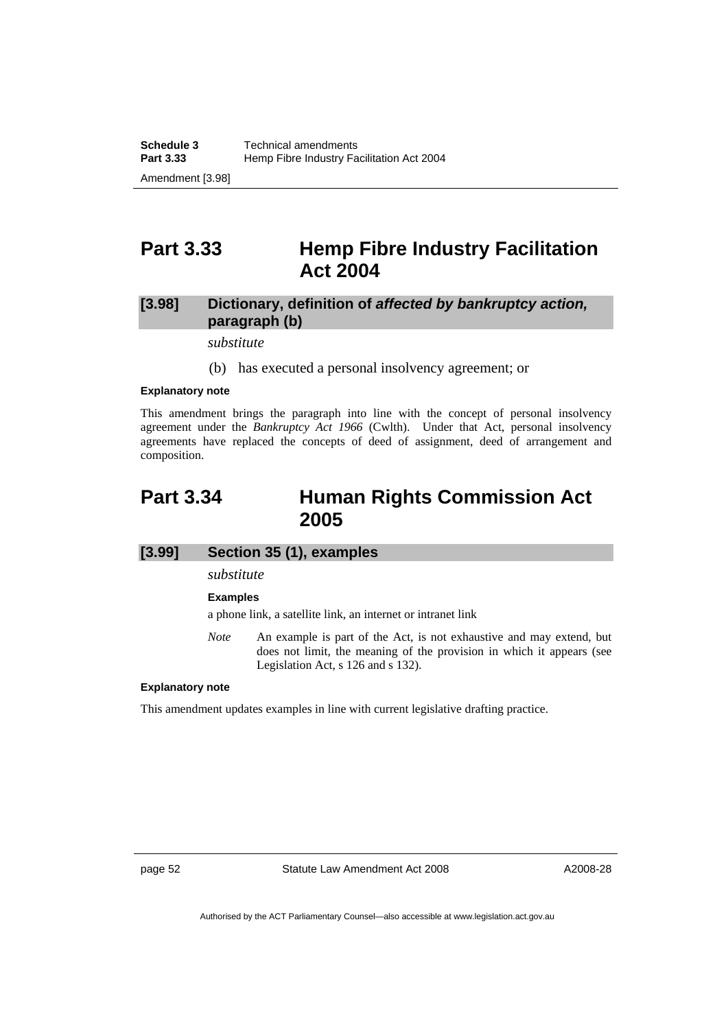# **Part 3.33 Hemp Fibre Industry Facilitation Act 2004**

# **[3.98] Dictionary, definition of** *affected by bankruptcy action,*  **paragraph (b)**

*substitute* 

(b) has executed a personal insolvency agreement; or

#### **Explanatory note**

This amendment brings the paragraph into line with the concept of personal insolvency agreement under the *Bankruptcy Act 1966* (Cwlth). Under that Act, personal insolvency agreements have replaced the concepts of deed of assignment, deed of arrangement and composition.

# **Part 3.34 Human Rights Commission Act 2005**

## **[3.99] Section 35 (1), examples**

*substitute* 

**Examples** 

a phone link, a satellite link, an internet or intranet link

*Note* An example is part of the Act, is not exhaustive and may extend, but does not limit, the meaning of the provision in which it appears (see Legislation Act, s 126 and s 132).

## **Explanatory note**

This amendment updates examples in line with current legislative drafting practice.

page 52 Statute Law Amendment Act 2008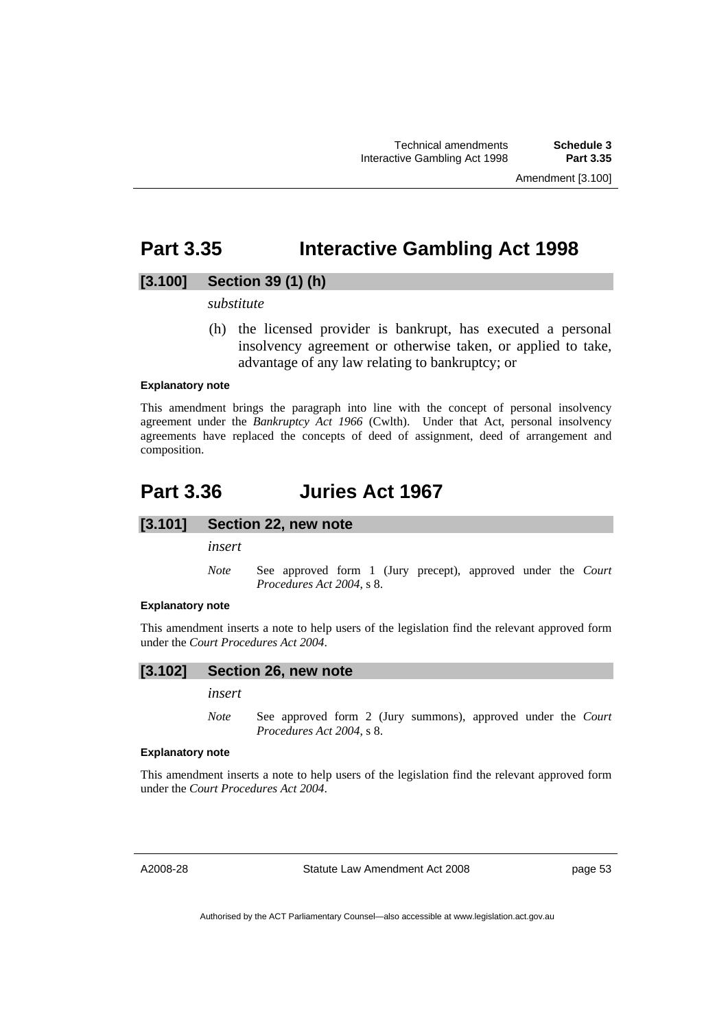Amendment [3.100]

# **Part 3.35 Interactive Gambling Act 1998**

# **[3.100] Section 39 (1) (h)**

## *substitute*

 (h) the licensed provider is bankrupt, has executed a personal insolvency agreement or otherwise taken, or applied to take, advantage of any law relating to bankruptcy; or

## **Explanatory note**

This amendment brings the paragraph into line with the concept of personal insolvency agreement under the *Bankruptcy Act 1966* (Cwlth). Under that Act, personal insolvency agreements have replaced the concepts of deed of assignment, deed of arrangement and composition.

# **Part 3.36 Juries Act 1967**

## **[3.101] Section 22, new note**

*insert* 

*Note* See approved form 1 (Jury precept), approved under the *Court Procedures Act 2004*, s 8.

### **Explanatory note**

This amendment inserts a note to help users of the legislation find the relevant approved form under the *Court Procedures Act 2004*.

## **[3.102] Section 26, new note**

*insert* 

*Note* See approved form 2 (Jury summons), approved under the *Court Procedures Act 2004*, s 8.

#### **Explanatory note**

This amendment inserts a note to help users of the legislation find the relevant approved form under the *Court Procedures Act 2004*.

A2008-28

Statute Law Amendment Act 2008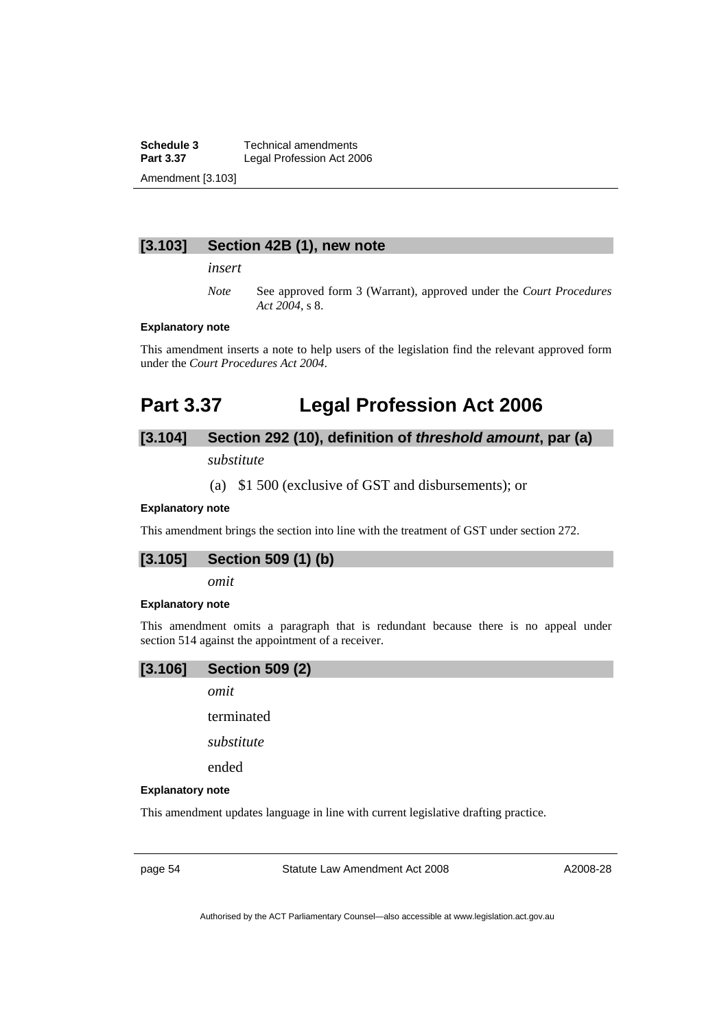**Schedule 3 Technical amendments**<br>**Part 3.37 Legal Profession Act 20** Legal Profession Act 2006 Amendment [3.103]

## **[3.103] Section 42B (1), new note**

*insert* 

*Note* See approved form 3 (Warrant), approved under the *Court Procedures Act 2004*, s 8.

#### **Explanatory note**

This amendment inserts a note to help users of the legislation find the relevant approved form under the *Court Procedures Act 2004*.

# **Part 3.37 Legal Profession Act 2006**

# **[3.104] Section 292 (10), definition of** *threshold amount***, par (a)**

*substitute* 

## (a) \$1 500 (exclusive of GST and disbursements); or

## **Explanatory note**

This amendment brings the section into line with the treatment of GST under section 272.

# **[3.105] Section 509 (1) (b)**

*omit* 

#### **Explanatory note**

This amendment omits a paragraph that is redundant because there is no appeal under section 514 against the appointment of a receiver.



*omit* 

terminated

*substitute* 

ended

#### **Explanatory note**

This amendment updates language in line with current legislative drafting practice.

page 54 Statute Law Amendment Act 2008

A2008-28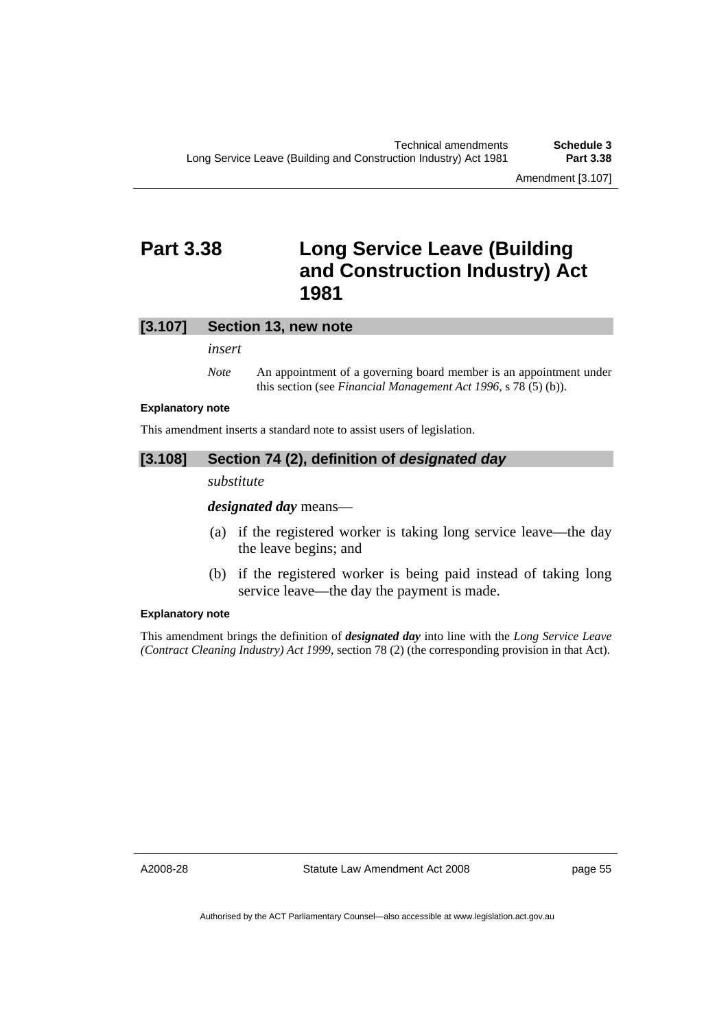Amendment [3.107]

# **Part 3.38 Long Service Leave (Building and Construction Industry) Act 1981**

## **[3.107] Section 13, new note**

*insert* 

*Note* An appointment of a governing board member is an appointment under this section (see *Financial Management Act 1996*, s 78 (5) (b)).

## **Explanatory note**

This amendment inserts a standard note to assist users of legislation.

## **[3.108] Section 74 (2), definition of** *designated day*

*substitute* 

*designated day* means—

- (a) if the registered worker is taking long service leave—the day the leave begins; and
- (b) if the registered worker is being paid instead of taking long service leave—the day the payment is made.

## **Explanatory note**

This amendment brings the definition of *designated day* into line with the *Long Service Leave (Contract Cleaning Industry) Act 1999*, section 78 (2) (the corresponding provision in that Act).

A2008-28

Statute Law Amendment Act 2008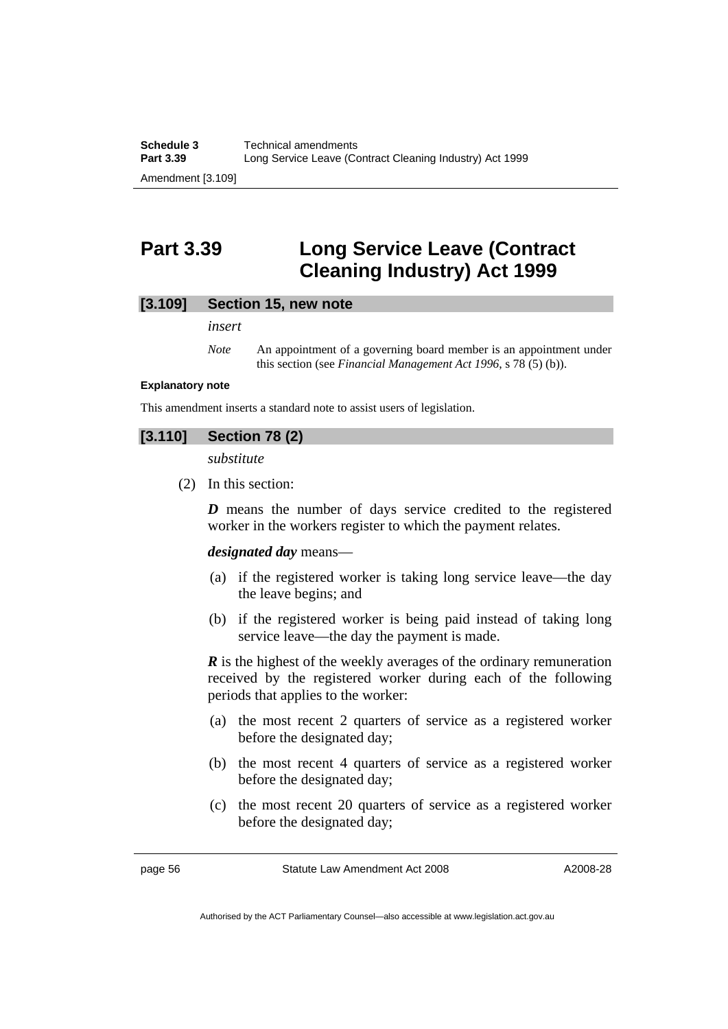# **Part 3.39 Long Service Leave (Contract Cleaning Industry) Act 1999**

## **[3.109] Section 15, new note**

*insert* 

*Note* An appointment of a governing board member is an appointment under this section (see *Financial Management Act 1996*, s 78 (5) (b)).

#### **Explanatory note**

This amendment inserts a standard note to assist users of legislation.

# **[3.110] Section 78 (2)**

*substitute* 

(2) In this section:

*D* means the number of days service credited to the registered worker in the workers register to which the payment relates.

#### *designated day* means—

- (a) if the registered worker is taking long service leave—the day the leave begins; and
- (b) if the registered worker is being paid instead of taking long service leave—the day the payment is made.

*R* is the highest of the weekly averages of the ordinary remuneration received by the registered worker during each of the following periods that applies to the worker:

- (a) the most recent 2 quarters of service as a registered worker before the designated day;
- (b) the most recent 4 quarters of service as a registered worker before the designated day;
- (c) the most recent 20 quarters of service as a registered worker before the designated day;

page 56 Statute Law Amendment Act 2008

Authorised by the ACT Parliamentary Counsel—also accessible at www.legislation.act.gov.au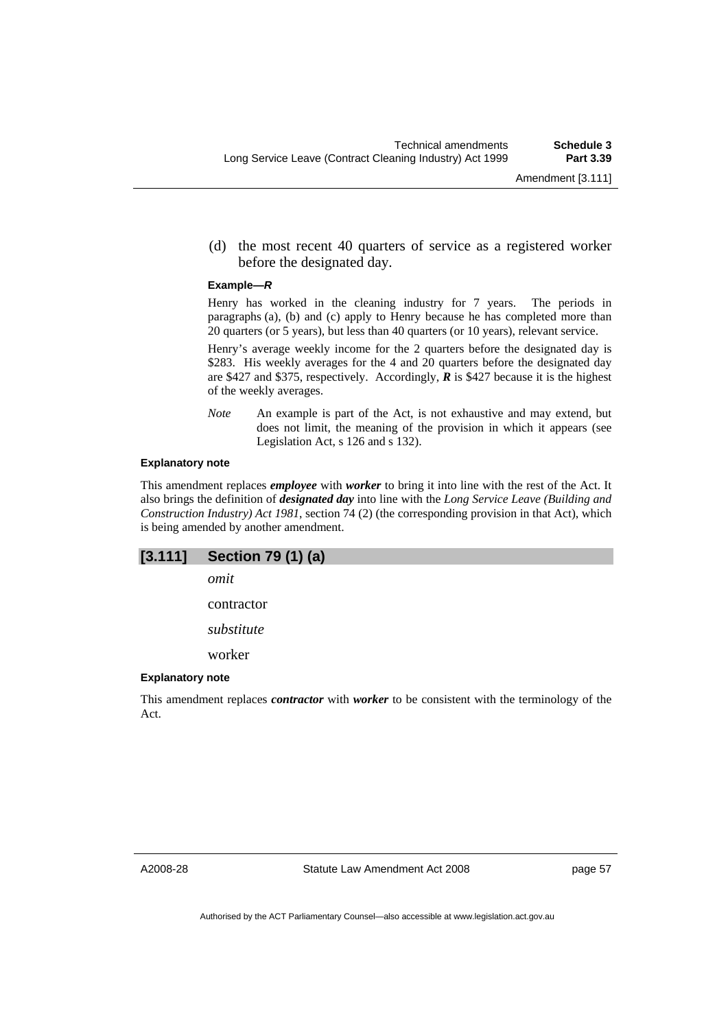(d) the most recent 40 quarters of service as a registered worker before the designated day.

#### **Example—***R*

Henry has worked in the cleaning industry for 7 years. The periods in paragraphs (a), (b) and (c) apply to Henry because he has completed more than 20 quarters (or 5 years), but less than 40 quarters (or 10 years), relevant service.

Henry's average weekly income for the 2 quarters before the designated day is \$283. His weekly averages for the 4 and 20 quarters before the designated day are \$427 and \$375, respectively. Accordingly, *R* is \$427 because it is the highest of the weekly averages.

*Note* An example is part of the Act, is not exhaustive and may extend, but does not limit, the meaning of the provision in which it appears (see Legislation Act, s 126 and s 132).

#### **Explanatory note**

This amendment replaces *employee* with *worker* to bring it into line with the rest of the Act. It also brings the definition of *designated day* into line with the *Long Service Leave (Building and Construction Industry) Act 1981*, section 74 (2) (the corresponding provision in that Act), which is being amended by another amendment.

| [3.111]                 | Section 79 (1) (a)                                                                                        |  |  |  |
|-------------------------|-----------------------------------------------------------------------------------------------------------|--|--|--|
|                         | omit                                                                                                      |  |  |  |
|                         | contractor                                                                                                |  |  |  |
|                         | substitute                                                                                                |  |  |  |
|                         | worker                                                                                                    |  |  |  |
| <b>Explanatory note</b> |                                                                                                           |  |  |  |
| Act.                    | This amendment replaces <i>contractor</i> with <i>worker</i> to be consistent with the terminology of the |  |  |  |

A2008-28

Statute Law Amendment Act 2008

page 57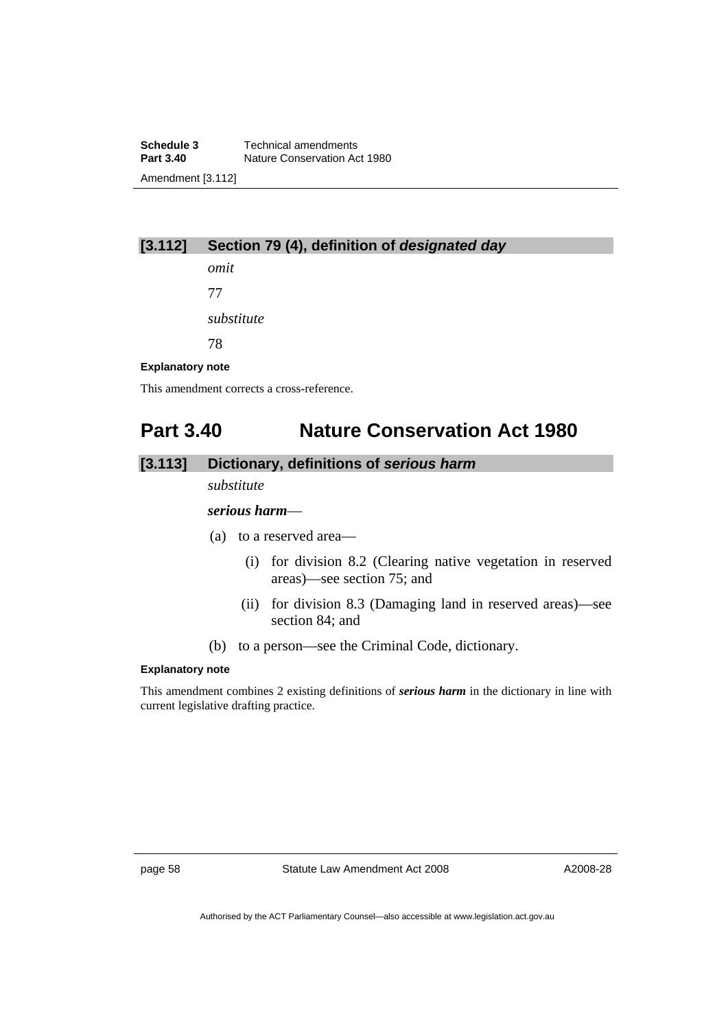**Schedule 3 Technical amendments**<br>**Part 3.40 Nature Conservation Action Nature Conservation Act 1980** Amendment [3.112]

# **[3.112] Section 79 (4), definition of** *designated day*

*omit*  77

*substitute* 

78

## **Explanatory note**

This amendment corrects a cross-reference.

# **Part 3.40 Nature Conservation Act 1980**

# **[3.113] Dictionary, definitions of** *serious harm*

*substitute* 

## *serious harm*—

- (a) to a reserved area—
	- (i) for division 8.2 (Clearing native vegetation in reserved areas)—see section 75; and
	- (ii) for division 8.3 (Damaging land in reserved areas)—see section 84; and
- (b) to a person—see the Criminal Code, dictionary.

## **Explanatory note**

This amendment combines 2 existing definitions of *serious harm* in the dictionary in line with current legislative drafting practice.

page 58 Statute Law Amendment Act 2008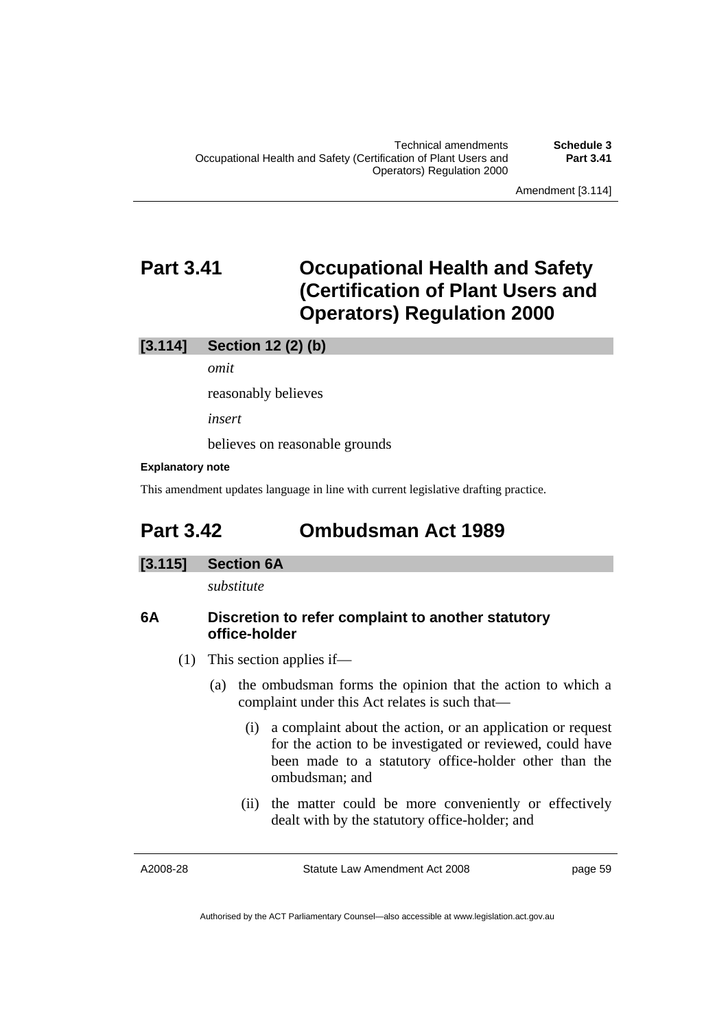# **Part 3.41 Occupational Health and Safety (Certification of Plant Users and Operators) Regulation 2000**

## **[3.114] Section 12 (2) (b)**

*omit* 

reasonably believes

*insert* 

believes on reasonable grounds

## **Explanatory note**

This amendment updates language in line with current legislative drafting practice.

# **Part 3.42 Ombudsman Act 1989**

## **[3.115] Section 6A**

*substitute* 

# **6A Discretion to refer complaint to another statutory office-holder**

- (1) This section applies if—
	- (a) the ombudsman forms the opinion that the action to which a complaint under this Act relates is such that—
		- (i) a complaint about the action, or an application or request for the action to be investigated or reviewed, could have been made to a statutory office-holder other than the ombudsman; and
		- (ii) the matter could be more conveniently or effectively dealt with by the statutory office-holder; and

A2008-28

Statute Law Amendment Act 2008

page 59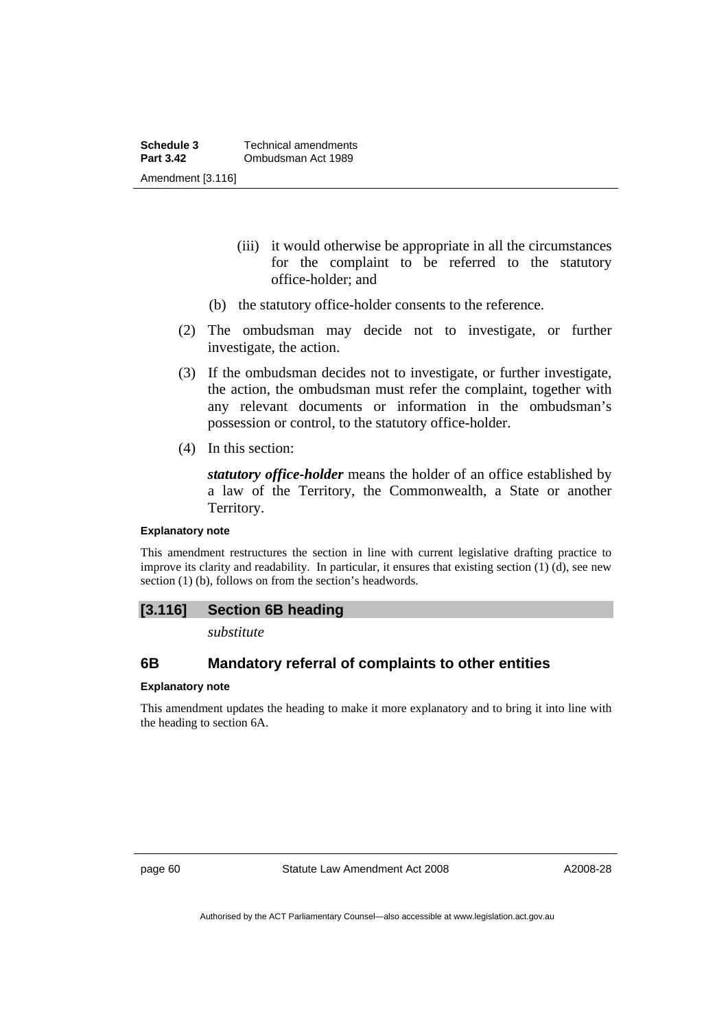- (iii) it would otherwise be appropriate in all the circumstances for the complaint to be referred to the statutory office-holder; and
- (b) the statutory office-holder consents to the reference.
- (2) The ombudsman may decide not to investigate, or further investigate, the action.
- (3) If the ombudsman decides not to investigate, or further investigate, the action, the ombudsman must refer the complaint, together with any relevant documents or information in the ombudsman's possession or control, to the statutory office-holder.
- (4) In this section:

*statutory office-holder* means the holder of an office established by a law of the Territory, the Commonwealth, a State or another Territory.

### **Explanatory note**

This amendment restructures the section in line with current legislative drafting practice to improve its clarity and readability. In particular, it ensures that existing section (1) (d), see new section (1) (b), follows on from the section's headwords.

## **[3.116] Section 6B heading**

*substitute* 

# **6B Mandatory referral of complaints to other entities**

### **Explanatory note**

This amendment updates the heading to make it more explanatory and to bring it into line with the heading to section 6A.

page 60 Statute Law Amendment Act 2008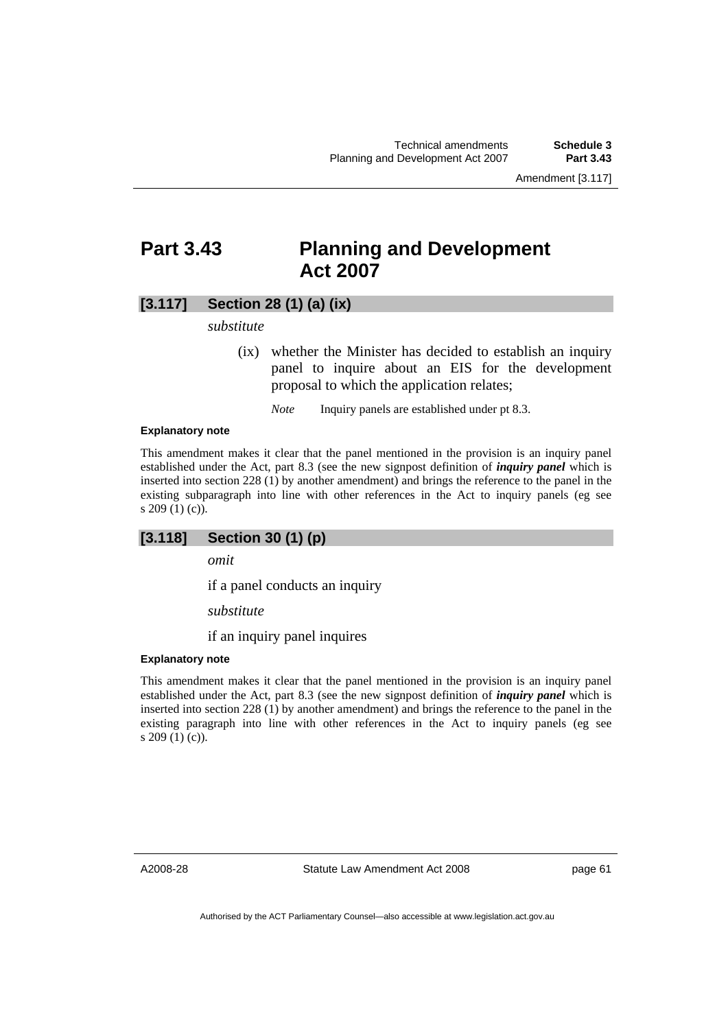# **Part 3.43 Planning and Development Act 2007**

# **[3.117] Section 28 (1) (a) (ix)**

### *substitute*

 (ix) whether the Minister has decided to establish an inquiry panel to inquire about an EIS for the development proposal to which the application relates;

*Note* Inquiry panels are established under pt 8.3.

#### **Explanatory note**

This amendment makes it clear that the panel mentioned in the provision is an inquiry panel established under the Act, part 8.3 (see the new signpost definition of *inquiry panel* which is inserted into section 228 (1) by another amendment) and brings the reference to the panel in the existing subparagraph into line with other references in the Act to inquiry panels (eg see s 209 (1) (c)).

## **[3.118] Section 30 (1) (p)**

*omit* 

if a panel conducts an inquiry

*substitute* 

if an inquiry panel inquires

#### **Explanatory note**

This amendment makes it clear that the panel mentioned in the provision is an inquiry panel established under the Act, part 8.3 (see the new signpost definition of *inquiry panel* which is inserted into section 228 (1) by another amendment) and brings the reference to the panel in the existing paragraph into line with other references in the Act to inquiry panels (eg see s 209 (1) (c)).

A2008-28

Statute Law Amendment Act 2008

page 61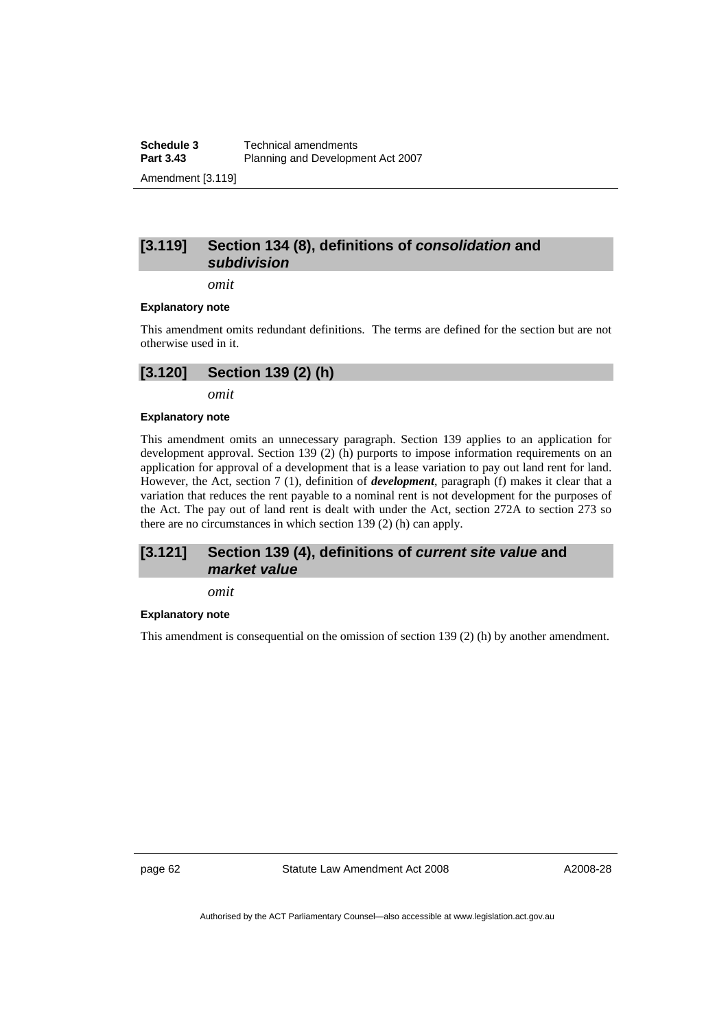**Schedule 3 Technical amendments**<br>**Part 3.43 Planning and Developm** Planning and Development Act 2007 Amendment [3.119]

# **[3.119] Section 134 (8), definitions of** *consolidation* **and**  *subdivision*

*omit* 

#### **Explanatory note**

This amendment omits redundant definitions. The terms are defined for the section but are not otherwise used in it.

# **[3.120] Section 139 (2) (h)**

*omit* 

#### **Explanatory note**

This amendment omits an unnecessary paragraph. Section 139 applies to an application for development approval. Section 139 (2) (h) purports to impose information requirements on an application for approval of a development that is a lease variation to pay out land rent for land. However, the Act, section 7 (1), definition of *development*, paragraph (f) makes it clear that a variation that reduces the rent payable to a nominal rent is not development for the purposes of the Act. The pay out of land rent is dealt with under the Act, section 272A to section 273 so there are no circumstances in which section 139 (2) (h) can apply.

## **[3.121] Section 139 (4), definitions of** *current site value* **and**  *market value*

*omit* 

#### **Explanatory note**

This amendment is consequential on the omission of section 139 (2) (h) by another amendment.

page 62 Statute Law Amendment Act 2008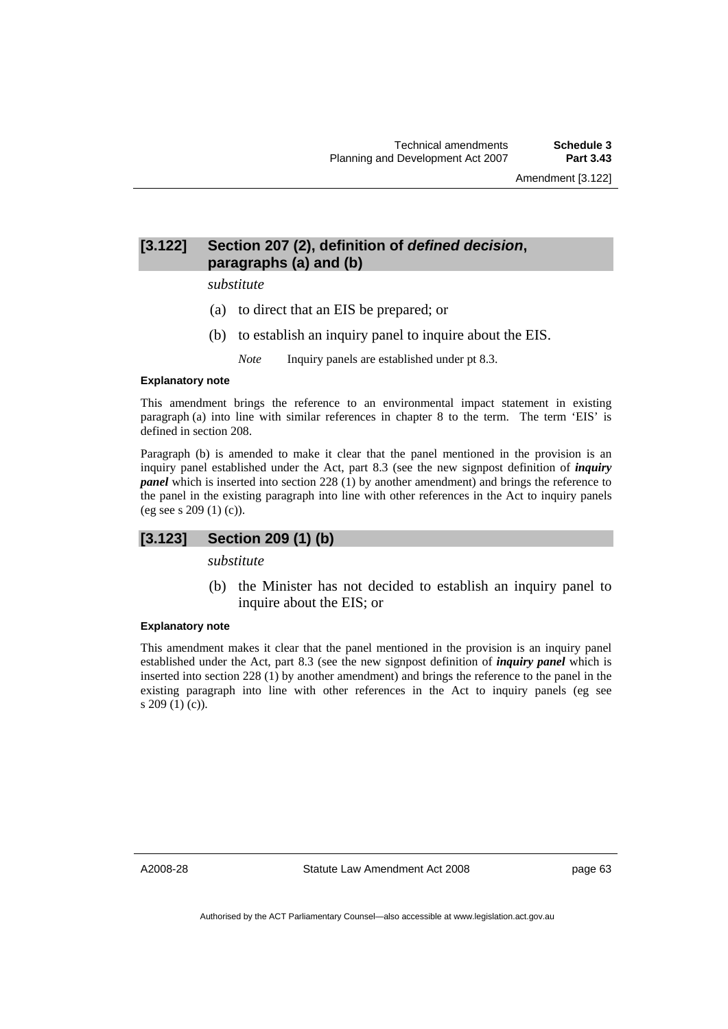# **[3.122] Section 207 (2), definition of** *defined decision***, paragraphs (a) and (b)**

#### *substitute*

- (a) to direct that an EIS be prepared; or
- (b) to establish an inquiry panel to inquire about the EIS.

*Note* Inquiry panels are established under pt 8.3.

### **Explanatory note**

This amendment brings the reference to an environmental impact statement in existing paragraph (a) into line with similar references in chapter 8 to the term. The term 'EIS' is defined in section 208.

Paragraph (b) is amended to make it clear that the panel mentioned in the provision is an inquiry panel established under the Act, part 8.3 (see the new signpost definition of *inquiry panel* which is inserted into section 228 (1) by another amendment) and brings the reference to the panel in the existing paragraph into line with other references in the Act to inquiry panels (eg see s 209 (1) (c)).

## **[3.123] Section 209 (1) (b)**

*substitute* 

 (b) the Minister has not decided to establish an inquiry panel to inquire about the EIS; or

## **Explanatory note**

This amendment makes it clear that the panel mentioned in the provision is an inquiry panel established under the Act, part 8.3 (see the new signpost definition of *inquiry panel* which is inserted into section 228 (1) by another amendment) and brings the reference to the panel in the existing paragraph into line with other references in the Act to inquiry panels (eg see s 209 (1) (c)).

A2008-28

Statute Law Amendment Act 2008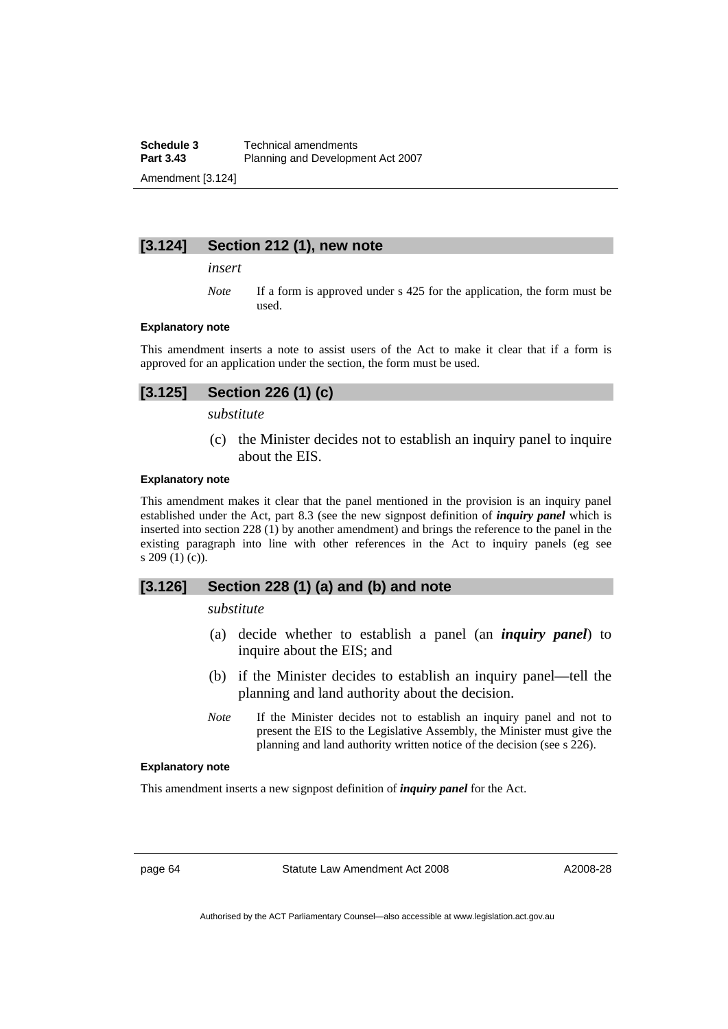**Schedule 3 Technical amendments**<br>**Part 3.43 Planning and Developm** Planning and Development Act 2007 Amendment [3.124]

# **[3.124] Section 212 (1), new note**

*insert* 

*Note* If a form is approved under s 425 for the application, the form must be used.

#### **Explanatory note**

This amendment inserts a note to assist users of the Act to make it clear that if a form is approved for an application under the section, the form must be used.

# **[3.125] Section 226 (1) (c)**

*substitute* 

 (c) the Minister decides not to establish an inquiry panel to inquire about the EIS.

#### **Explanatory note**

This amendment makes it clear that the panel mentioned in the provision is an inquiry panel established under the Act, part 8.3 (see the new signpost definition of *inquiry panel* which is inserted into section 228 (1) by another amendment) and brings the reference to the panel in the existing paragraph into line with other references in the Act to inquiry panels (eg see s 209 (1) (c)).

## **[3.126] Section 228 (1) (a) and (b) and note**

## *substitute*

- (a) decide whether to establish a panel (an *inquiry panel*) to inquire about the EIS; and
- (b) if the Minister decides to establish an inquiry panel—tell the planning and land authority about the decision.
- *Note* If the Minister decides not to establish an inquiry panel and not to present the EIS to the Legislative Assembly, the Minister must give the planning and land authority written notice of the decision (see s 226).

#### **Explanatory note**

This amendment inserts a new signpost definition of *inquiry panel* for the Act.

page 64 Statute Law Amendment Act 2008

A2008-28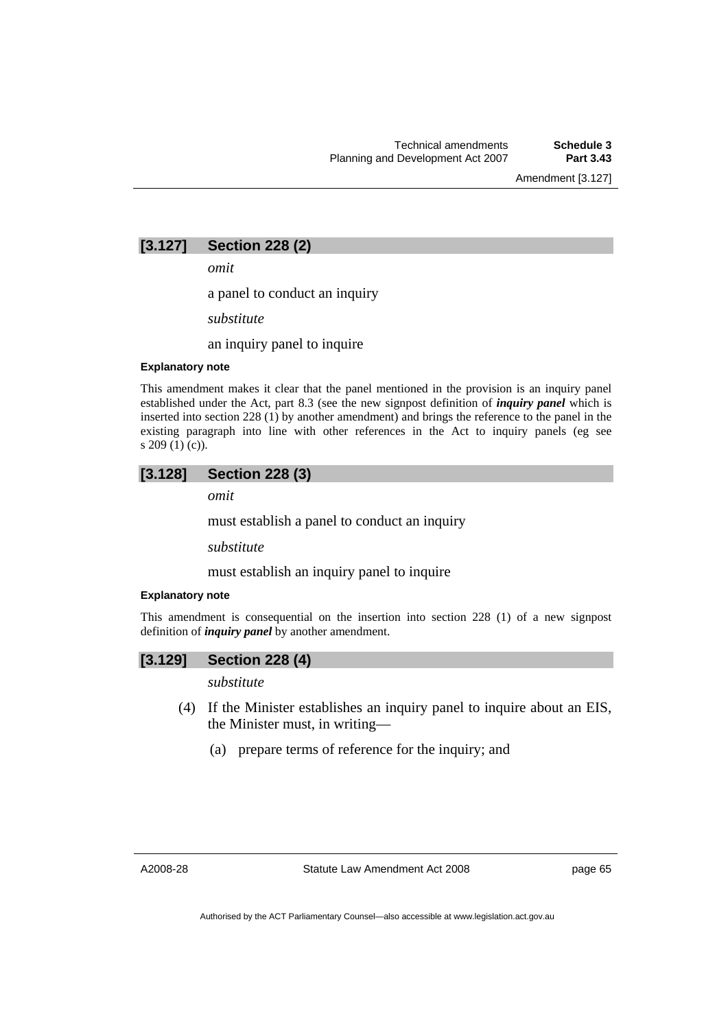Amendment [3.127]

# **[3.127] Section 228 (2)**

*omit* 

a panel to conduct an inquiry

*substitute* 

an inquiry panel to inquire

### **Explanatory note**

This amendment makes it clear that the panel mentioned in the provision is an inquiry panel established under the Act, part 8.3 (see the new signpost definition of *inquiry panel* which is inserted into section 228 (1) by another amendment) and brings the reference to the panel in the existing paragraph into line with other references in the Act to inquiry panels (eg see s 209 (1) (c)).

# **[3.128] Section 228 (3)**

*omit* 

must establish a panel to conduct an inquiry

*substitute* 

must establish an inquiry panel to inquire

### **Explanatory note**

This amendment is consequential on the insertion into section 228 (1) of a new signpost definition of *inquiry panel* by another amendment.

## **[3.129] Section 228 (4)**

*substitute* 

- (4) If the Minister establishes an inquiry panel to inquire about an EIS, the Minister must, in writing—
	- (a) prepare terms of reference for the inquiry; and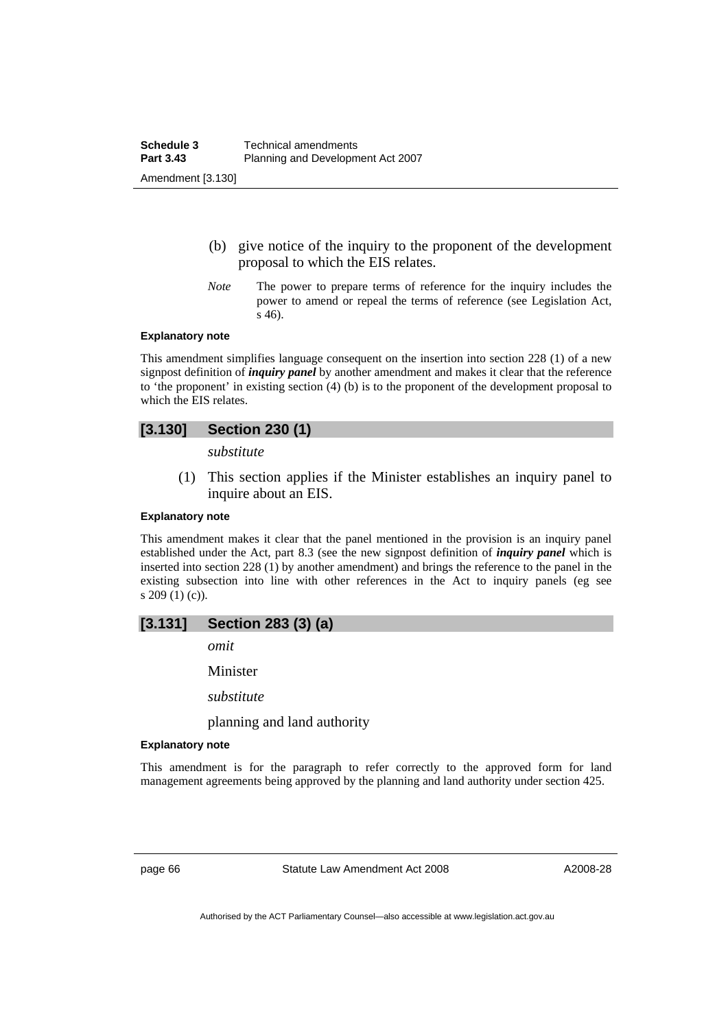- (b) give notice of the inquiry to the proponent of the development proposal to which the EIS relates.
- *Note* The power to prepare terms of reference for the inquiry includes the power to amend or repeal the terms of reference (see Legislation Act, s 46).

#### **Explanatory note**

This amendment simplifies language consequent on the insertion into section 228 (1) of a new signpost definition of *inquiry panel* by another amendment and makes it clear that the reference to 'the proponent' in existing section (4) (b) is to the proponent of the development proposal to which the EIS relates.

# **[3.130] Section 230 (1)**

*substitute* 

 (1) This section applies if the Minister establishes an inquiry panel to inquire about an EIS.

## **Explanatory note**

This amendment makes it clear that the panel mentioned in the provision is an inquiry panel established under the Act, part 8.3 (see the new signpost definition of *inquiry panel* which is inserted into section 228 (1) by another amendment) and brings the reference to the panel in the existing subsection into line with other references in the Act to inquiry panels (eg see s 209 (1) (c)).

# **[3.131] Section 283 (3) (a)**

*omit* 

Minister

*substitute* 

planning and land authority

#### **Explanatory note**

This amendment is for the paragraph to refer correctly to the approved form for land management agreements being approved by the planning and land authority under section 425.

page 66 Statute Law Amendment Act 2008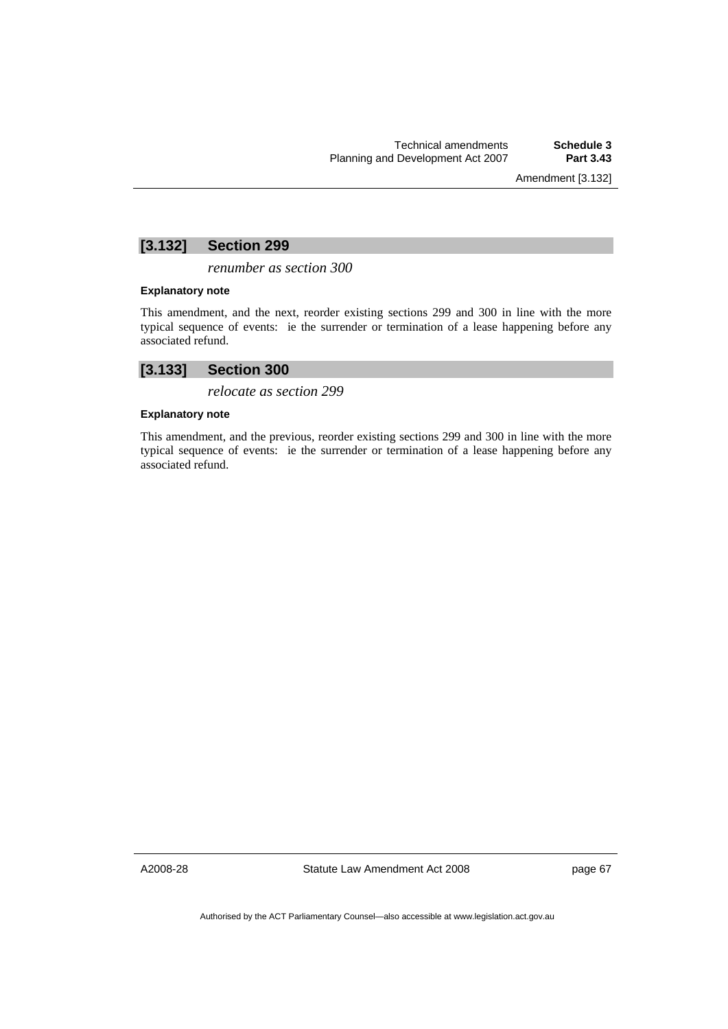Amendment [3.132]

# **[3.132] Section 299**

*renumber as section 300* 

### **Explanatory note**

This amendment, and the next, reorder existing sections 299 and 300 in line with the more typical sequence of events: ie the surrender or termination of a lease happening before any associated refund.

# **[3.133] Section 300**

*relocate as section 299* 

### **Explanatory note**

This amendment, and the previous, reorder existing sections 299 and 300 in line with the more typical sequence of events: ie the surrender or termination of a lease happening before any associated refund.

A2008-28

Statute Law Amendment Act 2008

page 67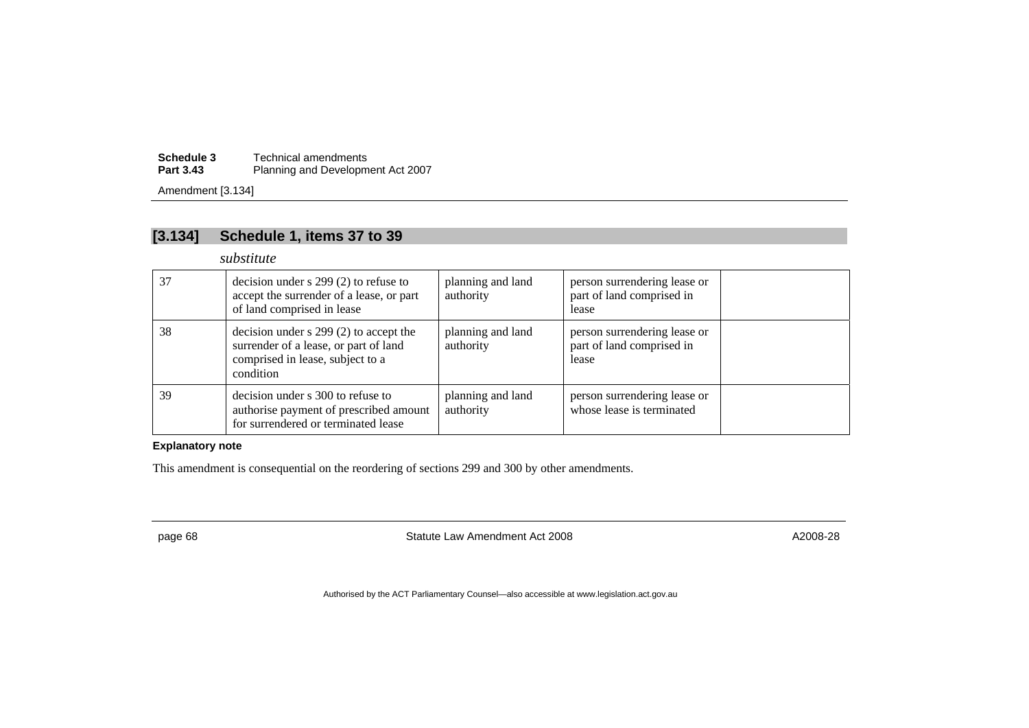**Schedule 3** Technical amendments **Part 3.43**Planning and Development Act 2007

Amendment [3.134]

# **[3.134] Schedule 1, items 37 to 39**

*substitute* 

| 37 | decision under $s$ 299 (2) to refuse to<br>accept the surrender of a lease, or part<br>of land comprised in lease                  | planning and land<br>authority | person surrendering lease or<br>part of land comprised in<br>lease |  |
|----|------------------------------------------------------------------------------------------------------------------------------------|--------------------------------|--------------------------------------------------------------------|--|
| 38 | decision under $s$ 299 (2) to accept the<br>surrender of a lease, or part of land<br>comprised in lease, subject to a<br>condition | planning and land<br>authority | person surrendering lease or<br>part of land comprised in<br>lease |  |
| 39 | decision under s 300 to refuse to<br>authorise payment of prescribed amount<br>for surrendered or terminated lease                 | planning and land<br>authority | person surrendering lease or<br>whose lease is terminated          |  |

## **Explanatory note**

This amendment is consequential on the reordering of sections 299 and 300 by other amendments.

page 68 and the Statute Law Amendment Act 2008 Azimum Action Active A2008-28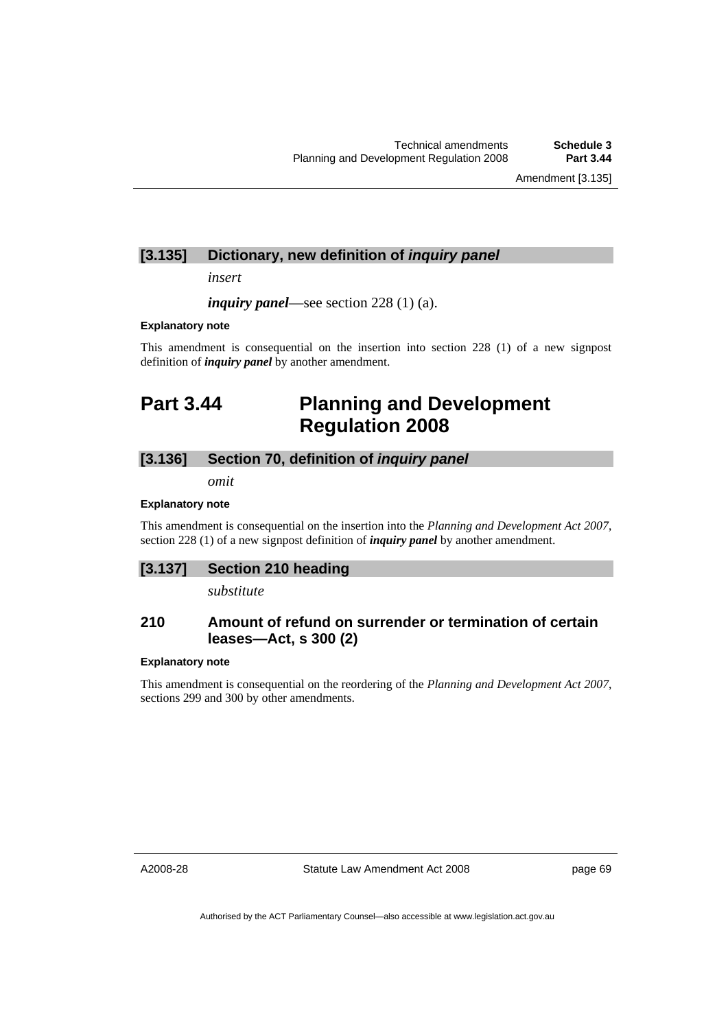Amendment [3.135]

## **[3.135] Dictionary, new definition of** *inquiry panel*

*insert* 

*inquiry panel*—see section 228 (1) (a).

#### **Explanatory note**

This amendment is consequential on the insertion into section 228 (1) of a new signpost definition of *inquiry panel* by another amendment.

# **Part 3.44 Planning and Development Regulation 2008**

## **[3.136] Section 70, definition of** *inquiry panel*

*omit* 

### **Explanatory note**

This amendment is consequential on the insertion into the *Planning and Development Act 2007*, section 228 (1) of a new signpost definition of *inquiry panel* by another amendment.

## **[3.137] Section 210 heading**

*substitute* 

## **210 Amount of refund on surrender or termination of certain leases—Act, s 300 (2)**

### **Explanatory note**

This amendment is consequential on the reordering of the *Planning and Development Act 2007*, sections 299 and 300 by other amendments.

A2008-28

Statute Law Amendment Act 2008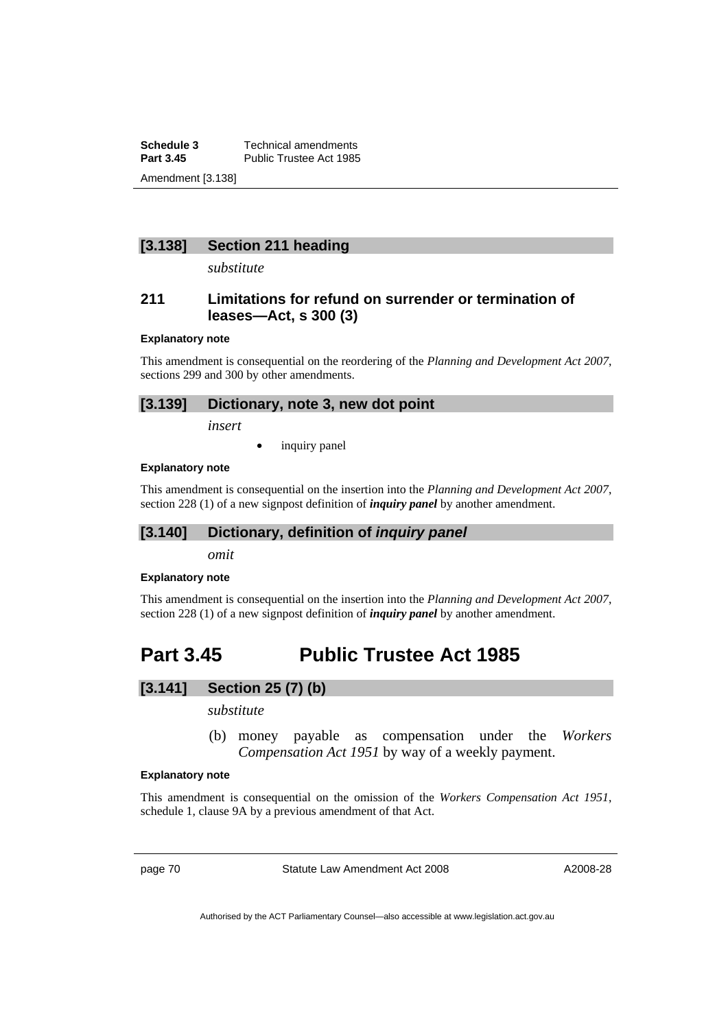**Schedule 3 Technical amendments**<br>**Part 3.45 Public Trustee Act 1985** Public Trustee Act 1985 Amendment [3.138]

## **[3.138] Section 211 heading**

*substitute* 

## **211 Limitations for refund on surrender or termination of leases—Act, s 300 (3)**

#### **Explanatory note**

This amendment is consequential on the reordering of the *Planning and Development Act 2007*, sections 299 and 300 by other amendments.

## **[3.139] Dictionary, note 3, new dot point**

*insert* 

inquiry panel

## **Explanatory note**

This amendment is consequential on the insertion into the *Planning and Development Act 2007*, section 228 (1) of a new signpost definition of *inquiry panel* by another amendment.

## **[3.140] Dictionary, definition of** *inquiry panel*

*omit* 

### **Explanatory note**

This amendment is consequential on the insertion into the *Planning and Development Act 2007*, section 228 (1) of a new signpost definition of *inquiry panel* by another amendment.

# **Part 3.45 Public Trustee Act 1985**

# **[3.141] Section 25 (7) (b)**

*substitute* 

 (b) money payable as compensation under the *Workers Compensation Act 1951* by way of a weekly payment.

#### **Explanatory note**

This amendment is consequential on the omission of the *Workers Compensation Act 1951*, schedule 1, clause 9A by a previous amendment of that Act.

page 70 Statute Law Amendment Act 2008

A2008-28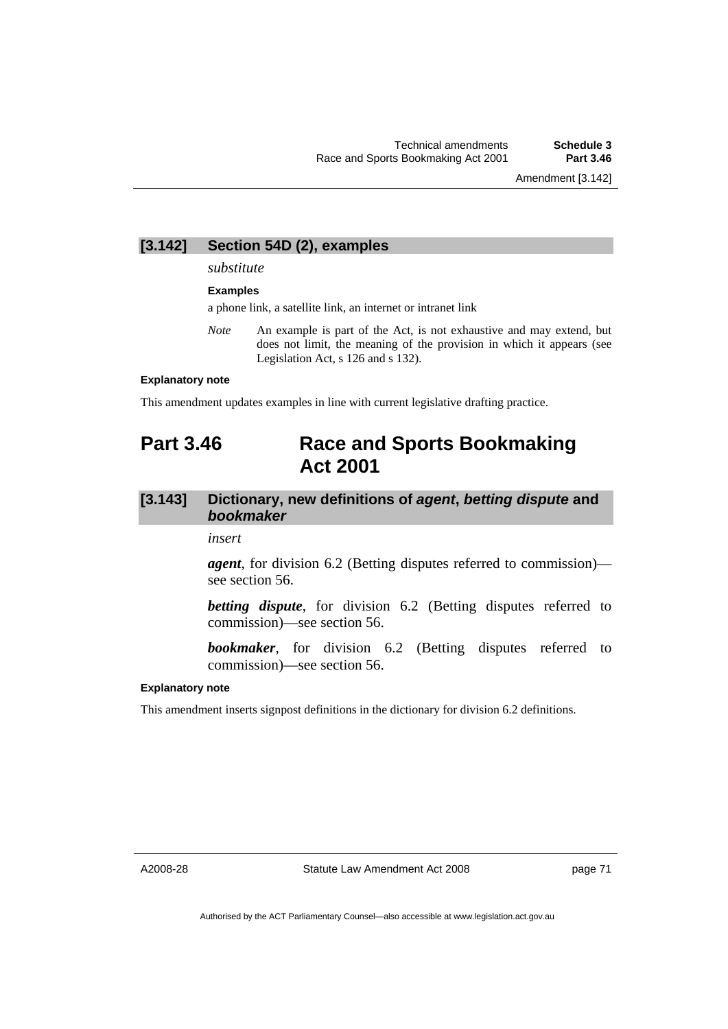## **[3.142] Section 54D (2), examples**

#### *substitute*

#### **Examples**

a phone link, a satellite link, an internet or intranet link

*Note* An example is part of the Act, is not exhaustive and may extend, but does not limit, the meaning of the provision in which it appears (see Legislation Act, s 126 and s 132).

#### **Explanatory note**

This amendment updates examples in line with current legislative drafting practice.

# **Part 3.46 Race and Sports Bookmaking Act 2001**

# **[3.143] Dictionary, new definitions of** *agent***,** *betting dispute* **and**  *bookmaker*

*insert* 

*agent*, for division 6.2 (Betting disputes referred to commission) see section 56.

*betting dispute*, for division 6.2 (Betting disputes referred to commission)—see section 56.

*bookmaker*, for division 6.2 (Betting disputes referred to commission)—see section 56.

#### **Explanatory note**

This amendment inserts signpost definitions in the dictionary for division 6.2 definitions.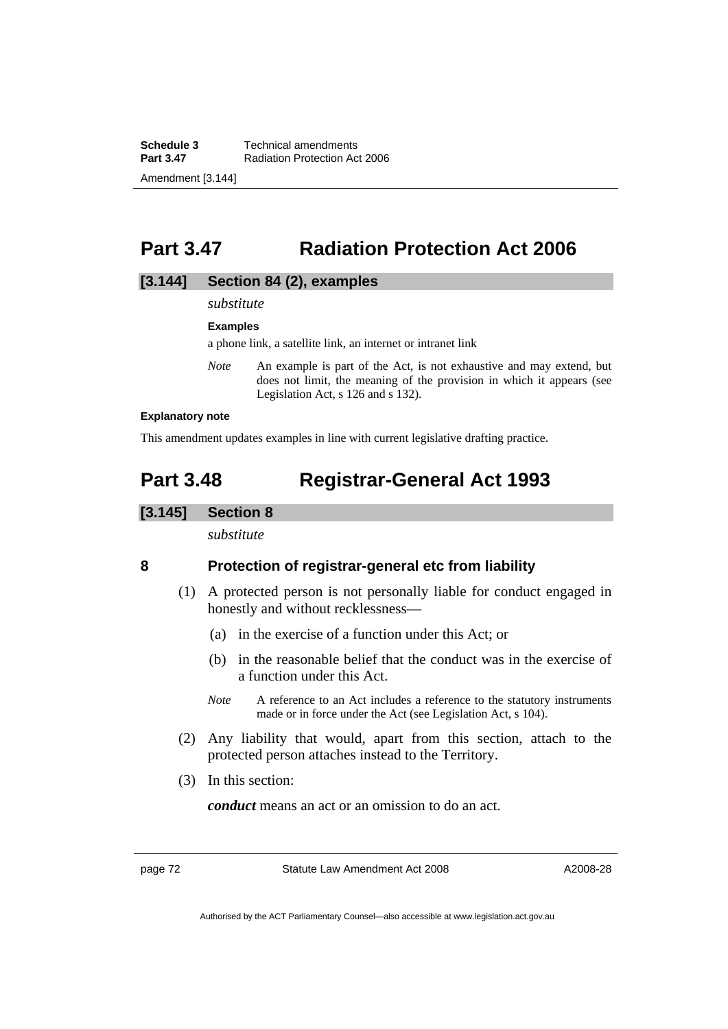**Schedule 3 Technical amendments**<br>**Part 3.47 Radiation Protection Ac Radiation Protection Act 2006** Amendment [3.144]

# **Part 3.47 Radiation Protection Act 2006**

## **[3.144] Section 84 (2), examples**

## *substitute*

#### **Examples**

a phone link, a satellite link, an internet or intranet link

*Note* An example is part of the Act, is not exhaustive and may extend, but does not limit, the meaning of the provision in which it appears (see Legislation Act, s 126 and s 132).

#### **Explanatory note**

This amendment updates examples in line with current legislative drafting practice.

# **Part 3.48 Registrar-General Act 1993**

### **[3.145] Section 8**

*substitute* 

## **8 Protection of registrar-general etc from liability**

- (1) A protected person is not personally liable for conduct engaged in honestly and without recklessness—
	- (a) in the exercise of a function under this Act; or
	- (b) in the reasonable belief that the conduct was in the exercise of a function under this Act.
	- *Note* A reference to an Act includes a reference to the statutory instruments made or in force under the Act (see Legislation Act, s 104).
- (2) Any liability that would, apart from this section, attach to the protected person attaches instead to the Territory.
- (3) In this section:

*conduct* means an act or an omission to do an act.

page 72 Statute Law Amendment Act 2008

A2008-28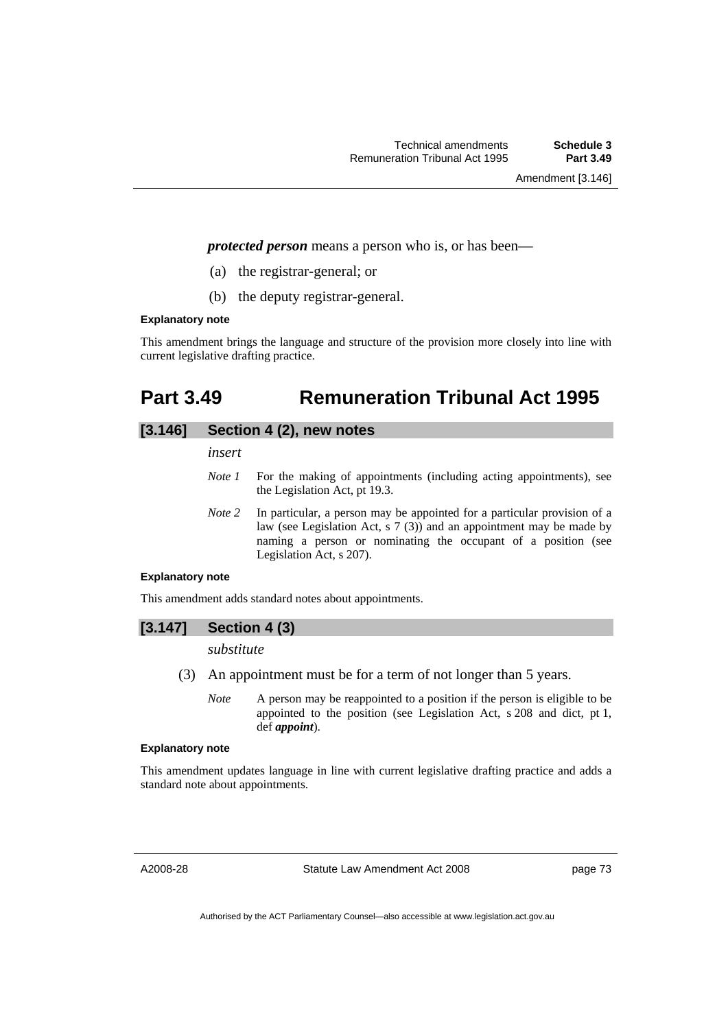Amendment [3.146]

*protected person* means a person who is, or has been—

- (a) the registrar-general; or
- (b) the deputy registrar-general.

#### **Explanatory note**

This amendment brings the language and structure of the provision more closely into line with current legislative drafting practice.

# **Part 3.49 Remuneration Tribunal Act 1995**

## **[3.146] Section 4 (2), new notes**

*insert* 

- *Note 1* For the making of appointments (including acting appointments), see the Legislation Act, pt 19.3.
- *Note 2* In particular, a person may be appointed for a particular provision of a law (see Legislation Act, s 7 (3)) and an appointment may be made by naming a person or nominating the occupant of a position (see Legislation Act, s 207).

#### **Explanatory note**

This amendment adds standard notes about appointments.

## **[3.147] Section 4 (3)**

### *substitute*

- (3) An appointment must be for a term of not longer than 5 years.
	- *Note* A person may be reappointed to a position if the person is eligible to be appointed to the position (see Legislation Act, s 208 and dict, pt 1, def *appoint*).

## **Explanatory note**

This amendment updates language in line with current legislative drafting practice and adds a standard note about appointments.

A2008-28

Statute Law Amendment Act 2008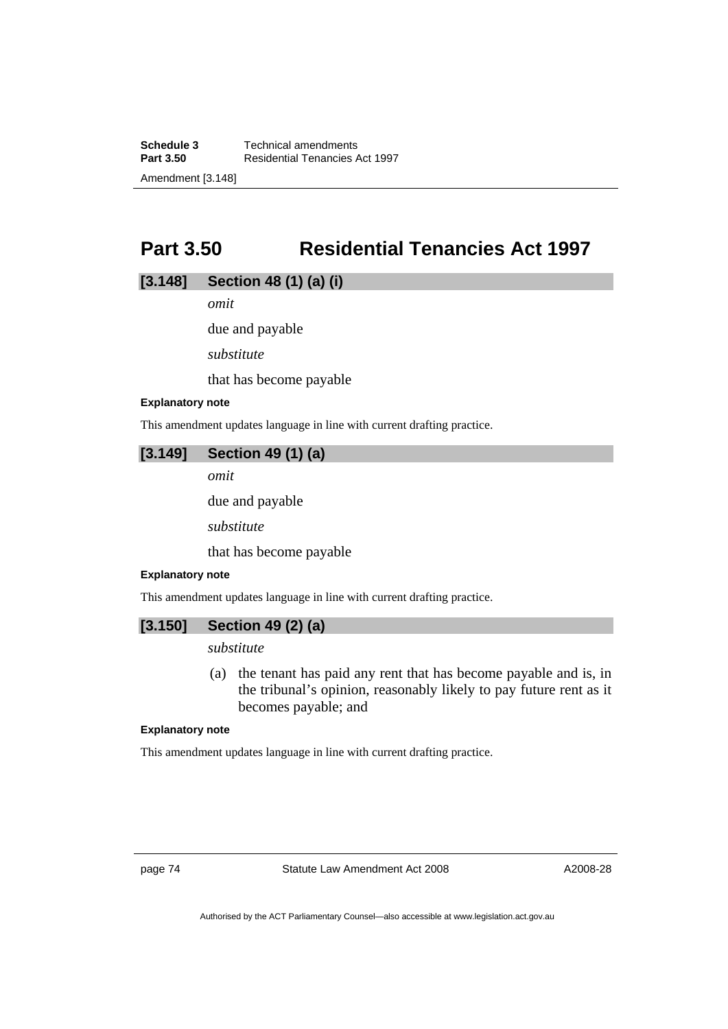**Schedule 3 Technical amendments**<br>**Part 3.50 Residential Tenancies A Part 3.50** Residential Tenancies Act 1997 Amendment [3.148]

# **Part 3.50 Residential Tenancies Act 1997**

## **[3.148] Section 48 (1) (a) (i)**

*omit* 

due and payable

*substitute* 

that has become payable

### **Explanatory note**

This amendment updates language in line with current drafting practice.

## **[3.149] Section 49 (1) (a)**

*omit* 

due and payable

*substitute* 

that has become payable

### **Explanatory note**

This amendment updates language in line with current drafting practice.

## **[3.150] Section 49 (2) (a)**

## *substitute*

 (a) the tenant has paid any rent that has become payable and is, in the tribunal's opinion, reasonably likely to pay future rent as it becomes payable; and

### **Explanatory note**

This amendment updates language in line with current drafting practice.

page 74 Statute Law Amendment Act 2008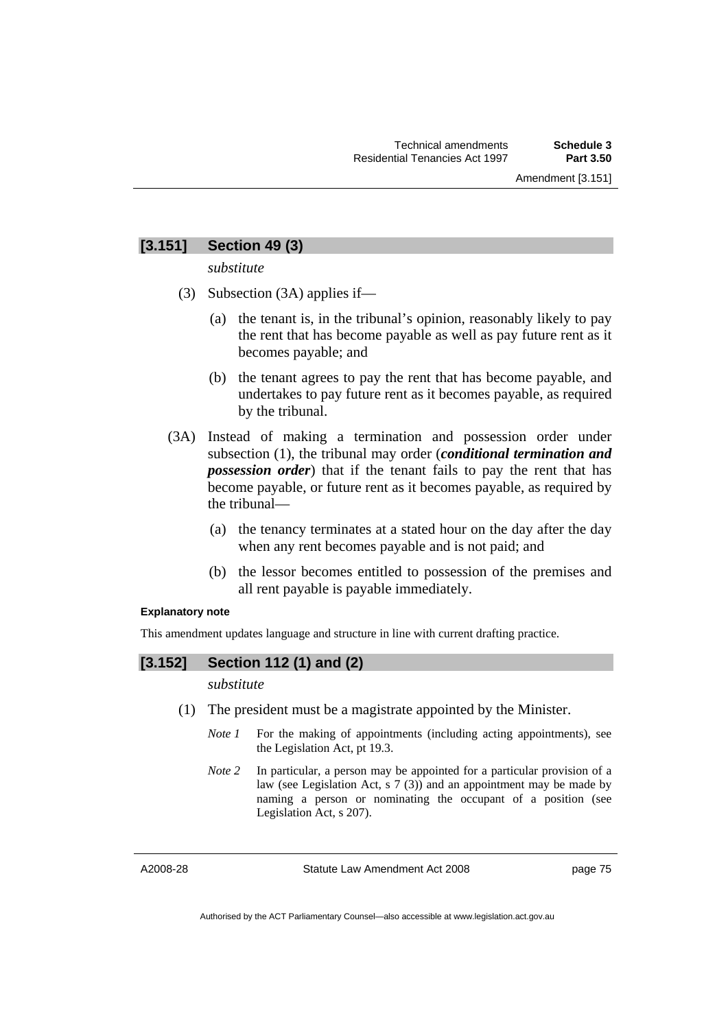## **[3.151] Section 49 (3)**

*substitute* 

- (3) Subsection (3A) applies if—
	- (a) the tenant is, in the tribunal's opinion, reasonably likely to pay the rent that has become payable as well as pay future rent as it becomes payable; and
	- (b) the tenant agrees to pay the rent that has become payable, and undertakes to pay future rent as it becomes payable, as required by the tribunal.
- (3A) Instead of making a termination and possession order under subsection (1), the tribunal may order (*conditional termination and possession order*) that if the tenant fails to pay the rent that has become payable, or future rent as it becomes payable, as required by the tribunal—
	- (a) the tenancy terminates at a stated hour on the day after the day when any rent becomes payable and is not paid; and
	- (b) the lessor becomes entitled to possession of the premises and all rent payable is payable immediately.

### **Explanatory note**

This amendment updates language and structure in line with current drafting practice.

## **[3.152] Section 112 (1) and (2)**

*substitute* 

- (1) The president must be a magistrate appointed by the Minister.
	- *Note 1* For the making of appointments (including acting appointments), see the Legislation Act, pt 19.3.
	- *Note 2* In particular, a person may be appointed for a particular provision of a law (see Legislation Act, s 7 (3)) and an appointment may be made by naming a person or nominating the occupant of a position (see Legislation Act, s 207).

A2008-28

Statute Law Amendment Act 2008

page 75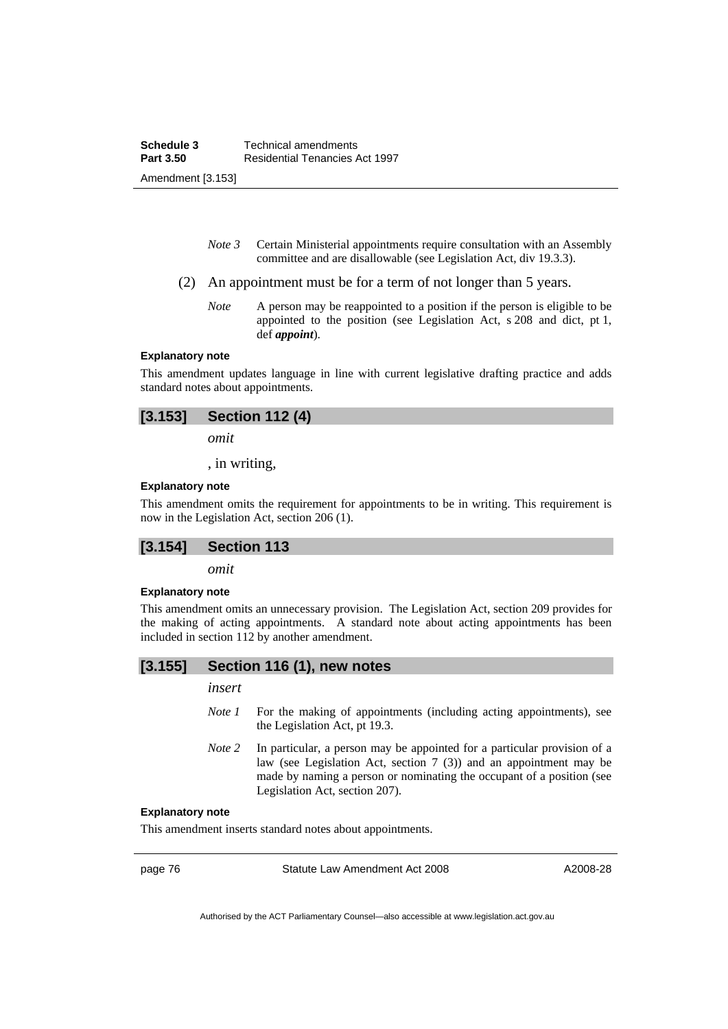- *Note 3* Certain Ministerial appointments require consultation with an Assembly committee and are disallowable (see Legislation Act, div 19.3.3).
- (2) An appointment must be for a term of not longer than 5 years.
	- *Note* A person may be reappointed to a position if the person is eligible to be appointed to the position (see Legislation Act, s 208 and dict, pt 1, def *appoint*).

#### **Explanatory note**

This amendment updates language in line with current legislative drafting practice and adds standard notes about appointments.

| [3.153]<br><b>Section 112 (4)</b> |  |
|-----------------------------------|--|
|-----------------------------------|--|

*omit* 

, in writing,

#### **Explanatory note**

This amendment omits the requirement for appointments to be in writing. This requirement is now in the Legislation Act, section 206 (1).

### **[3.154] Section 113**

*omit* 

### **Explanatory note**

This amendment omits an unnecessary provision. The Legislation Act, section 209 provides for the making of acting appointments. A standard note about acting appointments has been included in section 112 by another amendment.

### **[3.155] Section 116 (1), new notes**

*insert* 

- *Note 1* For the making of appointments (including acting appointments), see the Legislation Act, pt 19.3.
- *Note 2* In particular, a person may be appointed for a particular provision of a law (see Legislation Act, section 7 (3)) and an appointment may be made by naming a person or nominating the occupant of a position (see Legislation Act, section 207).

#### **Explanatory note**

This amendment inserts standard notes about appointments.

page 76 Statute Law Amendment Act 2008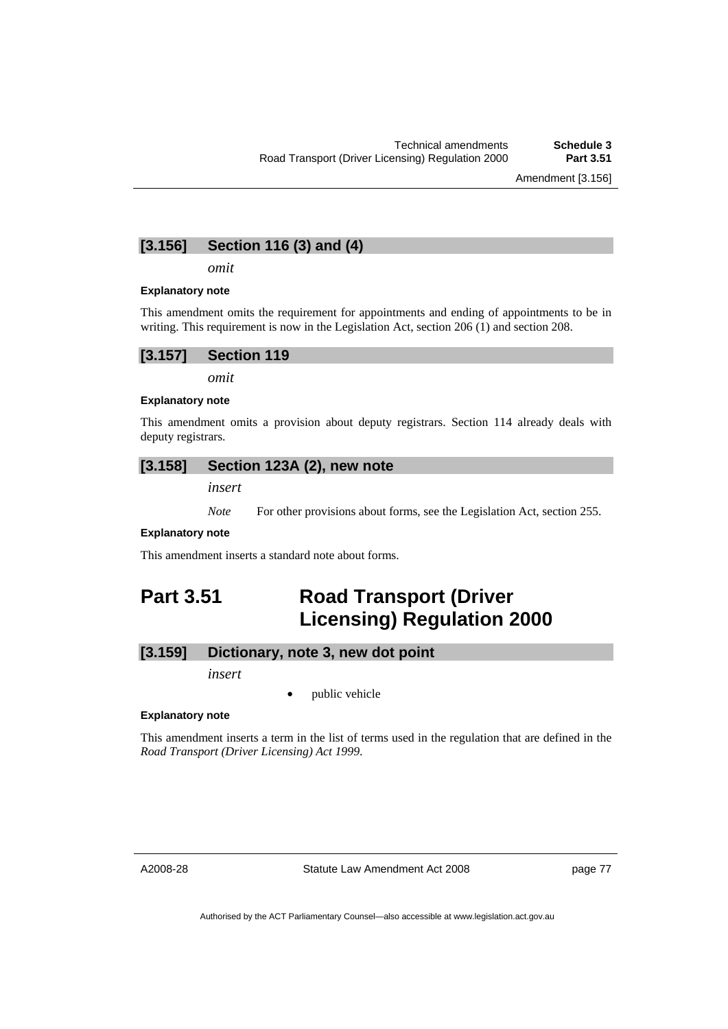## **[3.156] Section 116 (3) and (4)**

*omit* 

#### **Explanatory note**

This amendment omits the requirement for appointments and ending of appointments to be in writing. This requirement is now in the Legislation Act, section 206 (1) and section 208.



*omit* 

#### **Explanatory note**

This amendment omits a provision about deputy registrars. Section 114 already deals with deputy registrars.

## **[3.158] Section 123A (2), new note**

*insert* 

*Note* For other provisions about forms, see the Legislation Act, section 255.

#### **Explanatory note**

This amendment inserts a standard note about forms.

# **Part 3.51 Road Transport (Driver Licensing) Regulation 2000**

## **[3.159] Dictionary, note 3, new dot point**

*insert* 

public vehicle

#### **Explanatory note**

This amendment inserts a term in the list of terms used in the regulation that are defined in the *Road Transport (Driver Licensing) Act 1999*.

A2008-28

Statute Law Amendment Act 2008

page 77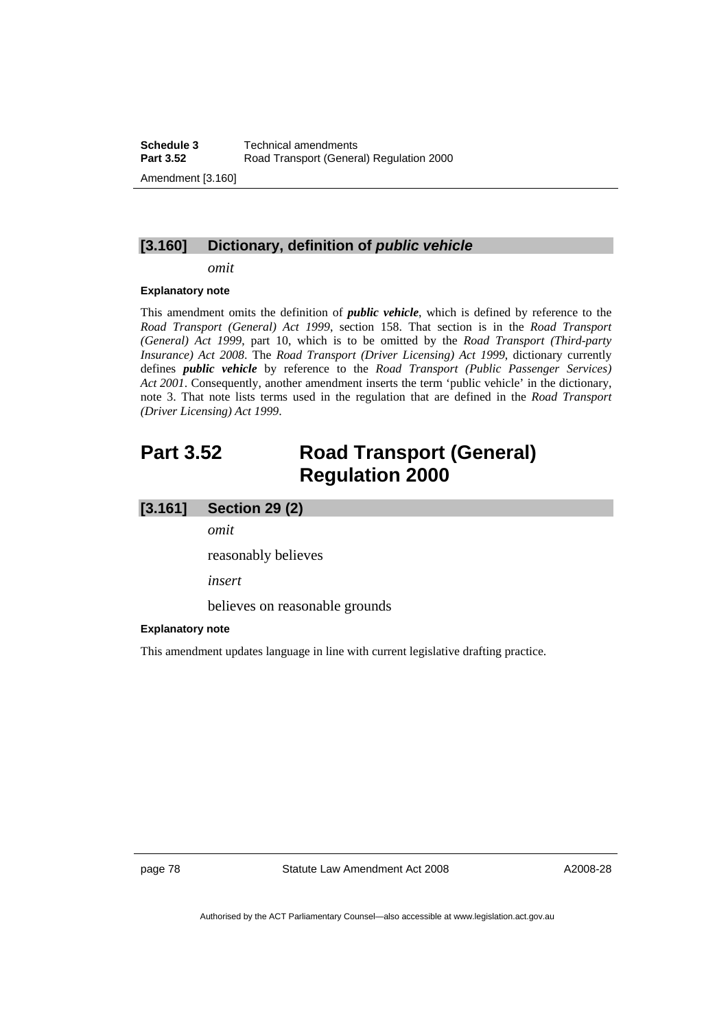## **[3.160] Dictionary, definition of** *public vehicle*

*omit* 

#### **Explanatory note**

This amendment omits the definition of *public vehicle*, which is defined by reference to the *Road Transport (General) Act 1999*, section 158. That section is in the *Road Transport (General) Act 1999*, part 10, which is to be omitted by the *Road Transport (Third-party Insurance) Act 2008*. The *Road Transport (Driver Licensing) Act 1999*, dictionary currently defines *public vehicle* by reference to the *Road Transport (Public Passenger Services) Act 2001*. Consequently, another amendment inserts the term 'public vehicle' in the dictionary, note 3. That note lists terms used in the regulation that are defined in the *Road Transport (Driver Licensing) Act 1999*.

# **Part 3.52 Road Transport (General) Regulation 2000**

### **[3.161] Section 29 (2)**

*omit* 

reasonably believes

*insert* 

believes on reasonable grounds

#### **Explanatory note**

This amendment updates language in line with current legislative drafting practice.

page 78 Statute Law Amendment Act 2008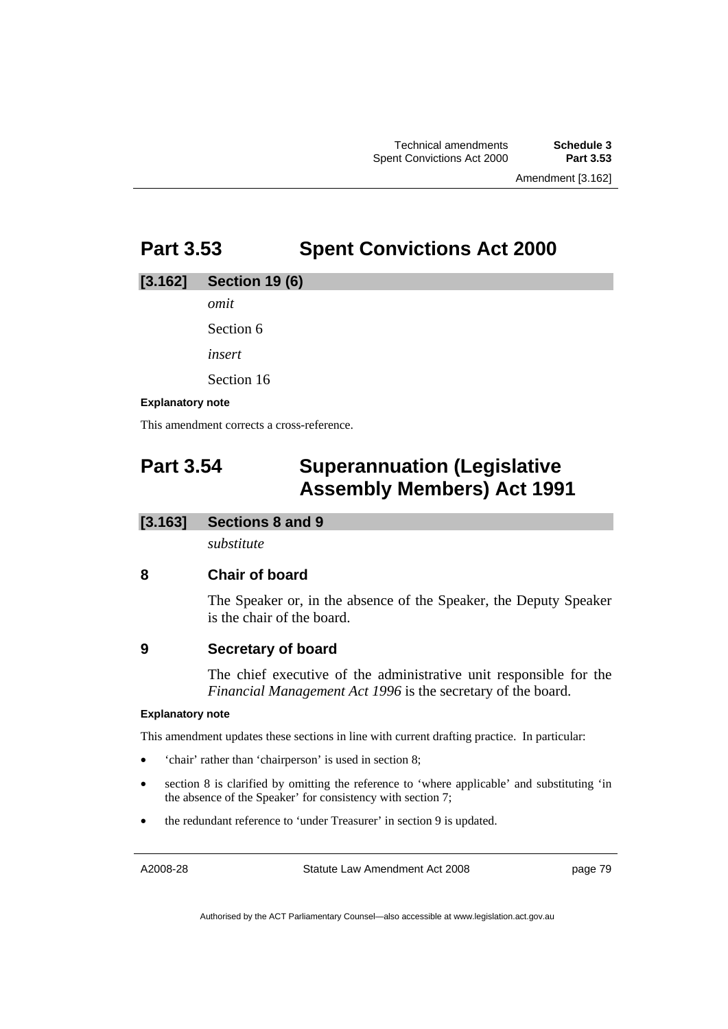# **Part 3.53 Spent Convictions Act 2000**

## **[3.162] Section 19 (6)**

*omit* 

Section 6

*insert* 

Section 16

## **Explanatory note**

This amendment corrects a cross-reference.

# **Part 3.54 Superannuation (Legislative Assembly Members) Act 1991**

## **[3.163] Sections 8 and 9**

*substitute* 

# **8 Chair of board**

The Speaker or, in the absence of the Speaker, the Deputy Speaker is the chair of the board.

# **9 Secretary of board**

The chief executive of the administrative unit responsible for the *Financial Management Act 1996* is the secretary of the board.

## **Explanatory note**

This amendment updates these sections in line with current drafting practice. In particular:

- 'chair' rather than 'chairperson' is used in section 8;
- section 8 is clarified by omitting the reference to 'where applicable' and substituting 'in the absence of the Speaker' for consistency with section 7;
- the redundant reference to 'under Treasurer' in section 9 is updated.

A2008-28

Statute Law Amendment Act 2008

page 79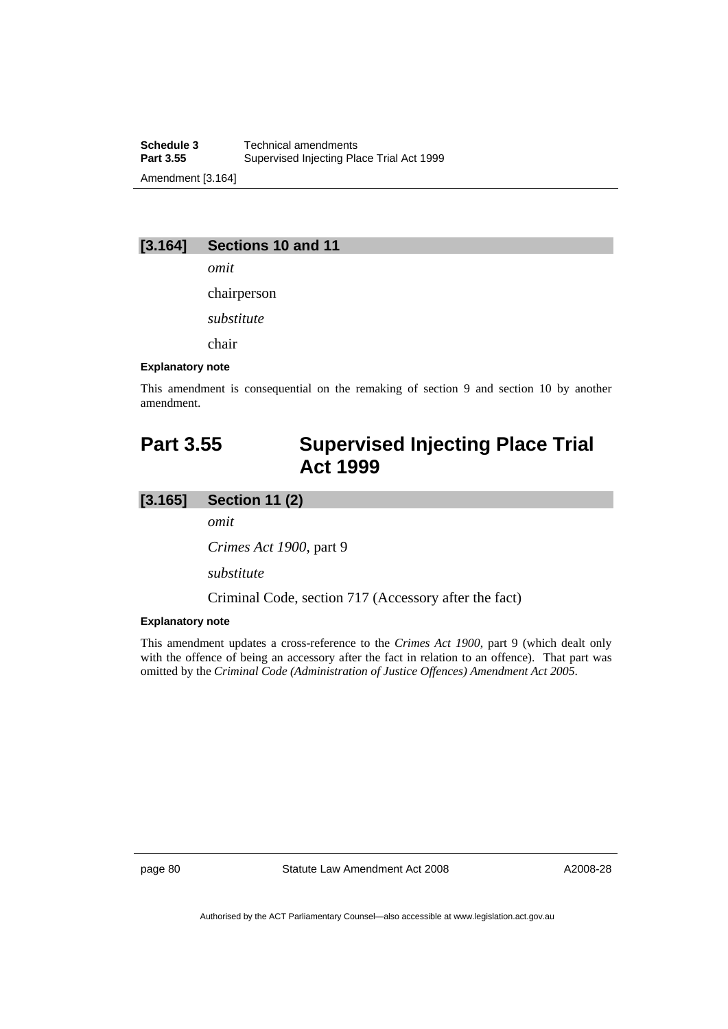**Schedule 3 Technical amendments**<br>**Part 3.55 Supervised Injecting Plane** Supervised Injecting Place Trial Act 1999 Amendment [3.164]

## **[3.164] Sections 10 and 11**

*omit* 

chairperson

*substitute* 

chair

#### **Explanatory note**

This amendment is consequential on the remaking of section 9 and section 10 by another amendment.

# **Part 3.55 Supervised Injecting Place Trial Act 1999**

## **[3.165] Section 11 (2)**

*omit* 

*Crimes Act 1900*, part 9

*substitute* 

Criminal Code, section 717 (Accessory after the fact)

### **Explanatory note**

This amendment updates a cross-reference to the *Crimes Act 1900*, part 9 (which dealt only with the offence of being an accessory after the fact in relation to an offence). That part was omitted by the *Criminal Code (Administration of Justice Offences) Amendment Act 2005*.

page 80 Statute Law Amendment Act 2008

A2008-28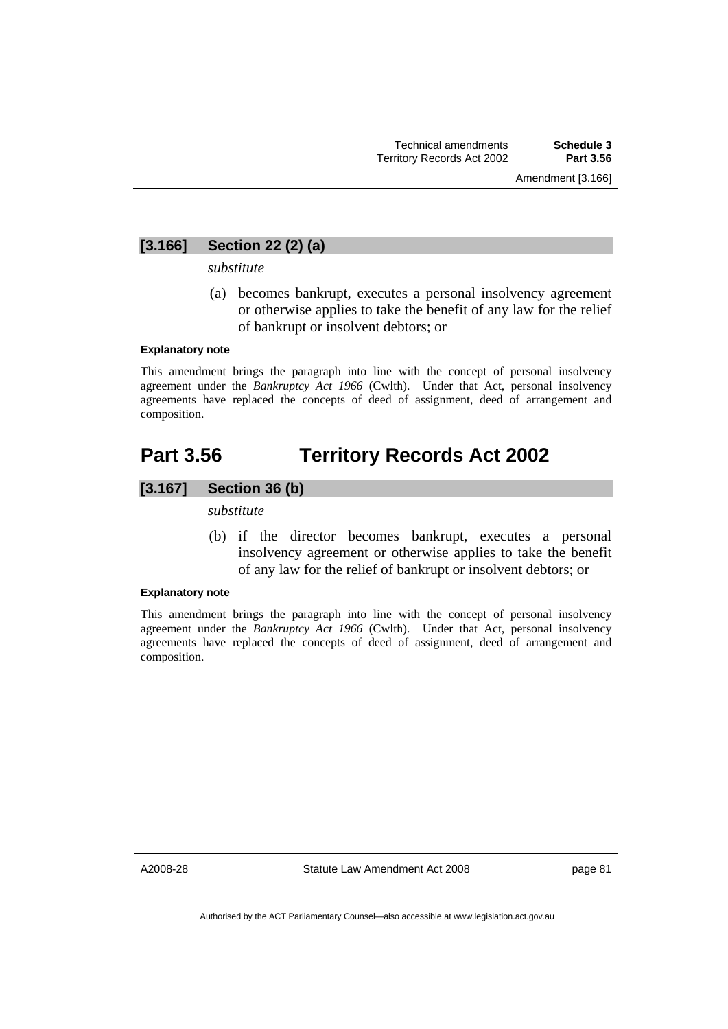## **[3.166] Section 22 (2) (a)**

### *substitute*

 (a) becomes bankrupt, executes a personal insolvency agreement or otherwise applies to take the benefit of any law for the relief of bankrupt or insolvent debtors; or

#### **Explanatory note**

This amendment brings the paragraph into line with the concept of personal insolvency agreement under the *Bankruptcy Act 1966* (Cwlth). Under that Act, personal insolvency agreements have replaced the concepts of deed of assignment, deed of arrangement and composition.

# **Part 3.56 Territory Records Act 2002**

# **[3.167] Section 36 (b)**

#### *substitute*

 (b) if the director becomes bankrupt, executes a personal insolvency agreement or otherwise applies to take the benefit of any law for the relief of bankrupt or insolvent debtors; or

#### **Explanatory note**

This amendment brings the paragraph into line with the concept of personal insolvency agreement under the *Bankruptcy Act 1966* (Cwlth). Under that Act, personal insolvency agreements have replaced the concepts of deed of assignment, deed of arrangement and composition.

A2008-28

Statute Law Amendment Act 2008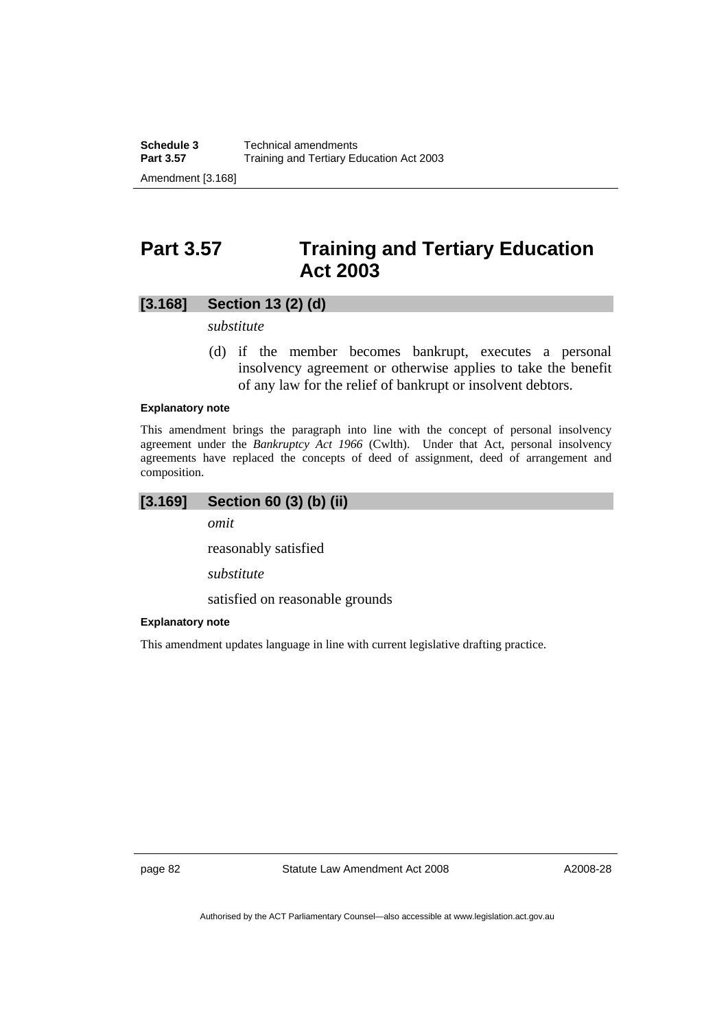# **Part 3.57 Training and Tertiary Education Act 2003**

## **[3.168] Section 13 (2) (d)**

*substitute* 

 (d) if the member becomes bankrupt, executes a personal insolvency agreement or otherwise applies to take the benefit of any law for the relief of bankrupt or insolvent debtors.

### **Explanatory note**

This amendment brings the paragraph into line with the concept of personal insolvency agreement under the *Bankruptcy Act 1966* (Cwlth). Under that Act, personal insolvency agreements have replaced the concepts of deed of assignment, deed of arrangement and composition.

## **[3.169] Section 60 (3) (b) (ii)**

*omit* 

reasonably satisfied

*substitute* 

satisfied on reasonable grounds

### **Explanatory note**

This amendment updates language in line with current legislative drafting practice.

page 82 Statute Law Amendment Act 2008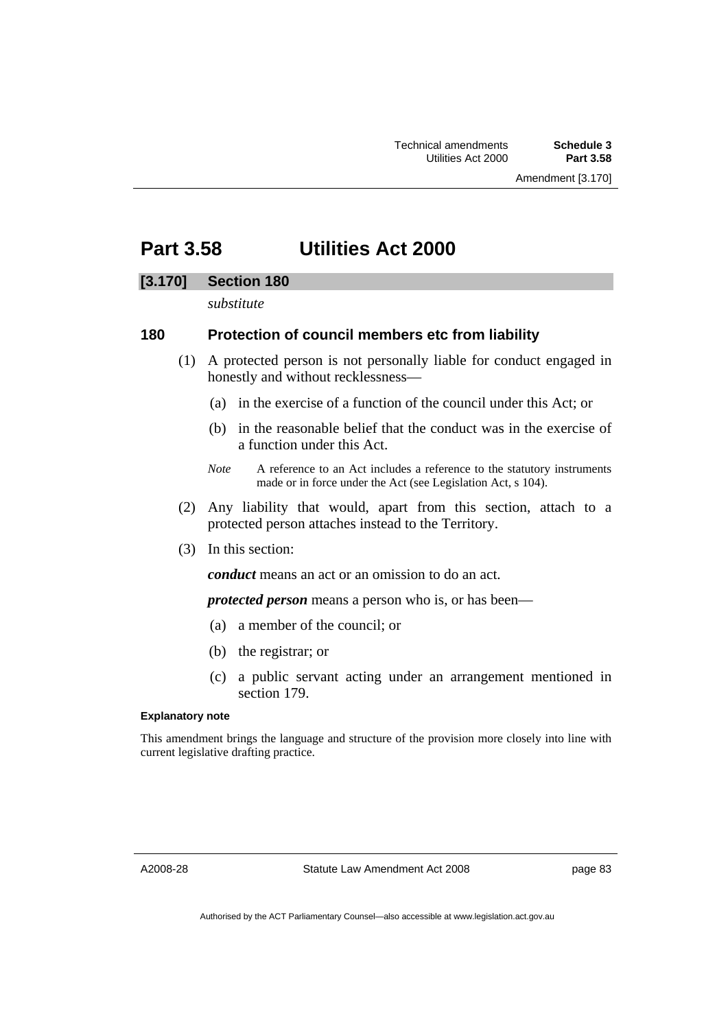# **Part 3.58 Utilities Act 2000**

## **[3.170] Section 180**

*substitute* 

## **180 Protection of council members etc from liability**

- (1) A protected person is not personally liable for conduct engaged in honestly and without recklessness—
	- (a) in the exercise of a function of the council under this Act; or
	- (b) in the reasonable belief that the conduct was in the exercise of a function under this Act.
	- *Note* A reference to an Act includes a reference to the statutory instruments made or in force under the Act (see Legislation Act, s 104).
- (2) Any liability that would, apart from this section, attach to a protected person attaches instead to the Territory.
- (3) In this section:

*conduct* means an act or an omission to do an act.

*protected person* means a person who is, or has been—

- (a) a member of the council; or
- (b) the registrar; or
- (c) a public servant acting under an arrangement mentioned in section 179.

### **Explanatory note**

This amendment brings the language and structure of the provision more closely into line with current legislative drafting practice.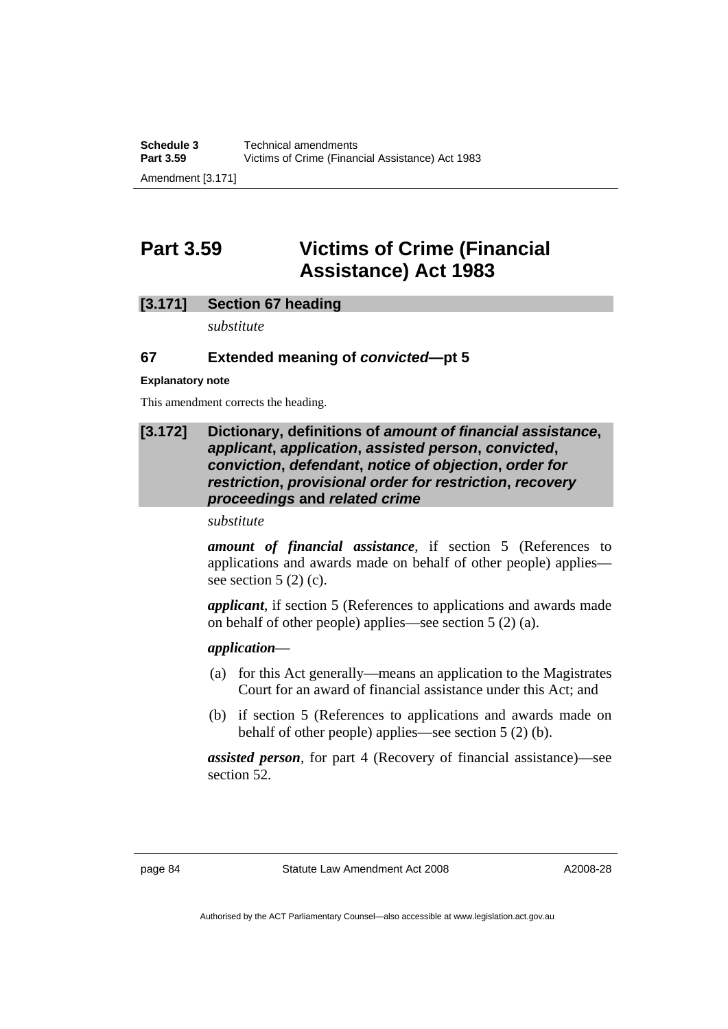**Part 3.59 Victims of Crime (Financial Assistance) Act 1983** 

## **[3.171] Section 67 heading**

*substitute* 

# **67 Extended meaning of** *convicted***—pt 5**

### **Explanatory note**

This amendment corrects the heading.

## **[3.172] Dictionary, definitions of** *amount of financial assistance***,**  *applicant***,** *application***,** *assisted person***,** *convicted***,**  *conviction***,** *defendant***,** *notice of objection***,** *order for restriction***,** *provisional order for restriction***,** *recovery proceedings* **and** *related crime*

*substitute* 

*amount of financial assistance*, if section 5 (References to applications and awards made on behalf of other people) applies see section  $5(2)(c)$ .

*applicant*, if section 5 (References to applications and awards made on behalf of other people) applies—see section 5 (2) (a).

## *application*—

- (a) for this Act generally—means an application to the Magistrates Court for an award of financial assistance under this Act; and
- (b) if section 5 (References to applications and awards made on behalf of other people) applies—see section 5 (2) (b).

*assisted person*, for part 4 (Recovery of financial assistance)—see section 52.

page 84 Statute Law Amendment Act 2008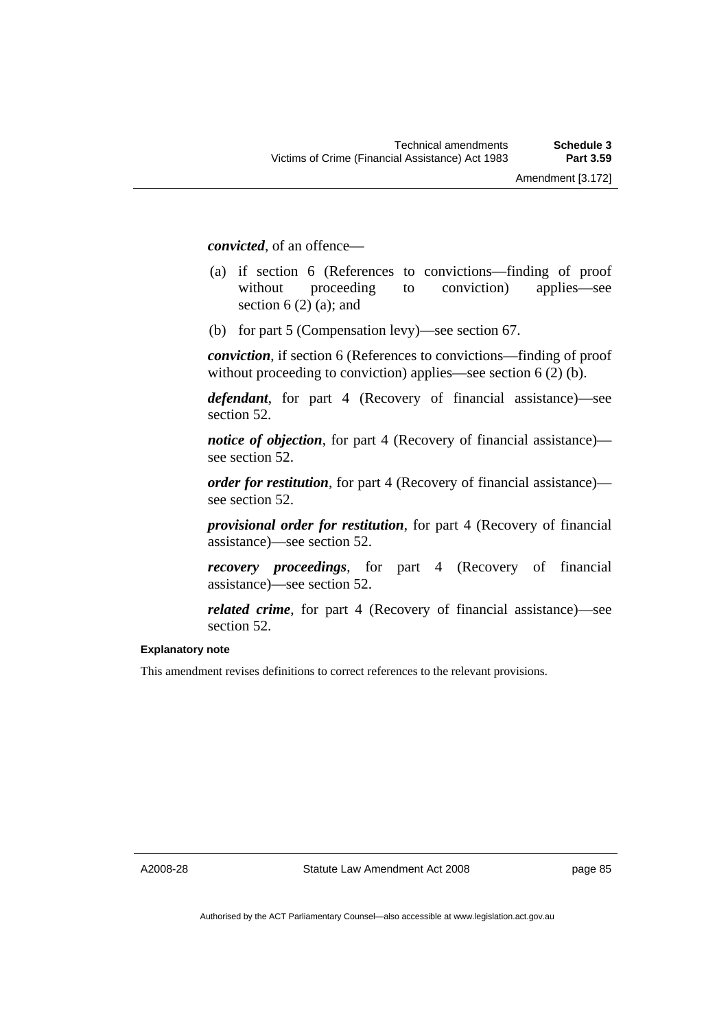*convicted*, of an offence—

- (a) if section 6 (References to convictions—finding of proof without proceeding to conviction) applies—see section  $6(2)$  (a); and
- (b) for part 5 (Compensation levy)—see section 67.

*conviction*, if section 6 (References to convictions—finding of proof without proceeding to conviction) applies—see section 6 (2) (b).

*defendant*, for part 4 (Recovery of financial assistance)—see section 52.

*notice of objection*, for part 4 (Recovery of financial assistance) see section 52.

*order for restitution*, for part 4 (Recovery of financial assistance) see section 52.

*provisional order for restitution*, for part 4 (Recovery of financial assistance)—see section 52.

*recovery proceedings*, for part 4 (Recovery of financial assistance)—see section 52.

*related crime*, for part 4 (Recovery of financial assistance)—see section 52.

### **Explanatory note**

This amendment revises definitions to correct references to the relevant provisions.

A2008-28

Statute Law Amendment Act 2008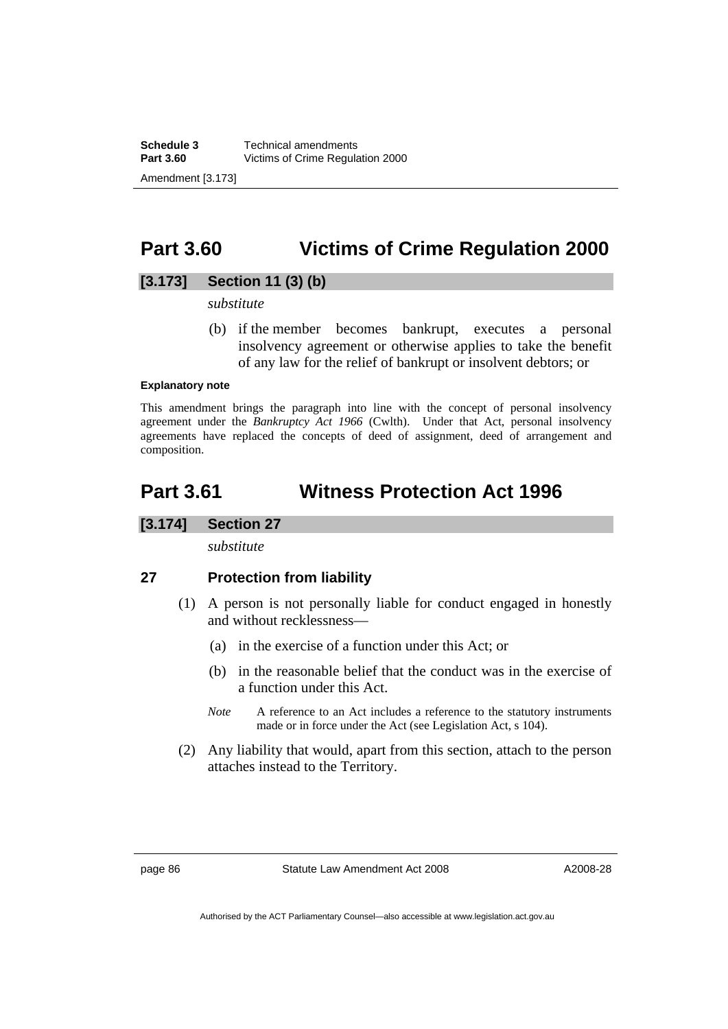# **Part 3.60 Victims of Crime Regulation 2000**

# **[3.173] Section 11 (3) (b)**

*substitute* 

 (b) if the member becomes bankrupt, executes a personal insolvency agreement or otherwise applies to take the benefit of any law for the relief of bankrupt or insolvent debtors; or

### **Explanatory note**

This amendment brings the paragraph into line with the concept of personal insolvency agreement under the *Bankruptcy Act 1966* (Cwlth). Under that Act, personal insolvency agreements have replaced the concepts of deed of assignment, deed of arrangement and composition.

# **Part 3.61 Witness Protection Act 1996**

## **[3.174] Section 27**

*substitute* 

# **27 Protection from liability**

- (1) A person is not personally liable for conduct engaged in honestly and without recklessness—
	- (a) in the exercise of a function under this Act; or
	- (b) in the reasonable belief that the conduct was in the exercise of a function under this Act.
	- *Note* A reference to an Act includes a reference to the statutory instruments made or in force under the Act (see Legislation Act, s 104).
- (2) Any liability that would, apart from this section, attach to the person attaches instead to the Territory.

page 86 Statute Law Amendment Act 2008

A2008-28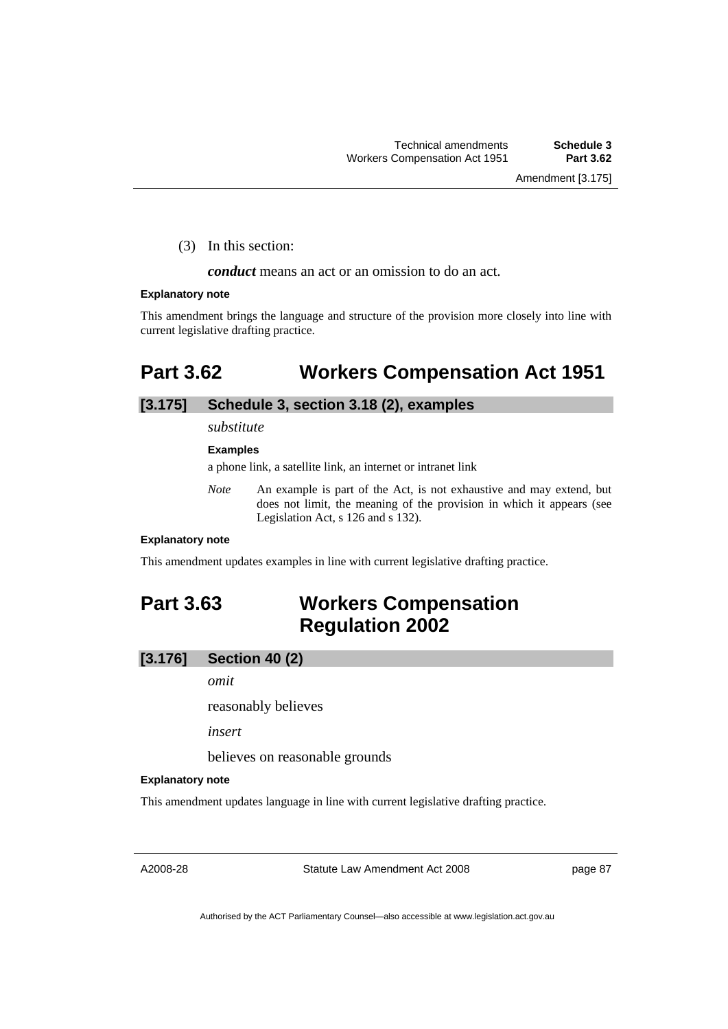(3) In this section:

*conduct* means an act or an omission to do an act.

#### **Explanatory note**

This amendment brings the language and structure of the provision more closely into line with current legislative drafting practice.

# **Part 3.62 Workers Compensation Act 1951**

## **[3.175] Schedule 3, section 3.18 (2), examples**

*substitute* 

### **Examples**

a phone link, a satellite link, an internet or intranet link

*Note* An example is part of the Act, is not exhaustive and may extend, but does not limit, the meaning of the provision in which it appears (see Legislation Act, s 126 and s 132).

#### **Explanatory note**

This amendment updates examples in line with current legislative drafting practice.

# **Part 3.63 Workers Compensation Regulation 2002**

#### **[3.176] Section 40 (2)**

*omit* 

reasonably believes

*insert* 

believes on reasonable grounds

#### **Explanatory note**

This amendment updates language in line with current legislative drafting practice.

A2008-28

Statute Law Amendment Act 2008

page 87